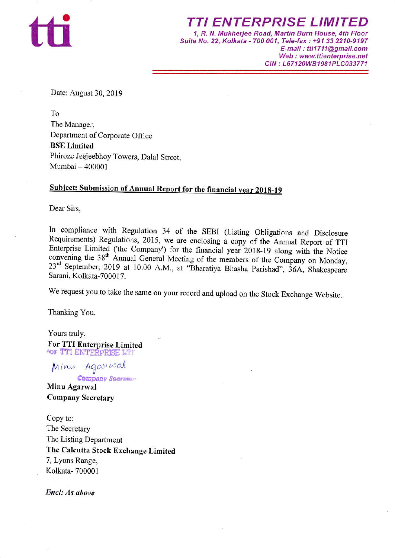

TI ENTERPRISE LIMITED 1, R. N. Mukherjee Road, Martin Burn House,4th Floor Suite No.22, Kolkata - 700 001, Tele-fax : +91 33 2210-9197 E-mail: tti1711@gmail.com Web : www.ttienterprise.net CIN: L67120WB1981PLC033771

Date: August 30, 2019

To The Manager, Department of Corporate Office BSE Limited Phiroze Jeejeebhoy Towers, Dalal Street, Mumbai - <sup>400001</sup>

## Subject: Submission of Annual Report for the financial year 2018-19

Dear Sirs.

In compliance with Regulation 34 of the SEBI (Listing Obligations and Disclosure Requirements) Regulations, 2015, we are enclosing a copy of the Annual Report of TTI Enterprise Limited ('the Company') for the financial year 2018-19 along with the Notice convening the  $38<sup>th</sup>$  Annual General Meeting of the members of the Company on Monday, 23<sup>rd</sup> September, 2019 at 10.00 A.M., at "Bharatiya Bhasha Parishad", 36A, Shakespeare Sarani, Kolkata-700017.

We request you to take the same on your record and upload on the Stock Exchange Website.

Thanking You.

Yours truly, For TTI Enterprise Limited<br> **FOR TTI ENTERPRISE LTI** 

Agarwal Minu

**Company Secrets** 

Minu Agarwal Company Secretary

Copy to: The Secretary The Listing Department The Calcutta Stock Exchange Limited 7, Lyons Range, Kolkata- 700001

Encl: As above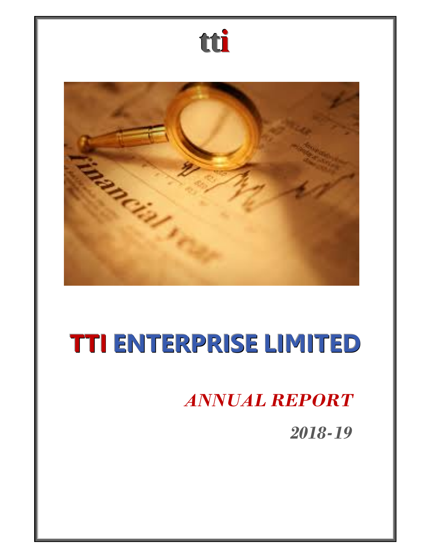

## *ANNUAL REPORT*

*2018-19*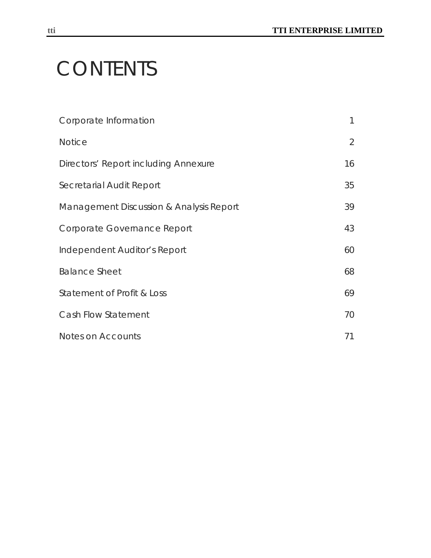# **CONTENTS**

| Corporate Information                   | $\mathbf{1}$   |
|-----------------------------------------|----------------|
| <b>Notice</b>                           | $\overline{2}$ |
| Directors' Report including Annexure    | 16             |
| Secretarial Audit Report                | 35             |
| Management Discussion & Analysis Report | 39             |
| Corporate Governance Report             | 43             |
| Independent Auditor's Report            | 60             |
| <b>Balance Sheet</b>                    | 68             |
| Statement of Profit & Loss              | 69             |
| Cash Flow Statement                     | 70             |
| Notes on Accounts                       | 71             |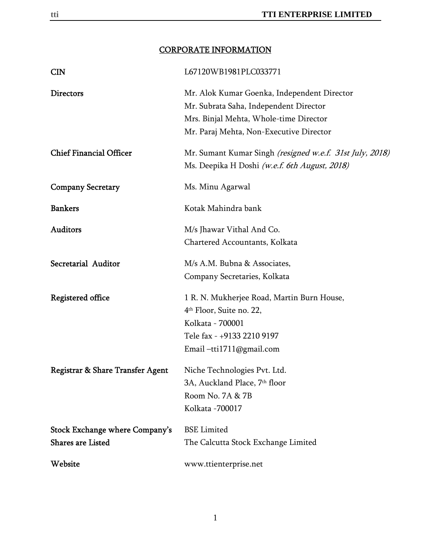## CORPORATE INFORMATION

| <b>CIN</b>                                                 | L67120WB1981PLC033771                                                                                                                                                      |
|------------------------------------------------------------|----------------------------------------------------------------------------------------------------------------------------------------------------------------------------|
| <b>Directors</b>                                           | Mr. Alok Kumar Goenka, Independent Director<br>Mr. Subrata Saha, Independent Director<br>Mrs. Binjal Mehta, Whole-time Director<br>Mr. Paraj Mehta, Non-Executive Director |
| <b>Chief Financial Officer</b>                             | Mr. Sumant Kumar Singh (resigned w.e.f. 31st July, 2018)<br>Ms. Deepika H Doshi (w.e.f. 6th August, 2018)                                                                  |
| <b>Company Secretary</b>                                   | Ms. Minu Agarwal                                                                                                                                                           |
| <b>Bankers</b>                                             | Kotak Mahindra bank                                                                                                                                                        |
| <b>Auditors</b>                                            | M/s Jhawar Vithal And Co.<br>Chartered Accountants, Kolkata                                                                                                                |
| Secretarial Auditor                                        | M/s A.M. Bubna & Associates,<br>Company Secretaries, Kolkata                                                                                                               |
| Registered office                                          | 1 R. N. Mukherjee Road, Martin Burn House,<br>4 <sup>th</sup> Floor, Suite no. 22,<br>Kolkata - 700001<br>Tele fax - +9133 2210 9197<br>Email-tti1711@gmail.com            |
| Registrar & Share Transfer Agent                           | Niche Technologies Pvt. Ltd.<br>3A, Auckland Place, 7 <sup>th</sup> floor<br>Room No. 7A & 7B<br>Kolkata -700017                                                           |
| Stock Exchange where Company's<br><b>Shares are Listed</b> | <b>BSE</b> Limited<br>The Calcutta Stock Exchange Limited                                                                                                                  |
| Website                                                    | www.ttienterprise.net                                                                                                                                                      |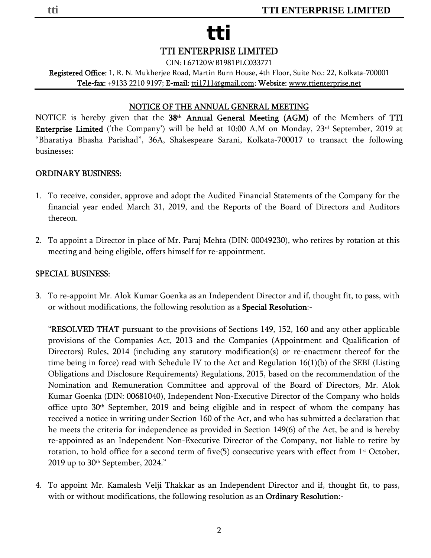CIN: L67120WB1981PLC033771

Registered Office: 1, R. N. Mukherjee Road, Martin Burn House, 4th Floor, Suite No.: 22, Kolkata-700001 Tele-fax: +9133 2210 9197; E-mail: tti1711@gmail.com; Website: www.ttienterprise.net

### NOTICE OF THE ANNUAL GENERAL MEETING

NOTICE is hereby given that the 38<sup>th</sup> Annual General Meeting (AGM) of the Members of TTI Enterprise Limited ('the Company') will be held at 10:00 A.M on Monday, 23rd September, 2019 at "Bharatiya Bhasha Parishad", 36A, Shakespeare Sarani, Kolkata-700017 to transact the following businesses:

#### ORDINARY BUSINESS:

- 1. To receive, consider, approve and adopt the Audited Financial Statements of the Company for the financial year ended March 31, 2019, and the Reports of the Board of Directors and Auditors thereon.
- 2. To appoint a Director in place of Mr. Paraj Mehta (DIN: 00049230), who retires by rotation at this meeting and being eligible, offers himself for re-appointment.

#### SPECIAL BUSINESS:

3. To re-appoint Mr. Alok Kumar Goenka as an Independent Director and if, thought fit, to pass, with or without modifications, the following resolution as a Special Resolution:-

"RESOLVED THAT pursuant to the provisions of Sections 149, 152, 160 and any other applicable provisions of the Companies Act, 2013 and the Companies (Appointment and Qualification of Directors) Rules, 2014 (including any statutory modification(s) or re-enactment thereof for the time being in force) read with Schedule IV to the Act and Regulation 16(1)(b) of the SEBI (Listing Obligations and Disclosure Requirements) Regulations, 2015, based on the recommendation of the Nomination and Remuneration Committee and approval of the Board of Directors, Mr. Alok Kumar Goenka (DIN: 00681040), Independent Non-Executive Director of the Company who holds office upto  $30<sup>th</sup>$  September, 2019 and being eligible and in respect of whom the company has received a notice in writing under Section 160 of the Act, and who has submitted a declaration that he meets the criteria for independence as provided in Section 149(6) of the Act, be and is hereby re-appointed as an Independent Non-Executive Director of the Company, not liable to retire by rotation, to hold office for a second term of five(5) consecutive years with effect from  $1<sup>st</sup>$  October, 2019 up to  $30<sup>th</sup>$  September, 2024."

4. To appoint Mr. Kamalesh Velji Thakkar as an Independent Director and if, thought fit, to pass, with or without modifications, the following resolution as an Ordinary Resolution:-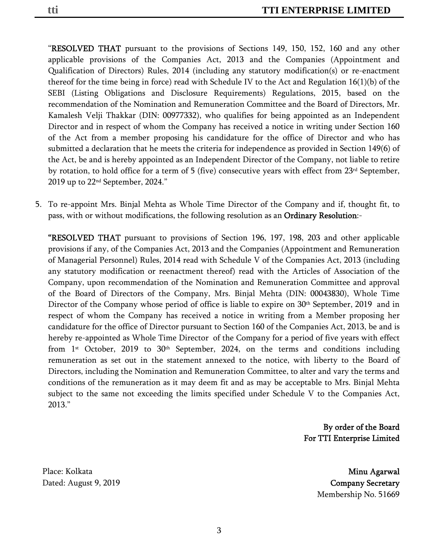"RESOLVED THAT pursuant to the provisions of Sections 149, 150, 152, 160 and any other applicable provisions of the Companies Act, 2013 and the Companies (Appointment and Qualification of Directors) Rules, 2014 (including any statutory modification(s) or re-enactment thereof for the time being in force) read with Schedule IV to the Act and Regulation 16(1)(b) of the SEBI (Listing Obligations and Disclosure Requirements) Regulations, 2015, based on the recommendation of the Nomination and Remuneration Committee and the Board of Directors, Mr. Kamalesh Velji Thakkar (DIN: 00977332), who qualifies for being appointed as an Independent Director and in respect of whom the Company has received a notice in writing under Section 160 of the Act from a member proposing his candidature for the office of Director and who has submitted a declaration that he meets the criteria for independence as provided in Section 149(6) of the Act, be and is hereby appointed as an Independent Director of the Company, not liable to retire by rotation, to hold office for a term of 5 (five) consecutive years with effect from  $23<sup>rd</sup>$  September, 2019 up to 22nd September, 2024."

5. To re-appoint Mrs. Binjal Mehta as Whole Time Director of the Company and if, thought fit, to pass, with or without modifications, the following resolution as an Ordinary Resolution:-

"RESOLVED THAT pursuant to provisions of Section 196, 197, 198, 203 and other applicable provisions if any, of the Companies Act, 2013 and the Companies (Appointment and Remuneration of Managerial Personnel) Rules, 2014 read with Schedule V of the Companies Act, 2013 (including any statutory modification or reenactment thereof) read with the Articles of Association of the Company, upon recommendation of the Nomination and Remuneration Committee and approval of the Board of Directors of the Company, Mrs. Binjal Mehta (DIN: 00043830), Whole Time Director of the Company whose period of office is liable to expire on 30<sup>th</sup> September, 2019 and in respect of whom the Company has received a notice in writing from a Member proposing her candidature for the office of Director pursuant to Section 160 of the Companies Act, 2013, be and is hereby re-appointed as Whole Time Director of the Company for a period of five years with effect from 1<sup>st</sup> October, 2019 to 30<sup>th</sup> September, 2024, on the terms and conditions including remuneration as set out in the statement annexed to the notice, with liberty to the Board of Directors, including the Nomination and Remuneration Committee, to alter and vary the terms and conditions of the remuneration as it may deem fit and as may be acceptable to Mrs. Binjal Mehta subject to the same not exceeding the limits specified under Schedule V to the Companies Act, 2013."

> By order of the Board For TTI Enterprise Limited

Place: Kolkata

 Minu Agarwal Dated: August 9, 2019 **Company Secretary** Membership No. 51669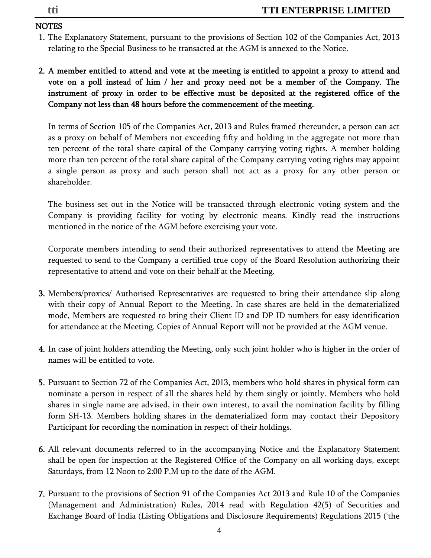## NOTES

- 1. The Explanatory Statement, pursuant to the provisions of Section 102 of the Companies Act, 2013 relating to the Special Business to be transacted at the AGM is annexed to the Notice.
- 2. A member entitled to attend and vote at the meeting is entitled to appoint a proxy to attend and vote on a poll instead of him / her and proxy need not be a member of the Company. The instrument of proxy in order to be effective must be deposited at the registered office of the Company not less than 48 hours before the commencement of the meeting.

In terms of Section 105 of the Companies Act, 2013 and Rules framed thereunder, a person can act as a proxy on behalf of Members not exceeding fifty and holding in the aggregate not more than ten percent of the total share capital of the Company carrying voting rights. A member holding more than ten percent of the total share capital of the Company carrying voting rights may appoint a single person as proxy and such person shall not act as a proxy for any other person or shareholder.

The business set out in the Notice will be transacted through electronic voting system and the Company is providing facility for voting by electronic means. Kindly read the instructions mentioned in the notice of the AGM before exercising your vote.

Corporate members intending to send their authorized representatives to attend the Meeting are requested to send to the Company a certified true copy of the Board Resolution authorizing their representative to attend and vote on their behalf at the Meeting.

- 3. Members/proxies/ Authorised Representatives are requested to bring their attendance slip along with their copy of Annual Report to the Meeting. In case shares are held in the dematerialized mode, Members are requested to bring their Client ID and DP ID numbers for easy identification for attendance at the Meeting. Copies of Annual Report will not be provided at the AGM venue.
- 4. In case of joint holders attending the Meeting, only such joint holder who is higher in the order of names will be entitled to vote.
- 5. Pursuant to Section 72 of the Companies Act, 2013, members who hold shares in physical form can nominate a person in respect of all the shares held by them singly or jointly. Members who hold shares in single name are advised, in their own interest, to avail the nomination facility by filling form SH-13. Members holding shares in the dematerialized form may contact their Depository Participant for recording the nomination in respect of their holdings.
- 6. All relevant documents referred to in the accompanying Notice and the Explanatory Statement shall be open for inspection at the Registered Office of the Company on all working days, except Saturdays, from 12 Noon to 2:00 P.M up to the date of the AGM.
- 7. Pursuant to the provisions of Section 91 of the Companies Act 2013 and Rule 10 of the Companies (Management and Administration) Rules, 2014 read with Regulation 42(5) of Securities and Exchange Board of India (Listing Obligations and Disclosure Requirements) Regulations 2015 ('the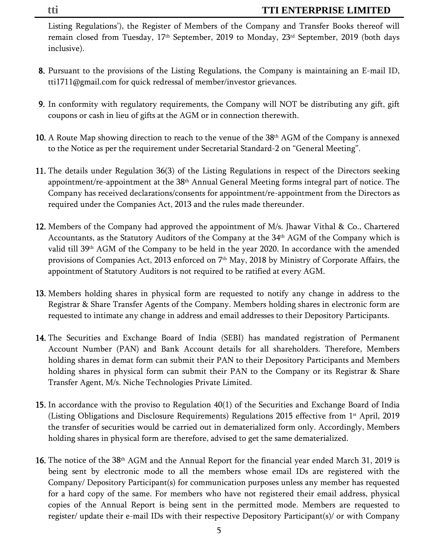Listing Regulations'), the Register of Members of the Company and Transfer Books thereof will remain closed from Tuesday, 17<sup>th</sup> September, 2019 to Monday, 23<sup>rd</sup> September, 2019 (both days inclusive).

- 8. Pursuant to the provisions of the Listing Regulations, the Company is maintaining an E-mail ID, tti1711@gmail.com for quick redressal of member/investor grievances.
- 9. In conformity with regulatory requirements, the Company will NOT be distributing any gift, gift coupons or cash in lieu of gifts at the AGM or in connection therewith.
- 10. A Route Map showing direction to reach to the venue of the  $38<sup>th</sup>$  AGM of the Company is annexed to the Notice as per the requirement under Secretarial Standard-2 on "General Meeting".
- 11. The details under Regulation 36(3) of the Listing Regulations in respect of the Directors seeking appointment/re-appointment at the 38<sup>th</sup> Annual General Meeting forms integral part of notice. The Company has received declarations/consents for appointment/re-appointment from the Directors as required under the Companies Act, 2013 and the rules made thereunder.
- 12. Members of the Company had approved the appointment of M/s. Jhawar Vithal & Co., Chartered Accountants, as the Statutory Auditors of the Company at the 34th AGM of the Company which is valid till 39th AGM of the Company to be held in the year 2020. In accordance with the amended provisions of Companies Act, 2013 enforced on  $7<sup>th</sup>$  May, 2018 by Ministry of Corporate Affairs, the appointment of Statutory Auditors is not required to be ratified at every AGM.
- 13. Members holding shares in physical form are requested to notify any change in address to the Registrar & Share Transfer Agents of the Company. Members holding shares in electronic form are requested to intimate any change in address and email addresses to their Depository Participants.
- 14. The Securities and Exchange Board of India (SEBI) has mandated registration of Permanent Account Number (PAN) and Bank Account details for all shareholders. Therefore, Members holding shares in demat form can submit their PAN to their Depository Participants and Members holding shares in physical form can submit their PAN to the Company or its Registrar & Share Transfer Agent, M/s. Niche Technologies Private Limited.
- 15. In accordance with the proviso to Regulation 40(1) of the Securities and Exchange Board of India (Listing Obligations and Disclosure Requirements) Regulations 2015 effective from  $1<sup>st</sup>$  April, 2019 the transfer of securities would be carried out in dematerialized form only. Accordingly, Members holding shares in physical form are therefore, advised to get the same dematerialized.
- 16. The notice of the 38<sup>th</sup> AGM and the Annual Report for the financial year ended March 31, 2019 is being sent by electronic mode to all the members whose email IDs are registered with the Company/ Depository Participant(s) for communication purposes unless any member has requested for a hard copy of the same. For members who have not registered their email address, physical copies of the Annual Report is being sent in the permitted mode. Members are requested to register/ update their e-mail IDs with their respective Depository Participant(s)/ or with Company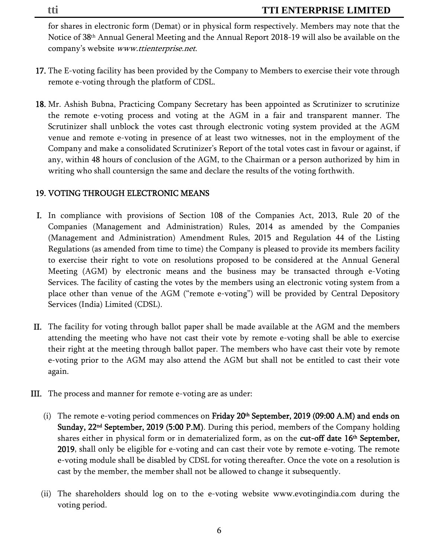for shares in electronic form (Demat) or in physical form respectively. Members may note that the Notice of 38th Annual General Meeting and the Annual Report 2018-19 will also be available on the company's website www.ttienterprise.net.

- 17. The E-voting facility has been provided by the Company to Members to exercise their vote through remote e-voting through the platform of CDSL.
- 18. Mr. Ashish Bubna, Practicing Company Secretary has been appointed as Scrutinizer to scrutinize the remote e-voting process and voting at the AGM in a fair and transparent manner. The Scrutinizer shall unblock the votes cast through electronic voting system provided at the AGM venue and remote e-voting in presence of at least two witnesses, not in the employment of the Company and make a consolidated Scrutinizer's Report of the total votes cast in favour or against, if any, within 48 hours of conclusion of the AGM, to the Chairman or a person authorized by him in writing who shall countersign the same and declare the results of the voting forthwith.

## 19. VOTING THROUGH ELECTRONIC MEANS

- I. In compliance with provisions of Section 108 of the Companies Act, 2013, Rule 20 of the Companies (Management and Administration) Rules, 2014 as amended by the Companies (Management and Administration) Amendment Rules, 2015 and Regulation 44 of the Listing Regulations (as amended from time to time) the Company is pleased to provide its members facility to exercise their right to vote on resolutions proposed to be considered at the Annual General Meeting (AGM) by electronic means and the business may be transacted through e-Voting Services. The facility of casting the votes by the members using an electronic voting system from a place other than venue of the AGM ("remote e-voting") will be provided by Central Depository Services (India) Limited (CDSL).
- II. The facility for voting through ballot paper shall be made available at the AGM and the members attending the meeting who have not cast their vote by remote e-voting shall be able to exercise their right at the meeting through ballot paper. The members who have cast their vote by remote e-voting prior to the AGM may also attend the AGM but shall not be entitled to cast their vote again.
- III. The process and manner for remote e-voting are as under:
	- (i) The remote e-voting period commences on Friday  $20<sup>th</sup>$  September, 2019 (09:00 A.M) and ends on Sunday, 22<sup>nd</sup> September, 2019 (5:00 P.M). During this period, members of the Company holding shares either in physical form or in dematerialized form, as on the **cut-off date 16<sup>th</sup> September,** 2019, shall only be eligible for e-voting and can cast their vote by remote e-voting. The remote e-voting module shall be disabled by CDSL for voting thereafter. Once the vote on a resolution is cast by the member, the member shall not be allowed to change it subsequently.
	- (ii) The shareholders should log on to the e-voting website www.evotingindia.com during the voting period.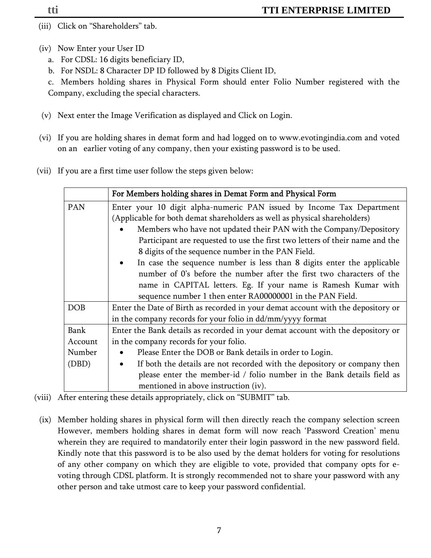- (iii) Click on "Shareholders" tab.
- (iv) Now Enter your User ID
	- a. For CDSL: 16 digits beneficiary ID,
	- b. For NSDL: 8 Character DP ID followed by 8 Digits Client ID,

c. Members holding shares in Physical Form should enter Folio Number registered with the Company, excluding the special characters.

- (v) Next enter the Image Verification as displayed and Click on Login.
- (vi) If you are holding shares in demat form and had logged on to www.evotingindia.com and voted on an earlier voting of any company, then your existing password is to be used.
- (vii) If you are a first time user follow the steps given below:

|             | For Members holding shares in Demat Form and Physical Form                       |  |  |  |  |  |  |  |
|-------------|----------------------------------------------------------------------------------|--|--|--|--|--|--|--|
| PAN         | Enter your 10 digit alpha-numeric PAN issued by Income Tax Department            |  |  |  |  |  |  |  |
|             | (Applicable for both demat shareholders as well as physical shareholders)        |  |  |  |  |  |  |  |
|             | Members who have not updated their PAN with the Company/Depository               |  |  |  |  |  |  |  |
|             | Participant are requested to use the first two letters of their name and the     |  |  |  |  |  |  |  |
|             | 8 digits of the sequence number in the PAN Field.                                |  |  |  |  |  |  |  |
|             | In case the sequence number is less than 8 digits enter the applicable           |  |  |  |  |  |  |  |
|             | number of 0's before the number after the first two characters of the            |  |  |  |  |  |  |  |
|             | name in CAPITAL letters. Eg. If your name is Ramesh Kumar with                   |  |  |  |  |  |  |  |
|             | sequence number 1 then enter RA00000001 in the PAN Field.                        |  |  |  |  |  |  |  |
| <b>DOB</b>  | Enter the Date of Birth as recorded in your demat account with the depository or |  |  |  |  |  |  |  |
|             | in the company records for your folio in dd/mm/yyyy format                       |  |  |  |  |  |  |  |
| <b>Bank</b> | Enter the Bank details as recorded in your demat account with the depository or  |  |  |  |  |  |  |  |
| Account     | in the company records for your folio.                                           |  |  |  |  |  |  |  |
| Number      | Please Enter the DOB or Bank details in order to Login.                          |  |  |  |  |  |  |  |
| (DBD)       | If both the details are not recorded with the depository or company then         |  |  |  |  |  |  |  |
|             | please enter the member-id / folio number in the Bank details field as           |  |  |  |  |  |  |  |
|             | mentioned in above instruction (iv).                                             |  |  |  |  |  |  |  |

- (viii) After entering these details appropriately, click on "SUBMIT" tab.
- (ix) Member holding shares in physical form will then directly reach the company selection screen However, members holding shares in demat form will now reach 'Password Creation' menu wherein they are required to mandatorily enter their login password in the new password field. Kindly note that this password is to be also used by the demat holders for voting for resolutions of any other company on which they are eligible to vote, provided that company opts for evoting through CDSL platform. It is strongly recommended not to share your password with any other person and take utmost care to keep your password confidential.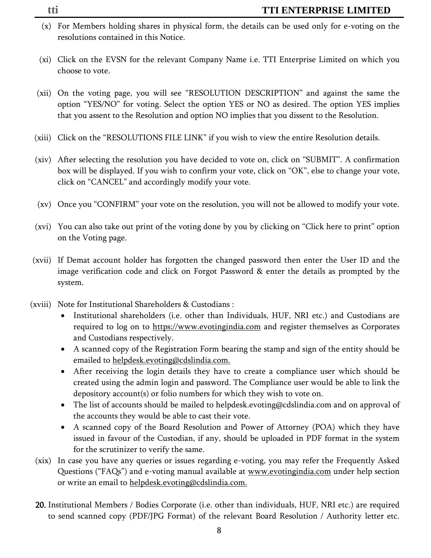- (x) For Members holding shares in physical form, the details can be used only for e-voting on the resolutions contained in this Notice.
- (xi) Click on the EVSN for the relevant Company Name i.e. TTI Enterprise Limited on which you choose to vote.
- (xii) On the voting page, you will see "RESOLUTION DESCRIPTION" and against the same the option "YES/NO" for voting. Select the option YES or NO as desired. The option YES implies that you assent to the Resolution and option NO implies that you dissent to the Resolution.
- (xiii) Click on the "RESOLUTIONS FILE LINK" if you wish to view the entire Resolution details.
- (xiv) After selecting the resolution you have decided to vote on, click on "SUBMIT". A confirmation box will be displayed. If you wish to confirm your vote, click on "OK", else to change your vote, click on "CANCEL" and accordingly modify your vote.
- (xv) Once you "CONFIRM" your vote on the resolution, you will not be allowed to modify your vote.
- (xvi) You can also take out print of the voting done by you by clicking on "Click here to print" option on the Voting page.
- (xvii) If Demat account holder has forgotten the changed password then enter the User ID and the image verification code and click on Forgot Password & enter the details as prompted by the system.
- (xviii) Note for Institutional Shareholders & Custodians :
	- Institutional shareholders (i.e. other than Individuals, HUF, NRI etc.) and Custodians are required to log on to https://www.evotingindia.com and register themselves as Corporates and Custodians respectively.
	- A scanned copy of the Registration Form bearing the stamp and sign of the entity should be emailed to helpdesk.evoting@cdslindia.com.
	- After receiving the login details they have to create a compliance user which should be created using the admin login and password. The Compliance user would be able to link the depository account(s) or folio numbers for which they wish to vote on.
	- The list of accounts should be mailed to helpdesk.evoting@cdslindia.com and on approval of the accounts they would be able to cast their vote.
	- A scanned copy of the Board Resolution and Power of Attorney (POA) which they have issued in favour of the Custodian, if any, should be uploaded in PDF format in the system for the scrutinizer to verify the same.
	- (xix) In case you have any queries or issues regarding e-voting, you may refer the Frequently Asked Questions ("FAQs") and e-voting manual available at <u>www.evotingindia.com</u> under help section or write an email to helpdesk.evoting@cdslindia.com.
	- 20. Institutional Members / Bodies Corporate (i.e. other than individuals, HUF, NRI etc.) are required to send scanned copy (PDF/JPG Format) of the relevant Board Resolution / Authority letter etc.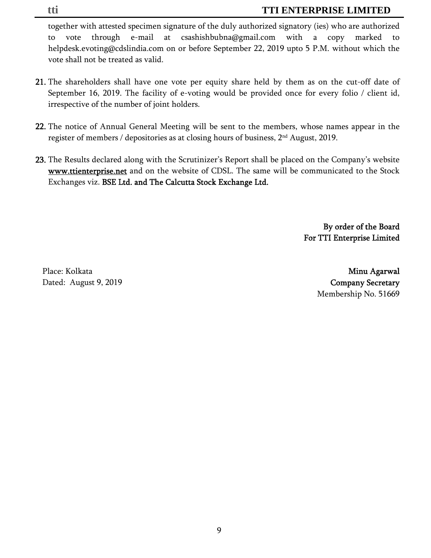together with attested specimen signature of the duly authorized signatory (ies) who are authorized to vote through e-mail at csashishbubna@gmail.com with a copy marked to helpdesk.evoting@cdslindia.com on or before September 22, 2019 upto 5 P.M. without which the vote shall not be treated as valid.

- 21. The shareholders shall have one vote per equity share held by them as on the cut-off date of September 16, 2019. The facility of e-voting would be provided once for every folio / client id, irrespective of the number of joint holders.
- 22. The notice of Annual General Meeting will be sent to the members, whose names appear in the register of members / depositories as at closing hours of business, 2nd August, 2019.
- 23. The Results declared along with the Scrutinizer's Report shall be placed on the Company's website www.ttienterprise.net and on the website of CDSL. The same will be communicated to the Stock Exchanges viz. BSE Ltd. and The Calcutta Stock Exchange Ltd.

By order of the Board For TTI Enterprise Limited

Place: Kolkata

 Minu Agarwal Dated: August 9, 2019 Company Secretary Membership No. 51669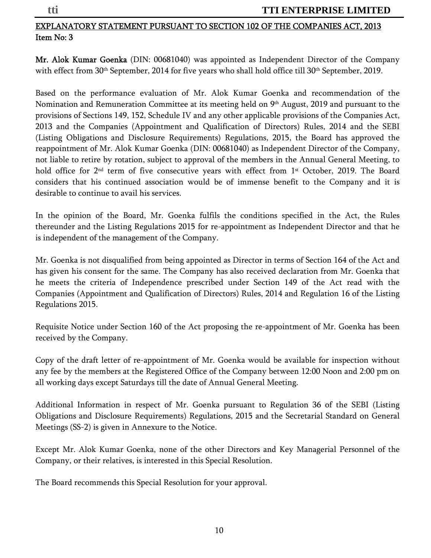## EXPLANATORY STATEMENT PURSUANT TO SECTION 102 OF THE COMPANIES ACT, 2013 Item No: 3

Mr. Alok Kumar Goenka (DIN: 00681040) was appointed as Independent Director of the Company with effect from 30<sup>th</sup> September, 2014 for five years who shall hold office till 30<sup>th</sup> September, 2019.

Based on the performance evaluation of Mr. Alok Kumar Goenka and recommendation of the Nomination and Remuneration Committee at its meeting held on 9<sup>th</sup> August, 2019 and pursuant to the provisions of Sections 149, 152, Schedule IV and any other applicable provisions of the Companies Act, 2013 and the Companies (Appointment and Qualification of Directors) Rules, 2014 and the SEBI (Listing Obligations and Disclosure Requirements) Regulations, 2015, the Board has approved the reappointment of Mr. Alok Kumar Goenka (DIN: 00681040) as Independent Director of the Company, not liable to retire by rotation, subject to approval of the members in the Annual General Meeting, to hold office for 2<sup>nd</sup> term of five consecutive years with effect from 1<sup>st</sup> October, 2019. The Board considers that his continued association would be of immense benefit to the Company and it is desirable to continue to avail his services.

In the opinion of the Board, Mr. Goenka fulfils the conditions specified in the Act, the Rules thereunder and the Listing Regulations 2015 for re-appointment as Independent Director and that he is independent of the management of the Company.

Mr. Goenka is not disqualified from being appointed as Director in terms of Section 164 of the Act and has given his consent for the same. The Company has also received declaration from Mr. Goenka that he meets the criteria of Independence prescribed under Section 149 of the Act read with the Companies (Appointment and Qualification of Directors) Rules, 2014 and Regulation 16 of the Listing Regulations 2015.

Requisite Notice under Section 160 of the Act proposing the re-appointment of Mr. Goenka has been received by the Company.

Copy of the draft letter of re-appointment of Mr. Goenka would be available for inspection without any fee by the members at the Registered Office of the Company between 12:00 Noon and 2:00 pm on all working days except Saturdays till the date of Annual General Meeting.

Additional Information in respect of Mr. Goenka pursuant to Regulation 36 of the SEBI (Listing Obligations and Disclosure Requirements) Regulations, 2015 and the Secretarial Standard on General Meetings (SS-2) is given in Annexure to the Notice.

Except Mr. Alok Kumar Goenka, none of the other Directors and Key Managerial Personnel of the Company, or their relatives, is interested in this Special Resolution.

The Board recommends this Special Resolution for your approval.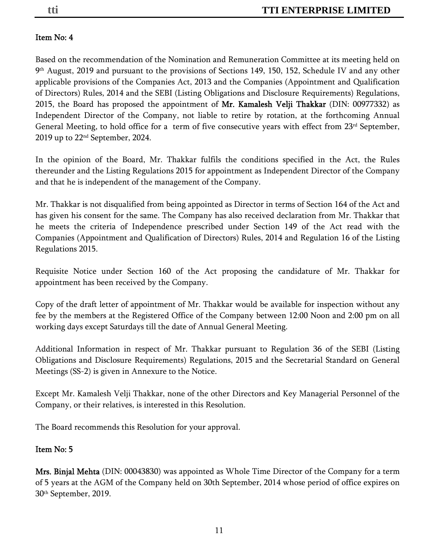## Item No: 4

Based on the recommendation of the Nomination and Remuneration Committee at its meeting held on 9th August, 2019 and pursuant to the provisions of Sections 149, 150, 152, Schedule IV and any other applicable provisions of the Companies Act, 2013 and the Companies (Appointment and Qualification of Directors) Rules, 2014 and the SEBI (Listing Obligations and Disclosure Requirements) Regulations, 2015, the Board has proposed the appointment of Mr. Kamalesh Velji Thakkar (DIN: 00977332) as Independent Director of the Company, not liable to retire by rotation, at the forthcoming Annual General Meeting, to hold office for a term of five consecutive years with effect from  $23<sup>rd</sup>$  September, 2019 up to 22nd September, 2024.

In the opinion of the Board, Mr. Thakkar fulfils the conditions specified in the Act, the Rules thereunder and the Listing Regulations 2015 for appointment as Independent Director of the Company and that he is independent of the management of the Company.

Mr. Thakkar is not disqualified from being appointed as Director in terms of Section 164 of the Act and has given his consent for the same. The Company has also received declaration from Mr. Thakkar that he meets the criteria of Independence prescribed under Section 149 of the Act read with the Companies (Appointment and Qualification of Directors) Rules, 2014 and Regulation 16 of the Listing Regulations 2015.

Requisite Notice under Section 160 of the Act proposing the candidature of Mr. Thakkar for appointment has been received by the Company.

Copy of the draft letter of appointment of Mr. Thakkar would be available for inspection without any fee by the members at the Registered Office of the Company between 12:00 Noon and 2:00 pm on all working days except Saturdays till the date of Annual General Meeting.

Additional Information in respect of Mr. Thakkar pursuant to Regulation 36 of the SEBI (Listing Obligations and Disclosure Requirements) Regulations, 2015 and the Secretarial Standard on General Meetings (SS-2) is given in Annexure to the Notice.

Except Mr. Kamalesh Velji Thakkar, none of the other Directors and Key Managerial Personnel of the Company, or their relatives, is interested in this Resolution.

The Board recommends this Resolution for your approval.

## Item No: 5

Mrs. Binjal Mehta (DIN: 00043830) was appointed as Whole Time Director of the Company for a term of 5 years at the AGM of the Company held on 30th September, 2014 whose period of office expires on 30th September, 2019.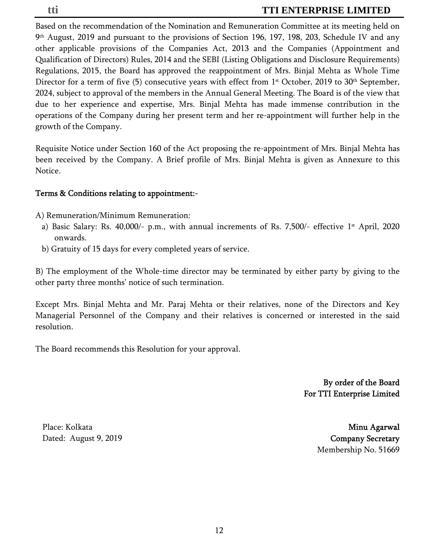Based on the recommendation of the Nomination and Remuneration Committee at its meeting held on 9th August, 2019 and pursuant to the provisions of Section 196, 197, 198, 203, Schedule IV and any other applicable provisions of the Companies Act, 2013 and the Companies (Appointment and Qualification of Directors) Rules, 2014 and the SEBI (Listing Obligations and Disclosure Requirements) Regulations, 2015, the Board has approved the reappointment of Mrs. Binjal Mehta as Whole Time Director for a term of five (5) consecutive years with effect from  $1<sup>st</sup>$  October, 2019 to 30<sup>th</sup> September, 2024, subject to approval of the members in the Annual General Meeting. The Board is of the view that due to her experience and expertise, Mrs. Binjal Mehta has made immense contribution in the operations of the Company during her present term and her re-appointment will further help in the growth of the Company.

Requisite Notice under Section 160 of the Act proposing the re-appointment of Mrs. Binjal Mehta has been received by the Company. A Brief profile of Mrs. Binjal Mehta is given as Annexure to this Notice.

#### Terms & Conditions relating to appointment:-

A) Remuneration/Minimum Remuneration:

- a) Basic Salary: Rs.  $40,000/$  p.m., with annual increments of Rs. 7,500/- effective 1<sup>st</sup> April, 2020 onwards.
- b) Gratuity of 15 days for every completed years of service.

B) The employment of the Whole-time director may be terminated by either party by giving to the other party three months' notice of such termination.

Except Mrs. Binjal Mehta and Mr. Paraj Mehta or their relatives, none of the Directors and Key Managerial Personnel of the Company and their relatives is concerned or interested in the said resolution.

The Board recommends this Resolution for your approval.

By order of the Board For TTI Enterprise Limited

Place: Kolkata

 Minu Agarwal Dated: August 9, 2019 **Company Secretary** Membership No. 51669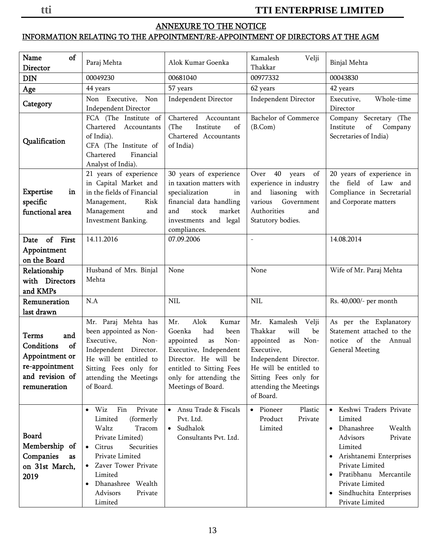## ANNEXURE TO THE NOTICE

## INFORMATION RELATING TO THE APPOINTMENT/RE-APPOINTMENT OF DIRECTORS AT THE AGM

| Name<br>of<br>Director                                                                                  | Paraj Mehta                                                                                                                                                                                                                                     | Alok Kumar Goenka                                                                                                                                                                                      | Kamalesh<br>Velji<br>Thakkar                                                                                                                                                                                  | Binjal Mehta                                                                                                                                                                                                                                                        |  |
|---------------------------------------------------------------------------------------------------------|-------------------------------------------------------------------------------------------------------------------------------------------------------------------------------------------------------------------------------------------------|--------------------------------------------------------------------------------------------------------------------------------------------------------------------------------------------------------|---------------------------------------------------------------------------------------------------------------------------------------------------------------------------------------------------------------|---------------------------------------------------------------------------------------------------------------------------------------------------------------------------------------------------------------------------------------------------------------------|--|
| ${\rm DIN}$                                                                                             | 00049230                                                                                                                                                                                                                                        | 00681040                                                                                                                                                                                               | 00977332                                                                                                                                                                                                      | 00043830                                                                                                                                                                                                                                                            |  |
| Age                                                                                                     | 44 years                                                                                                                                                                                                                                        | 57 years                                                                                                                                                                                               | 62 years                                                                                                                                                                                                      | 42 years                                                                                                                                                                                                                                                            |  |
| Category                                                                                                | Non Executive, Non<br><b>Independent Director</b>                                                                                                                                                                                               | <b>Independent Director</b>                                                                                                                                                                            | <b>Independent Director</b>                                                                                                                                                                                   | Executive,<br>Whole-time<br>Director                                                                                                                                                                                                                                |  |
| Qualification                                                                                           | FCA (The Institute of<br>Chartered Accountants<br>of India).<br>CFA (The Institute of<br>Chartered<br>Financial<br>Analyst of India).                                                                                                           | Chartered Accountant<br>Institute<br>(The<br>of<br>Chartered Accountants<br>of India)                                                                                                                  | <b>Bachelor</b> of Commerce<br>(B.Com)                                                                                                                                                                        | Company Secretary (The<br>Institute<br>of<br>Company<br>Secretaries of India)                                                                                                                                                                                       |  |
| <b>Expertise</b><br>in<br>specific<br>functional area                                                   | 21 years of experience<br>in Capital Market and<br>in the fields of Financial<br>Risk<br>Management,<br>Management<br>and<br>Investment Banking.                                                                                                | 30 years of experience<br>in taxation matters with<br>specialization<br>$\operatorname{in}$<br>financial data handling<br>and<br>stock<br>market<br>investments and legal<br>compliances.              | Over 40 years<br>of<br>experience in industry<br>and liasoning<br>with<br>various Government<br>Authorities<br>and<br>Statutory bodies.                                                                       | 20 years of experience in<br>the field of Law and<br>Compliance in Secretarial<br>and Corporate matters                                                                                                                                                             |  |
| Date of First                                                                                           | 14.11.2016                                                                                                                                                                                                                                      | 07.09.2006                                                                                                                                                                                             |                                                                                                                                                                                                               | 14.08.2014                                                                                                                                                                                                                                                          |  |
| Appointment                                                                                             |                                                                                                                                                                                                                                                 |                                                                                                                                                                                                        |                                                                                                                                                                                                               |                                                                                                                                                                                                                                                                     |  |
| on the Board                                                                                            |                                                                                                                                                                                                                                                 |                                                                                                                                                                                                        |                                                                                                                                                                                                               |                                                                                                                                                                                                                                                                     |  |
| Relationship<br>with Directors<br>and KMPs                                                              | Husband of Mrs. Binjal<br>Mehta                                                                                                                                                                                                                 | None                                                                                                                                                                                                   | None                                                                                                                                                                                                          | Wife of Mr. Paraj Mehta                                                                                                                                                                                                                                             |  |
| Remuneration<br>last drawn                                                                              | N.A                                                                                                                                                                                                                                             | <b>NIL</b>                                                                                                                                                                                             | <b>NIL</b>                                                                                                                                                                                                    | Rs. 40,000/- per month                                                                                                                                                                                                                                              |  |
| Terms<br>and<br>Conditions<br>of<br>Appointment or<br>re-appointment<br>and revision of<br>remuneration | Mr. Paraj Mehta has<br>been appointed as Non-<br>Executive,<br>Non-<br>Independent Director.<br>He will be entitled to<br>Sitting Fees only for<br>attending the Meetings<br>of Board.                                                          | Alok<br>Mr.<br>Kumar<br>Goenka<br>had<br>been<br>appointed<br>Non-<br>as<br>Executive, Independent<br>Director. He will be<br>entitled to Sitting Fees<br>only for attending the<br>Meetings of Board. | Kamalesh<br>Mr.<br>Velji<br>Thakkar<br>will<br>be<br>appointed<br>Non-<br>as<br>Executive,<br>Independent Director.<br>He will be entitled to<br>Sitting Fees only for<br>attending the Meetings<br>of Board. | As per the Explanatory<br>Statement attached to the<br>notice of the<br>Annual<br><b>General Meeting</b>                                                                                                                                                            |  |
| <b>Board</b><br>Membership of<br>Companies<br>as<br>on 31st March,<br>2019                              | Wiz<br>Fin<br>Private<br>$\bullet$<br>Limited<br>(formerly<br>Waltz<br>Tracom<br>Private Limited)<br>$\bullet$ Citrus<br>Securities<br>Private Limited<br>Zaver Tower Private<br>Limited<br>Dhanashree Wealth<br>Advisors<br>Private<br>Limited | Ansu Trade & Fiscals<br>$\bullet$<br>Pvt. Ltd.<br>Sudhalok<br>$\bullet$<br>Consultants Pvt. Ltd.                                                                                                       | Pioneer<br>Plastic<br>$\bullet$<br>Product<br>Private<br>Limited                                                                                                                                              | • Keshwi Traders Private<br>Limited<br>• Dhanashree<br>Wealth<br>Advisors<br>Private<br>Limited<br>· Arishtanemi Enterprises<br>Private Limited<br>Pratibhanu Mercantile<br>$\bullet$<br>Private Limited<br>Sindhuchita Enterprises<br>$\bullet$<br>Private Limited |  |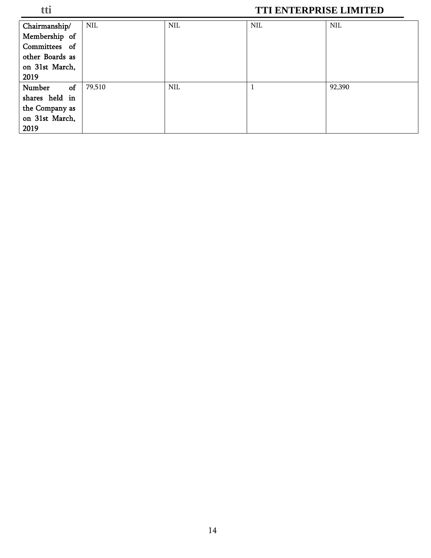| Chairmanship/   | <b>NIL</b> | <b>NIL</b> | <b>NIL</b> | $\text{NIL}$ |
|-----------------|------------|------------|------------|--------------|
| Membership of   |            |            |            |              |
| Committees of   |            |            |            |              |
| other Boards as |            |            |            |              |
| on 31st March,  |            |            |            |              |
| 2019            |            |            |            |              |
| of<br>Number    | 79,510     | <b>NIL</b> |            | 92,390       |
| shares held in  |            |            |            |              |
| the Company as  |            |            |            |              |
| on 31st March,  |            |            |            |              |
| 2019            |            |            |            |              |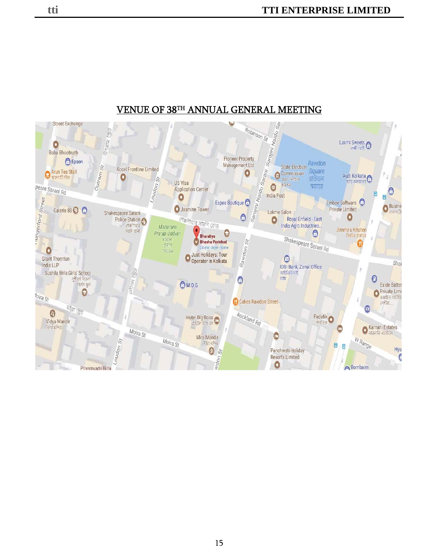

## VENUE OF 38TH ANNUAL GENERAL MEETING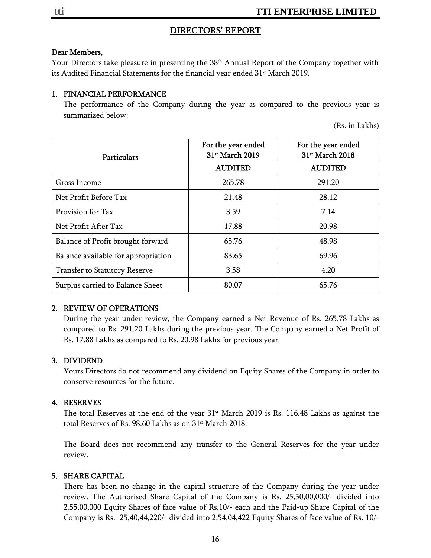#### DIRECTORS' REPORT

#### Dear Members,

Your Directors take pleasure in presenting the 38<sup>th</sup> Annual Report of the Company together with its Audited Financial Statements for the financial year ended 31<sup>st</sup> March 2019.

#### 1. FINANCIAL PERFORMANCE

The performance of the Company during the year as compared to the previous year is summarized below:

(Rs. in Lakhs)

| Particulars                         | For the year ended<br>31 <sup>st</sup> March 2019 | For the year ended<br>31st March 2018 |  |  |
|-------------------------------------|---------------------------------------------------|---------------------------------------|--|--|
|                                     | <b>AUDITED</b>                                    | <b>AUDITED</b>                        |  |  |
| Gross Income                        | 265.78                                            | 291.20                                |  |  |
| Net Profit Before Tax               | 21.48                                             | 28.12                                 |  |  |
| Provision for Tax                   | 3.59                                              | 7.14                                  |  |  |
| Net Profit After Tax                | 17.88                                             | 20.98                                 |  |  |
| Balance of Profit brought forward   | 65.76                                             | 48.98                                 |  |  |
| Balance available for appropriation | 83.65                                             | 69.96                                 |  |  |
| Transfer to Statutory Reserve       | 3.58                                              | 4.20                                  |  |  |
| Surplus carried to Balance Sheet    | 80.07                                             | 65.76                                 |  |  |

#### 2. REVIEW OF OPERATIONS

During the year under review, the Company earned a Net Revenue of Rs. 265.78 Lakhs as compared to Rs. 291.20 Lakhs during the previous year. The Company earned a Net Profit of Rs. 17.88 Lakhs as compared to Rs. 20.98 Lakhs for previous year.

#### 3. DIVIDEND

Yours Directors do not recommend any dividend on Equity Shares of the Company in order to conserve resources for the future.

#### 4. RESERVES

The total Reserves at the end of the year 31<sup>st</sup> March 2019 is Rs. 116.48 Lakhs as against the total Reserves of Rs. 98.60 Lakhs as on 31<sup>st</sup> March 2018.

The Board does not recommend any transfer to the General Reserves for the year under review.

#### 5. SHARE CAPITAL

There has been no change in the capital structure of the Company during the year under review. The Authorised Share Capital of the Company is Rs. 25,50,00,000/- divided into 2,55,00,000 Equity Shares of face value of Rs.10/- each and the Paid-up Share Capital of the Company is Rs. 25,40,44,220/- divided into 2,54,04,422 Equity Shares of face value of Rs. 10/-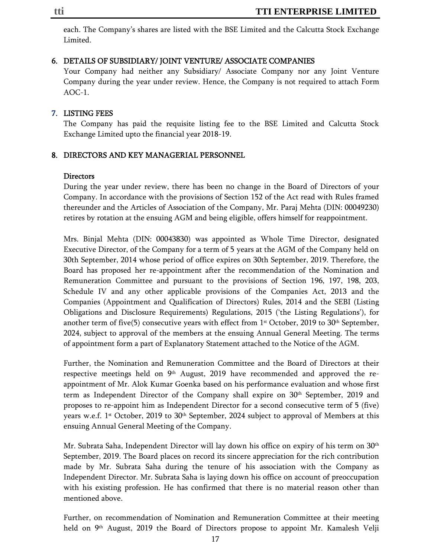each. The Company's shares are listed with the BSE Limited and the Calcutta Stock Exchange Limited.

#### 6. DETAILS OF SUBSIDIARY/ JOINT VENTURE/ ASSOCIATE COMPANIES

Your Company had neither any Subsidiary/ Associate Company nor any Joint Venture Company during the year under review. Hence, the Company is not required to attach Form AOC-1.

#### 7. LISTING FEES

The Company has paid the requisite listing fee to the BSE Limited and Calcutta Stock Exchange Limited upto the financial year 2018-19.

#### 8. DIRECTORS AND KEY MANAGERIAL PERSONNEL

#### Directors

During the year under review, there has been no change in the Board of Directors of your Company. In accordance with the provisions of Section 152 of the Act read with Rules framed thereunder and the Articles of Association of the Company, Mr. Paraj Mehta (DIN: 00049230) retires by rotation at the ensuing AGM and being eligible, offers himself for reappointment.

Mrs. Binjal Mehta (DIN: 00043830) was appointed as Whole Time Director, designated Executive Director, of the Company for a term of 5 years at the AGM of the Company held on 30th September, 2014 whose period of office expires on 30th September, 2019. Therefore, the Board has proposed her re-appointment after the recommendation of the Nomination and Remuneration Committee and pursuant to the provisions of Section 196, 197, 198, 203, Schedule IV and any other applicable provisions of the Companies Act, 2013 and the Companies (Appointment and Qualification of Directors) Rules, 2014 and the SEBI (Listing Obligations and Disclosure Requirements) Regulations, 2015 ('the Listing Regulations'), for another term of five(5) consecutive years with effect from  $1<sup>st</sup>$  October, 2019 to 30<sup>th</sup> September, 2024, subject to approval of the members at the ensuing Annual General Meeting. The terms of appointment form a part of Explanatory Statement attached to the Notice of the AGM.

Further, the Nomination and Remuneration Committee and the Board of Directors at their respective meetings held on  $9<sup>th</sup>$  August, 2019 have recommended and approved the reappointment of Mr. Alok Kumar Goenka based on his performance evaluation and whose first term as Independent Director of the Company shall expire on 30th September, 2019 and proposes to re-appoint him as Independent Director for a second consecutive term of 5 (five) years w.e.f.  $1<sup>st</sup>$  October, 2019 to 30<sup>th</sup> September, 2024 subject to approval of Members at this ensuing Annual General Meeting of the Company.

Mr. Subrata Saha, Independent Director will lay down his office on expiry of his term on 30<sup>th</sup> September, 2019. The Board places on record its sincere appreciation for the rich contribution made by Mr. Subrata Saha during the tenure of his association with the Company as Independent Director. Mr. Subrata Saha is laying down his office on account of preoccupation with his existing profession. He has confirmed that there is no material reason other than mentioned above.

Further, on recommendation of Nomination and Remuneration Committee at their meeting held on 9<sup>th</sup> August, 2019 the Board of Directors propose to appoint Mr. Kamalesh Velji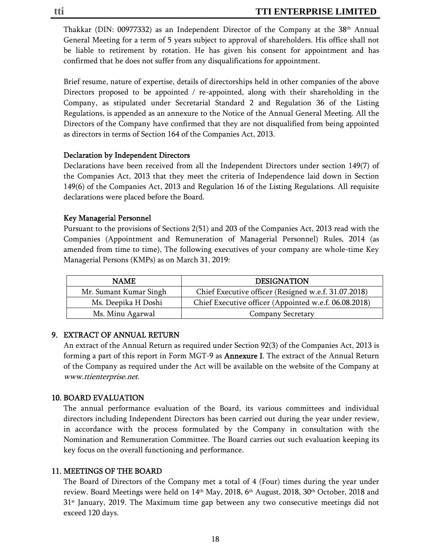Thakkar (DIN: 00977332) as an Independent Director of the Company at the  $38<sup>th</sup>$  Annual General Meeting for a term of 5 years subject to approval of shareholders. His office shall not be liable to retirement by rotation. He has given his consent for appointment and has confirmed that he does not suffer from any disqualifications for appointment.

Brief resume, nature of expertise, details of directorships held in other companies of the above Directors proposed to be appointed / re-appointed, along with their shareholding in the Company, as stipulated under Secretarial Standard 2 and Regulation 36 of the Listing Regulations, is appended as an annexure to the Notice of the Annual General Meeting. All the Directors of the Company have confirmed that they are not disqualified from being appointed as directors in terms of Section 164 of the Companies Act, 2013.

#### Declaration by Independent Directors

Declarations have been received from all the Independent Directors under section 149(7) of the Companies Act, 2013 that they meet the criteria of Independence laid down in Section 149(6) of the Companies Act, 2013 and Regulation 16 of the Listing Regulations. All requisite declarations were placed before the Board.

#### Key Managerial Personnel

Pursuant to the provisions of Sections 2(51) and 203 of the Companies Act, 2013 read with the Companies (Appointment and Remuneration of Managerial Personnel) Rules, 2014 (as amended from time to time), The following executives of your company are whole-time Key Managerial Persons (KMPs) as on March 31, 2019:

| NAME.                  | <b>DESIGNATION</b>                                    |
|------------------------|-------------------------------------------------------|
| Mr. Sumant Kumar Singh | Chief Executive officer (Resigned w.e.f. 31.07.2018)  |
| Ms. Deepika H Doshi    | Chief Executive officer (Appointed w.e.f. 06.08.2018) |
| Ms. Minu Agarwal       | <b>Company Secretary</b>                              |

#### 9. EXTRACT OF ANNUAL RETURN

An extract of the Annual Return as required under Section 92(3) of the Companies Act, 2013 is forming a part of this report in Form MGT-9 as **Annexure I**. The extract of the Annual Return of the Company as required under the Act will be available on the website of the Company at www.ttienterprise.net.

#### 10. BOARD EVALUATION

The annual performance evaluation of the Board, its various committees and individual directors including Independent Directors has been carried out during the year under review, in accordance with the process formulated by the Company in consultation with the Nomination and Remuneration Committee. The Board carries out such evaluation keeping its key focus on the overall functioning and performance.

#### 11. MEETINGS OF THE BOARD

The Board of Directors of the Company met a total of 4 (Four) times during the year under review. Board Meetings were held on 14<sup>th</sup> May, 2018, 6<sup>th</sup> August, 2018, 30<sup>th</sup> October, 2018 and  $31<sup>st</sup>$  January, 2019. The Maximum time gap between any two consecutive meetings did not exceed 120 days.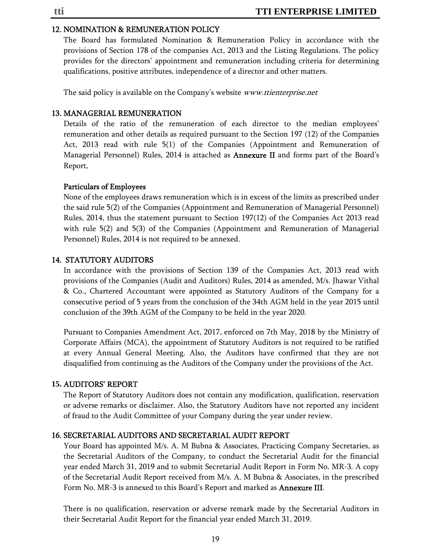#### 12. NOMINATION & REMUNERATION POLICY

The Board has formulated Nomination & Remuneration Policy in accordance with the provisions of Section 178 of the companies Act, 2013 and the Listing Regulations. The policy provides for the directors' appointment and remuneration including criteria for determining qualifications, positive attributes, independence of a director and other matters.

The said policy is available on the Company's website *www.ttienterprise.net* 

#### 13. MANAGERIAL REMUNERATION

Details of the ratio of the remuneration of each director to the median employees' remuneration and other details as required pursuant to the Section 197 (12) of the Companies Act, 2013 read with rule 5(1) of the Companies (Appointment and Remuneration of Managerial Personnel) Rules, 2014 is attached as **Annexure II** and forms part of the Board's Report.

#### Particulars of Employees

None of the employees draws remuneration which is in excess of the limits as prescribed under the said rule 5(2) of the Companies (Appointment and Remuneration of Managerial Personnel) Rules, 2014, thus the statement pursuant to Section 197(12) of the Companies Act 2013 read with rule 5(2) and 5(3) of the Companies (Appointment and Remuneration of Managerial Personnel) Rules, 2014 is not required to be annexed.

#### 14. STATUTORY AUDITORS

In accordance with the provisions of Section 139 of the Companies Act, 2013 read with provisions of the Companies (Audit and Auditors) Rules, 2014 as amended, M/s. Jhawar Vithal & Co., Chartered Accountant were appointed as Statutory Auditors of the Company for a consecutive period of 5 years from the conclusion of the 34th AGM held in the year 2015 until conclusion of the 39th AGM of the Company to be held in the year 2020.

Pursuant to Companies Amendment Act, 2017, enforced on 7th May, 2018 by the Ministry of Corporate Affairs (MCA), the appointment of Statutory Auditors is not required to be ratified at every Annual General Meeting. Also, the Auditors have confirmed that they are not disqualified from continuing as the Auditors of the Company under the provisions of the Act.

#### **15.** AUDITORS' REPORT

The Report of Statutory Auditors does not contain any modification, qualification, reservation or adverse remarks or disclaimer. Also, the Statutory Auditors have not reported any incident of fraud to the Audit Committee of your Company during the year under review.

#### 16. SECRETARIAL AUDITORS AND SECRETARIAL AUDIT REPORT

Your Board has appointed M/s. A. M Bubna & Associates, Practicing Company Secretaries, as the Secretarial Auditors of the Company, to conduct the Secretarial Audit for the financial year ended March 31, 2019 and to submit Secretarial Audit Report in Form No. MR-3. A copy of the Secretarial Audit Report received from M/s. A. M Bubna & Associates, in the prescribed Form No. MR-3 is annexed to this Board's Report and marked as Annexure III.

There is no qualification, reservation or adverse remark made by the Secretarial Auditors in their Secretarial Audit Report for the financial year ended March 31, 2019.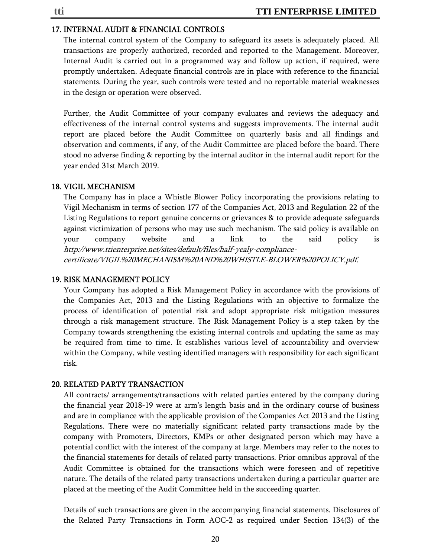#### 17. INTERNAL AUDIT & FINANCIAL CONTROLS

The internal control system of the Company to safeguard its assets is adequately placed. All transactions are properly authorized, recorded and reported to the Management. Moreover, Internal Audit is carried out in a programmed way and follow up action, if required, were promptly undertaken. Adequate financial controls are in place with reference to the financial statements. During the year, such controls were tested and no reportable material weaknesses in the design or operation were observed.

Further, the Audit Committee of your company evaluates and reviews the adequacy and effectiveness of the internal control systems and suggests improvements. The internal audit report are placed before the Audit Committee on quarterly basis and all findings and observation and comments, if any, of the Audit Committee are placed before the board. There stood no adverse finding & reporting by the internal auditor in the internal audit report for the year ended 31st March 2019.

#### 18. VIGIL MECHANISM

The Company has in place a Whistle Blower Policy incorporating the provisions relating to Vigil Mechanism in terms of section 177 of the Companies Act, 2013 and Regulation 22 of the Listing Regulations to report genuine concerns or grievances & to provide adequate safeguards against victimization of persons who may use such mechanism. The said policy is available on your company website and a link to the said policy is http://www.ttienterprise.net/sites/default/files/half-yealy-compliancecertificate/VIGIL%20MECHANISM%20AND%20WHISTLE-BLOWER%20POLICY.pdf.

#### 19. RISK MANAGEMENT POLICY

Your Company has adopted a Risk Management Policy in accordance with the provisions of the Companies Act, 2013 and the Listing Regulations with an objective to formalize the process of identification of potential risk and adopt appropriate risk mitigation measures through a risk management structure. The Risk Management Policy is a step taken by the Company towards strengthening the existing internal controls and updating the same as may be required from time to time. It establishes various level of accountability and overview within the Company, while vesting identified managers with responsibility for each significant risk.

#### 20. RELATED PARTY TRANSACTION

All contracts/ arrangements/transactions with related parties entered by the company during the financial year 2018-19 were at arm's length basis and in the ordinary course of business and are in compliance with the applicable provision of the Companies Act 2013 and the Listing Regulations. There were no materially significant related party transactions made by the company with Promoters, Directors, KMPs or other designated person which may have a potential conflict with the interest of the company at large. Members may refer to the notes to the financial statements for details of related party transactions. Prior omnibus approval of the Audit Committee is obtained for the transactions which were foreseen and of repetitive nature. The details of the related party transactions undertaken during a particular quarter are placed at the meeting of the Audit Committee held in the succeeding quarter.

Details of such transactions are given in the accompanying financial statements. Disclosures of the Related Party Transactions in Form AOC-2 as required under Section 134(3) of the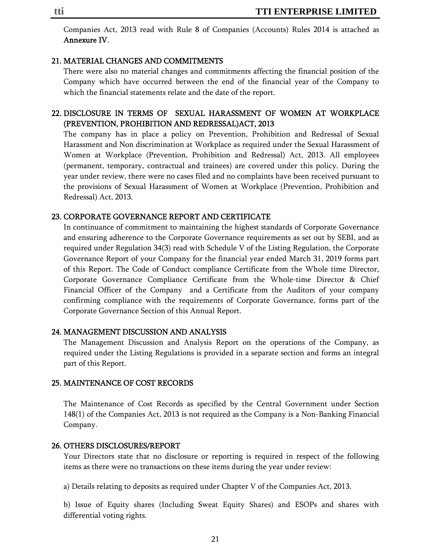Companies Act, 2013 read with Rule 8 of Companies (Accounts) Rules 2014 is attached as Annexure IV.

#### 21. MATERIAL CHANGES AND COMMITMENTS

There were also no material changes and commitments affecting the financial position of the Company which have occurred between the end of the financial year of the Company to which the financial statements relate and the date of the report.

#### 22. DISCLOSURE IN TERMS OF SEXUAL HARASSMENT OF WOMEN AT WORKPLACE (PREVENTION, PROHIBITION AND REDRESSAL)ACT, 2013

The company has in place a policy on Prevention, Prohibition and Redressal of Sexual Harassment and Non discrimination at Workplace as required under the Sexual Harassment of Women at Workplace (Prevention, Prohibition and Redressal) Act, 2013. All employees (permanent, temporary, contractual and trainees) are covered under this policy. During the year under review, there were no cases filed and no complaints have been received pursuant to the provisions of Sexual Harassment of Women at Workplace (Prevention, Prohibition and Redressal) Act, 2013.

#### 23. CORPORATE GOVERNANCE REPORT AND CERTIFICATE

In continuance of commitment to maintaining the highest standards of Corporate Governance and ensuring adherence to the Corporate Governance requirements as set out by SEBI, and as required under Regulation 34(3) read with Schedule V of the Listing Regulation, the Corporate Governance Report of your Company for the financial year ended March 31, 2019 forms part of this Report. The Code of Conduct compliance Certificate from the Whole time Director, Corporate Governance Compliance Certificate from the Whole-time Director & Chief Financial Officer of the Company and a Certificate from the Auditors of your company confirming compliance with the requirements of Corporate Governance, forms part of the Corporate Governance Section of this Annual Report.

#### 24. MANAGEMENT DISCUSSION AND ANALYSIS

The Management Discussion and Analysis Report on the operations of the Company, as required under the Listing Regulations is provided in a separate section and forms an integral part of this Report.

#### 25. MAINTENANCE OF COST RECORDS

The Maintenance of Cost Records as specified by the Central Government under Section 148(1) of the Companies Act, 2013 is not required as the Company is a Non-Banking Financial Company.

#### 26. OTHERS DISCLOSURES/REPORT

Your Directors state that no disclosure or reporting is required in respect of the following items as there were no transactions on these items during the year under review:

a) Details relating to deposits as required under Chapter V of the Companies Act, 2013.

b) Issue of Equity shares (Including Sweat Equity Shares) and ESOPs and shares with differential voting rights.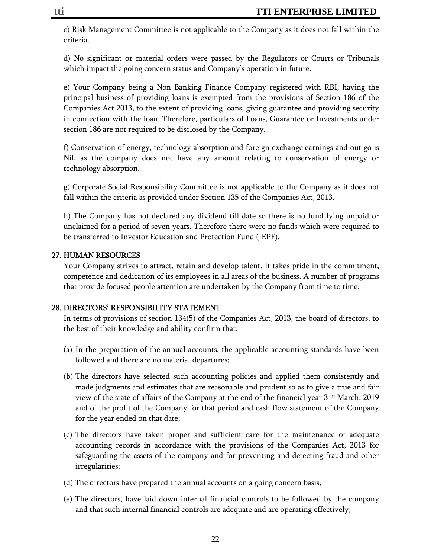c) Risk Management Committee is not applicable to the Company as it does not fall within the criteria.

d) No significant or material orders were passed by the Regulators or Courts or Tribunals which impact the going concern status and Company's operation in future.

e) Your Company being a Non Banking Finance Company registered with RBI, having the principal business of providing loans is exempted from the provisions of Section 186 of the Companies Act 2013, to the extent of providing loans, giving guarantee and providing security in connection with the loan. Therefore, particulars of Loans, Guarantee or Investments under section 186 are not required to be disclosed by the Company.

f) Conservation of energy, technology absorption and foreign exchange earnings and out go is Nil, as the company does not have any amount relating to conservation of energy or technology absorption.

g) Corporate Social Responsibility Committee is not applicable to the Company as it does not fall within the criteria as provided under Section 135 of the Companies Act, 2013.

h) The Company has not declared any dividend till date so there is no fund lying unpaid or unclaimed for a period of seven years. Therefore there were no funds which were required to be transferred to Investor Education and Protection Fund (IEPF).

#### 27. HUMAN RESOURCES

Your Company strives to attract, retain and develop talent. It takes pride in the commitment, competence and dedication of its employees in all areas of the business. A number of programs that provide focused people attention are undertaken by the Company from time to time.

#### 28. DIRECTORS' RESPONSIBILITY STATEMENT

In terms of provisions of section 134(5) of the Companies Act, 2013, the board of directors, to the best of their knowledge and ability confirm that:

- (a) In the preparation of the annual accounts, the applicable accounting standards have been followed and there are no material departures;
- (b) The directors have selected such accounting policies and applied them consistently and made judgments and estimates that are reasonable and prudent so as to give a true and fair view of the state of affairs of the Company at the end of the financial year  $31<sup>st</sup>$  March, 2019 and of the profit of the Company for that period and cash flow statement of the Company for the year ended on that date;
- (c) The directors have taken proper and sufficient care for the maintenance of adequate accounting records in accordance with the provisions of the Companies Act, 2013 for safeguarding the assets of the company and for preventing and detecting fraud and other irregularities;
- (d) The directors have prepared the annual accounts on a going concern basis;
- (e) The directors, have laid down internal financial controls to be followed by the company and that such internal financial controls are adequate and are operating effectively;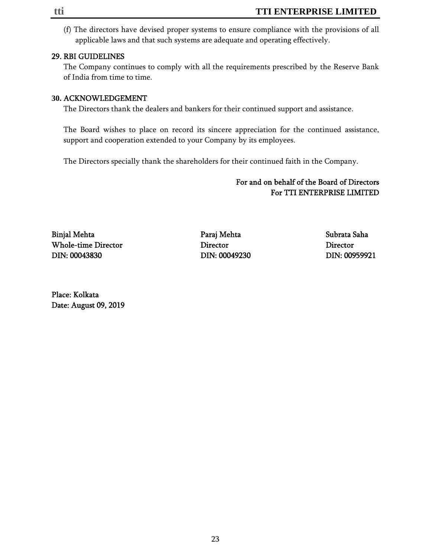(f) The directors have devised proper systems to ensure compliance with the provisions of all applicable laws and that such systems are adequate and operating effectively.

#### 29. RBI GUIDELINES

The Company continues to comply with all the requirements prescribed by the Reserve Bank of India from time to time.

#### **30.** ACKNOWLEDGEMENT

The Directors thank the dealers and bankers for their continued support and assistance.

The Board wishes to place on record its sincere appreciation for the continued assistance, support and cooperation extended to your Company by its employees.

The Directors specially thank the shareholders for their continued faith in the Company.

#### For and on behalf of the Board of Directors For TTI ENTERPRISE LIMITED

Binjal Mehta Paraj Mehta Subrata Saha Whole-time Director Director Director DIN: 00043830 DIN: 00049230 DIN: 00959921

Place: Kolkata Date: August 09, 2019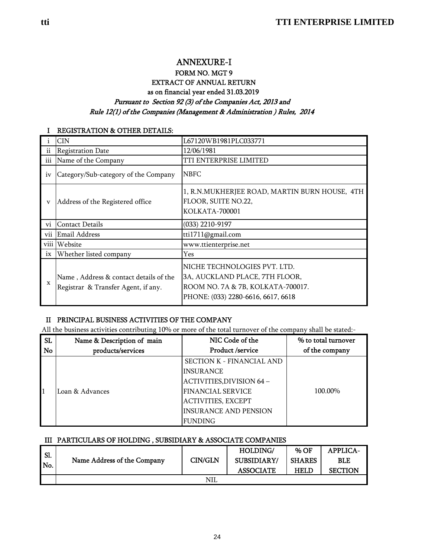#### ANNEXURE-I FORM NO. MGT 9 EXTRACT OF ANNUAL RETURN as on financial year ended 31.03.2019 Pursuant to Section 92 (3) of the Companies Act, 2013 and Rule 12(1) of the Companies (Management & Administration ) Rules, 2014

#### I REGISTRATION & OTHER DETAILS:

|                 | CIN                                  | L67120WB1981PLC033771                                                                  |
|-----------------|--------------------------------------|----------------------------------------------------------------------------------------|
| 11              | <b>Registration Date</b>             | 12/06/1981                                                                             |
| iii             | Name of the Company                  | TTI ENTERPRISE LIMITED                                                                 |
| iv              | Category/Sub-category of the Company | <b>NBFC</b>                                                                            |
| V               | Address of the Registered office     | 1, R.N.MUKHERJEE ROAD, MARTIN BURN HOUSE, 4TH<br>FLOOR, SUITE NO.22,<br>KOLKATA-700001 |
| $\rm{vi}$       | <b>Contact Details</b>               | $(033)$ 2210-9197                                                                      |
|                 |                                      |                                                                                        |
| vii             | Email Address                        | tti1711@gmail.com                                                                      |
| viii            | Website                              | www.ttienterprise.net                                                                  |
| $\overline{1}X$ | Whether listed company               | Yes                                                                                    |

#### II PRINCIPAL BUSINESS ACTIVITIES OF THE COMPANY

All the business activities contributing 10% or more of the total turnover of the company shall be stated:-

| <b>SL</b> | Name & Description of main | NIC Code of the                  | % to total turnover |
|-----------|----------------------------|----------------------------------|---------------------|
| No        | products/services          | Product /service                 | of the company      |
|           |                            | <b>SECTION K - FINANCIAL AND</b> |                     |
|           |                            | <b>INSURANCE</b>                 |                     |
|           |                            | ACTIVITIES, DIVISION 64 -        |                     |
|           | Loan & Advances            | <b>FINANCIAL SERVICE</b>         | 100.00%             |
|           |                            | <b>ACTIVITIES, EXCEPT</b>        |                     |
|           |                            | <b>INSURANCE AND PENSION</b>     |                     |
|           |                            | <b>FUNDING</b>                   |                     |

#### III PARTICULARS OF HOLDING , SUBSIDIARY & ASSOCIATE COMPANIES

| Sl. |                             |         | HOLDING/         | % OF          | <b>APPLICA-</b> |
|-----|-----------------------------|---------|------------------|---------------|-----------------|
|     | Name Address of the Company | CIN/GLN | SUBSIDIARY/      | <b>SHARES</b> | BLE             |
| No. |                             |         | <b>ASSOCIATE</b> | HELD          | <b>SECTION</b>  |
|     |                             | NIL     |                  |               |                 |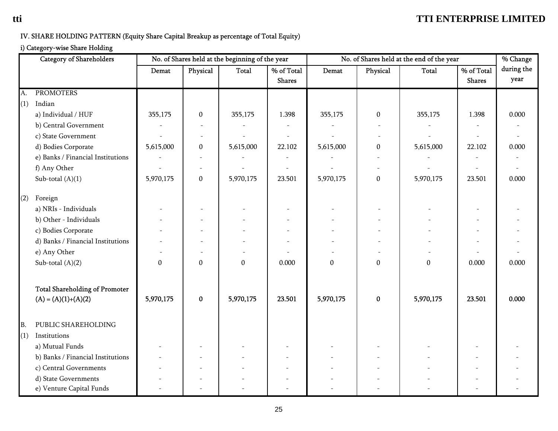## IV. SHARE HOLDING PATTERN (Equity Share Capital Breakup as percentage of Total Equity)

#### i) Category-wise Share Holding

|           | <b>Category of Shareholders</b>                                                                                                                                                                                                | No. of Shares held at the beginning of the year<br>No. of Shares held at the end of the year |                              |                               |                             | % Change                  |                              |                           |                             |                    |
|-----------|--------------------------------------------------------------------------------------------------------------------------------------------------------------------------------------------------------------------------------|----------------------------------------------------------------------------------------------|------------------------------|-------------------------------|-----------------------------|---------------------------|------------------------------|---------------------------|-----------------------------|--------------------|
|           |                                                                                                                                                                                                                                | Demat                                                                                        | Physical                     | Total                         | % of Total<br><b>Shares</b> | Demat                     | Physical                     | <b>Total</b>              | % of Total<br><b>Shares</b> | during the<br>year |
| A.        | <b>PROMOTERS</b>                                                                                                                                                                                                               |                                                                                              |                              |                               |                             |                           |                              |                           |                             |                    |
| (1)       | Indian                                                                                                                                                                                                                         |                                                                                              |                              |                               |                             |                           |                              |                           |                             |                    |
|           | a) Individual / HUF                                                                                                                                                                                                            | 355,175                                                                                      | $\pmb{0}$                    | 355,175                       | 1.398                       | 355,175                   | $\mathbf{0}$                 | 355,175                   | 1.398                       | 0.000              |
|           | b) Central Government                                                                                                                                                                                                          |                                                                                              |                              |                               |                             |                           |                              |                           |                             |                    |
|           | c) State Government                                                                                                                                                                                                            |                                                                                              |                              |                               |                             |                           |                              |                           |                             |                    |
|           | d) Bodies Corporate                                                                                                                                                                                                            | 5,615,000                                                                                    | $\boldsymbol{0}$             | 5,615,000                     | 22.102                      | 5,615,000                 | $\boldsymbol{0}$             | 5,615,000                 | 22.102                      | 0.000              |
|           | e) Banks / Financial Institutions                                                                                                                                                                                              |                                                                                              |                              |                               |                             |                           |                              |                           |                             |                    |
|           | f) Any Other                                                                                                                                                                                                                   |                                                                                              |                              |                               |                             |                           |                              |                           |                             |                    |
|           | Sub-total $(A)(1)$                                                                                                                                                                                                             | 5,970,175                                                                                    | $\boldsymbol{0}$             | 5,970,175                     | 23.501                      | 5,970,175                 | $\boldsymbol{0}$             | 5,970,175                 | 23.501                      | 0.000              |
| (2)       | Foreign<br>a) NRIs - Individuals<br>b) Other - Individuals<br>c) Bodies Corporate<br>d) Banks / Financial Institutions<br>e) Any Other<br>Sub-total $(A)(2)$<br><b>Total Shareholding of Promoter</b><br>$(A) = (A)(1)+(A)(2)$ | $\boldsymbol{0}$<br>5,970,175                                                                | $\boldsymbol{0}$<br>$\bf{0}$ | $\boldsymbol{0}$<br>5,970,175 | 0.000<br>23.501             | $\mathbf{0}$<br>5,970,175 | $\boldsymbol{0}$<br>$\bf{0}$ | $\mathbf{0}$<br>5,970,175 | 0.000<br>23.501             | 0.000<br>0.000     |
| B.<br>(1) | PUBLIC SHAREHOLDING<br>Institutions                                                                                                                                                                                            |                                                                                              |                              |                               |                             |                           |                              |                           |                             |                    |
|           | a) Mutual Funds                                                                                                                                                                                                                |                                                                                              |                              |                               |                             |                           |                              |                           |                             |                    |
|           | b) Banks / Financial Institutions                                                                                                                                                                                              |                                                                                              |                              |                               |                             |                           |                              |                           |                             |                    |
|           | c) Central Governments                                                                                                                                                                                                         |                                                                                              |                              |                               |                             |                           |                              |                           |                             |                    |
|           | d) State Governments<br>e) Venture Capital Funds                                                                                                                                                                               |                                                                                              |                              |                               |                             |                           |                              |                           |                             |                    |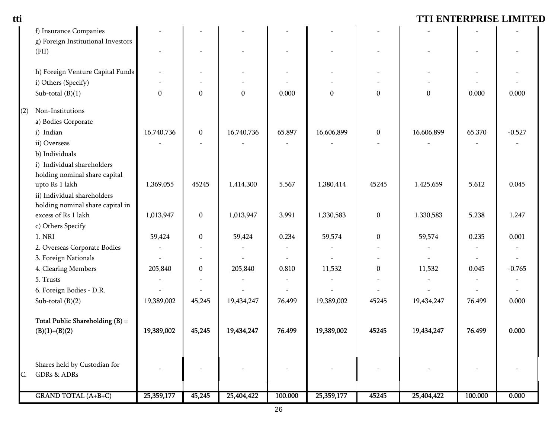| tti |                                    |              |                          |                  |                          |              |                          |              |                          | TTI ENTERPRISE LIMITED |
|-----|------------------------------------|--------------|--------------------------|------------------|--------------------------|--------------|--------------------------|--------------|--------------------------|------------------------|
|     | f) Insurance Companies             |              |                          |                  |                          |              |                          |              |                          |                        |
|     | g) Foreign Institutional Investors |              |                          |                  |                          |              |                          |              |                          |                        |
|     | (FII)                              |              | $\overline{\phantom{a}}$ |                  | $\overline{\phantom{a}}$ |              |                          |              |                          |                        |
|     | h) Foreign Venture Capital Funds   |              |                          |                  |                          |              |                          |              |                          |                        |
|     | i) Others (Specify)                |              |                          |                  |                          |              |                          |              |                          |                        |
|     | Sub-total $(B)(1)$                 | $\mathbf{0}$ | $\pmb{0}$                | $\boldsymbol{0}$ | 0.000                    | $\mathbf{0}$ | $\mathbf{0}$             | $\mathbf{0}$ | 0.000                    | 0.000                  |
| (2) | Non-Institutions                   |              |                          |                  |                          |              |                          |              |                          |                        |
|     | a) Bodies Corporate                |              |                          |                  |                          |              |                          |              |                          |                        |
|     | i) Indian                          | 16,740,736   | $\boldsymbol{0}$         | 16,740,736       | 65.897                   | 16,606,899   | $\boldsymbol{0}$         | 16,606,899   | 65.370                   | $-0.527$               |
|     | ii) Overseas                       |              |                          |                  |                          |              |                          |              |                          |                        |
|     | b) Individuals                     |              |                          |                  |                          |              |                          |              |                          |                        |
|     | i) Individual shareholders         |              |                          |                  |                          |              |                          |              |                          |                        |
|     | holding nominal share capital      |              |                          |                  |                          |              |                          |              |                          |                        |
|     | upto Rs 1 lakh                     | 1,369,055    | 45245                    | 1,414,300        | 5.567                    | 1,380,414    | 45245                    | 1,425,659    | 5.612                    | 0.045                  |
|     | ii) Individual shareholders        |              |                          |                  |                          |              |                          |              |                          |                        |
|     | holding nominal share capital in   |              |                          |                  |                          |              |                          |              |                          |                        |
|     | excess of Rs 1 lakh                | 1,013,947    | $\boldsymbol{0}$         | 1,013,947        | 3.991                    | 1,330,583    | $\mathbf{0}$             | 1,330,583    | 5.238                    | 1.247                  |
|     | c) Others Specify                  |              |                          |                  |                          |              |                          |              |                          |                        |
|     | 1. NRI                             | 59,424       | $\pmb{0}$                | 59,424           | 0.234                    | 59,574       | $\boldsymbol{0}$         | 59,574       | 0.235                    | 0.001                  |
|     | 2. Overseas Corporate Bodies       |              | $\overline{\phantom{a}}$ |                  |                          |              |                          |              | $\overline{\phantom{a}}$ |                        |
|     | 3. Foreign Nationals               |              | $\overline{\phantom{a}}$ |                  |                          |              | $\overline{\phantom{a}}$ |              |                          |                        |
|     | 4. Clearing Members                | 205,840      | $\boldsymbol{0}$         | 205,840          | 0.810                    | 11,532       | $\boldsymbol{0}$         | 11,532       | 0.045                    | $-0.765$               |
|     | 5. Trusts                          |              | $\overline{\phantom{a}}$ |                  |                          |              |                          |              |                          |                        |
|     | 6. Foreign Bodies - D.R.           |              |                          |                  |                          |              |                          |              |                          |                        |
|     | Sub-total $(B)(2)$                 | 19,389,002   | 45,245                   | 19,434,247       | 76.499                   | 19,389,002   | 45245                    | 19,434,247   | 76.499                   | 0.000                  |
|     | Total Public Shareholding $(B)$ =  |              |                          |                  |                          |              |                          |              |                          |                        |
|     | $(B)(1)+(B)(2)$                    | 19,389,002   | 45,245                   | 19,434,247       | 76.499                   | 19,389,002   | 45245                    | 19,434,247   | 76.499                   | 0.000                  |
|     | Shares held by Custodian for       |              |                          |                  |                          |              |                          |              |                          |                        |
| C.  | GDRs & ADRs                        |              |                          |                  |                          |              |                          |              |                          |                        |
|     | <b>GRAND TOTAL (A+B+C)</b>         | 25,359,177   | 45,245                   | 25,404,422       | 100.000                  | 25,359,177   | 45245                    | 25,404,422   | 100.000                  | 0.000                  |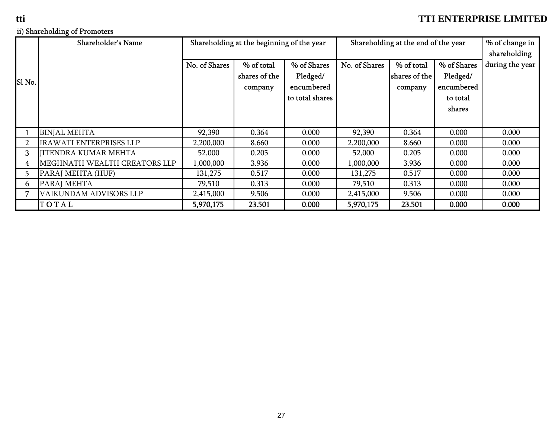## ii) Shareholding of Promoters

|                | <b>Shareholder's Name</b>      | Shareholding at the beginning of the year |               |                 | Shareholding at the end of the year | % of change in |             |                 |
|----------------|--------------------------------|-------------------------------------------|---------------|-----------------|-------------------------------------|----------------|-------------|-----------------|
|                |                                |                                           |               |                 |                                     |                |             | shareholding    |
|                |                                | No. of Shares                             | % of total    | % of Shares     | No. of Shares                       | % of total     | % of Shares | during the year |
|                |                                |                                           | shares of the | Pledged/        |                                     | shares of the  | Pledged/    |                 |
| ISI No.        |                                |                                           | company       | encumbered      |                                     | company        | encumbered  |                 |
|                |                                |                                           |               | to total shares |                                     |                | to total    |                 |
|                |                                |                                           |               |                 |                                     |                | shares      |                 |
|                |                                |                                           |               |                 |                                     |                |             |                 |
|                | <b>BINJAL MEHTA</b>            | 92,390                                    | 0.364         | 0.000           | 92,390                              | 0.364          | 0.000       | 0.000           |
| $\overline{2}$ | <b>IRAWATI ENTERPRISES LLP</b> | 2,200,000                                 | 8.660         | 0.000           | 2,200,000                           | 8.660          | 0.000       | 0.000           |
| 3              | <b>JITENDRA KUMAR MEHTA</b>    | 52,000                                    | 0.205         | 0.000           | 52,000                              | 0.205          | 0.000       | 0.000           |
| 4              | MEGHNATH WEALTH CREATORS LLP   | 1,000,000                                 | 3.936         | 0.000           | 1,000,000                           | 3.936          | 0.000       | 0.000           |
| 5.             | PARAJ MEHTA (HUF)              | 131,275                                   | 0.517         | 0.000           | 131,275                             | 0.517          | 0.000       | 0.000           |
| 6              | PARAJ MEHTA                    | 79,510                                    | 0.313         | 0.000           | 79,510                              | 0.313          | 0.000       | 0.000           |
|                | VAIKUNDAM ADVISORS LLP         | 2,415,000                                 | 9.506         | 0.000           | 2,415,000                           | 9.506          | 0.000       | 0.000           |
|                | TOTAL                          | 5,970,175                                 | 23.501        | 0.000           | 5,970,175                           | 23.501         | 0.000       | 0.000           |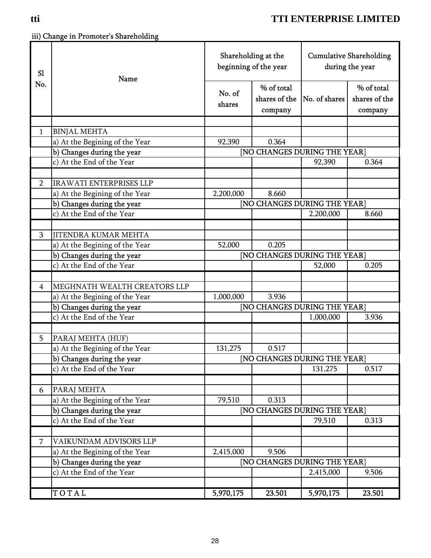iii) Change in Promoter's Shareholding

| SI             | Name                           | Shareholding at the<br>beginning of the year |                              | <b>Cumulative Shareholding</b><br>during the year |               |
|----------------|--------------------------------|----------------------------------------------|------------------------------|---------------------------------------------------|---------------|
| No.            |                                |                                              | % of total                   |                                                   | % of total    |
|                |                                | No. of                                       | shares of the                | No. of shares                                     | shares of the |
|                |                                | shares                                       | company                      |                                                   | company       |
|                |                                |                                              |                              |                                                   |               |
| $\mathbf{1}$   | <b>BINJAL MEHTA</b>            |                                              |                              |                                                   |               |
|                | a) At the Begining of the Year | 92,390                                       | 0.364                        |                                                   |               |
|                | b) Changes during the year     |                                              | [NO CHANGES DURING THE YEAR] |                                                   |               |
|                | c) At the End of the Year      |                                              |                              | 92,390                                            | 0.364         |
|                |                                |                                              |                              |                                                   |               |
| $\overline{2}$ | <b>IRAWATI ENTERPRISES LLP</b> |                                              |                              |                                                   |               |
|                | a) At the Begining of the Year | 2,200,000                                    | 8.660                        |                                                   |               |
|                | b) Changes during the year     |                                              | [NO CHANGES DURING THE YEAR] |                                                   |               |
|                | c) At the End of the Year      |                                              |                              | 2,200,000                                         | 8.660         |
|                |                                |                                              |                              |                                                   |               |
| 3              | <b>JITENDRA KUMAR MEHTA</b>    |                                              |                              |                                                   |               |
|                | a) At the Begining of the Year | 52,000                                       | 0.205                        |                                                   |               |
|                | b) Changes during the year     |                                              | [NO CHANGES DURING THE YEAR] |                                                   |               |
|                | c) At the End of the Year      |                                              |                              | 52,000                                            | 0.205         |
|                |                                |                                              |                              |                                                   |               |
| 4              | MEGHNATH WEALTH CREATORS LLP   |                                              |                              |                                                   |               |
|                | a) At the Begining of the Year | 1,000,000                                    | 3.936                        |                                                   |               |
|                | b) Changes during the year     |                                              | [NO CHANGES DURING THE YEAR] |                                                   |               |
|                | c) At the End of the Year      |                                              |                              | 1,000,000                                         | 3.936         |
|                |                                |                                              |                              |                                                   |               |
| 5              | PARAJ MEHTA (HUF)              |                                              |                              |                                                   |               |
|                | a) At the Begining of the Year | 131,275                                      | 0.517                        |                                                   |               |
|                | b) Changes during the year     |                                              | [NO CHANGES DURING THE YEAR] |                                                   |               |
|                | c) At the End of the Year      |                                              |                              | 131,275                                           | 0.517         |
| 6              | PARAJ MEHTA                    |                                              |                              |                                                   |               |
|                | a) At the Begining of the Year | 79,510                                       | 0.313                        |                                                   |               |
|                | b) Changes during the year     |                                              | [NO CHANGES DURING THE YEAR] |                                                   |               |
|                | c) At the End of the Year      |                                              |                              | 79,510                                            | 0.313         |
|                |                                |                                              |                              |                                                   |               |
| 7              | VAIKUNDAM ADVISORS LLP         |                                              |                              |                                                   |               |
|                | a) At the Begining of the Year | 2,415,000                                    | 9.506                        |                                                   |               |
|                | b) Changes during the year     |                                              | [NO CHANGES DURING THE YEAR] |                                                   |               |
|                | c) At the End of the Year      |                                              |                              | 2,415,000                                         | 9.506         |
|                |                                |                                              |                              |                                                   |               |
|                | TOTAL                          | 5,970,175                                    | 23.501                       | 5,970,175                                         | 23.501        |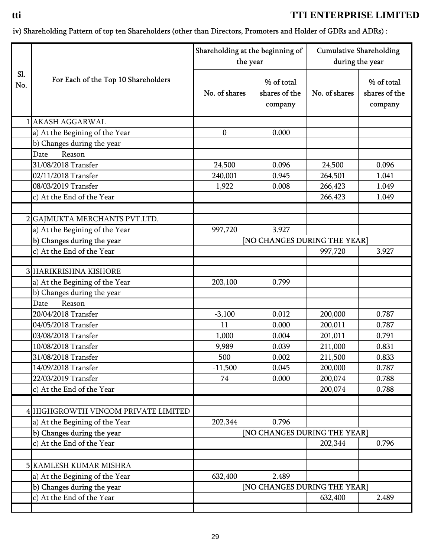## iv) Shareholding Pattern of top ten Shareholders (other than Directors, Promoters and Holder of GDRs and ADRs) :

|                   |                                     | Shareholding at the beginning of<br>the year |                                        | <b>Cumulative Shareholding</b><br>during the year |                                        |
|-------------------|-------------------------------------|----------------------------------------------|----------------------------------------|---------------------------------------------------|----------------------------------------|
| <b>S1.</b><br>No. | For Each of the Top 10 Shareholders | No. of shares                                | % of total<br>shares of the<br>company | No. of shares                                     | % of total<br>shares of the<br>company |
|                   | <b>AKASH AGGARWAL</b>               |                                              |                                        |                                                   |                                        |
|                   | a) At the Begining of the Year      | $\boldsymbol{0}$                             | 0.000                                  |                                                   |                                        |
|                   | b) Changes during the year          |                                              |                                        |                                                   |                                        |
|                   | Date<br>Reason                      |                                              |                                        |                                                   |                                        |
|                   | 31/08/2018 Transfer                 | 24,500                                       | 0.096                                  | 24,500                                            | 0.096                                  |
|                   | 02/11/2018 Transfer                 | 240,001                                      | 0.945                                  | 264,501                                           | 1.041                                  |
|                   | 08/03/2019 Transfer                 | 1,922                                        | 0.008                                  | 266,423                                           | 1.049                                  |
|                   | c) At the End of the Year           |                                              |                                        | 266,423                                           | 1.049                                  |
|                   |                                     |                                              |                                        |                                                   |                                        |
|                   | 2 GAJMUKTA MERCHANTS PVT.LTD.       |                                              |                                        |                                                   |                                        |
|                   | a) At the Begining of the Year      | 997,720                                      | 3.927                                  |                                                   |                                        |
|                   | b) Changes during the year          |                                              | [NO CHANGES DURING THE YEAR]           |                                                   |                                        |
|                   | c) At the End of the Year           |                                              |                                        | 997,720                                           | 3.927                                  |
|                   |                                     |                                              |                                        |                                                   |                                        |
|                   | 3 HARIKRISHNA KISHORE               |                                              |                                        |                                                   |                                        |
|                   | a) At the Begining of the Year      | 203,100                                      | 0.799                                  |                                                   |                                        |
|                   | b) Changes during the year          |                                              |                                        |                                                   |                                        |
|                   | Reason<br>Date                      |                                              |                                        |                                                   |                                        |
|                   | 20/04/2018 Transfer                 | $-3,100$                                     | 0.012                                  | 200,000                                           | 0.787                                  |
|                   | 04/05/2018 Transfer                 | 11                                           | 0.000                                  | 200,011                                           | 0.787                                  |
|                   | 03/08/2018 Transfer                 | 1,000                                        | 0.004                                  | 201,011                                           | 0.791                                  |
|                   | 10/08/2018 Transfer                 | 9,989                                        | 0.039                                  | 211,000                                           | 0.831                                  |
|                   | 31/08/2018 Transfer                 | 500                                          | 0.002                                  | 211,500                                           | 0.833                                  |
|                   | 14/09/2018 Transfer                 | $-11,500$                                    | 0.045                                  | 200,000                                           | 0.787                                  |
|                   | 22/03/2019 Transfer                 | 74                                           | 0.000                                  | 200,074                                           | 0.788                                  |
|                   | c) At the End of the Year           |                                              |                                        | 200,074                                           | 0.788                                  |
|                   |                                     |                                              |                                        |                                                   |                                        |
|                   | 4 HIGHGROWTH VINCOM PRIVATE LIMITED |                                              |                                        |                                                   |                                        |
|                   | a) At the Begining of the Year      | 202,344                                      | 0.796                                  |                                                   |                                        |
|                   | b) Changes during the year          |                                              | [NO CHANGES DURING THE YEAR]           |                                                   |                                        |
|                   | c) At the End of the Year           |                                              |                                        | 202,344                                           | 0.796                                  |
|                   |                                     |                                              |                                        |                                                   |                                        |
|                   | <b>5 KAMLESH KUMAR MISHRA</b>       |                                              |                                        |                                                   |                                        |
|                   | a) At the Begining of the Year      | 632,400                                      | 2.489                                  |                                                   |                                        |
|                   | b) Changes during the year          |                                              | [NO CHANGES DURING THE YEAR]           |                                                   |                                        |
|                   | c) At the End of the Year           |                                              |                                        | 632,400                                           | 2.489                                  |
|                   |                                     |                                              |                                        |                                                   |                                        |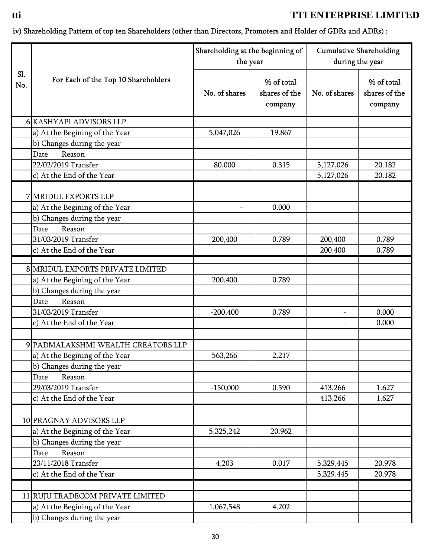## iv) Shareholding Pattern of top ten Shareholders (other than Directors, Promoters and Holder of GDRs and ADRs) :

|                   |                                     | Shareholding at the beginning of<br>the year |                                        | <b>Cumulative Shareholding</b><br>during the year |                                        |
|-------------------|-------------------------------------|----------------------------------------------|----------------------------------------|---------------------------------------------------|----------------------------------------|
| <b>S1.</b><br>No. | For Each of the Top 10 Shareholders | No. of shares                                | % of total<br>shares of the<br>company | No. of shares                                     | % of total<br>shares of the<br>company |
|                   | 6 KASHYAPI ADVISORS LLP             |                                              |                                        |                                                   |                                        |
|                   | a) At the Begining of the Year      | 5,047,026                                    | 19.867                                 |                                                   |                                        |
|                   | b) Changes during the year          |                                              |                                        |                                                   |                                        |
|                   | Reason<br>Date                      |                                              |                                        |                                                   |                                        |
|                   | 22/02/2019 Transfer                 | 80,000                                       | 0.315                                  | 5,127,026                                         | 20.182                                 |
|                   | c) At the End of the Year           |                                              |                                        | 5,127,026                                         | 20.182                                 |
|                   | 7 MRIDUL EXPORTS LLP                |                                              |                                        |                                                   |                                        |
|                   |                                     |                                              |                                        |                                                   |                                        |
|                   | a) At the Begining of the Year      |                                              | 0.000                                  |                                                   |                                        |
|                   | b) Changes during the year          |                                              |                                        |                                                   |                                        |
|                   | Date<br>Reason                      |                                              |                                        |                                                   |                                        |
|                   | 31/03/2019 Transfer                 | 200,400                                      | 0.789                                  | 200,400                                           | 0.789                                  |
|                   | c) At the End of the Year           |                                              |                                        | 200,400                                           | 0.789                                  |
|                   | 8 MRIDUL EXPORTS PRIVATE LIMITED    |                                              |                                        |                                                   |                                        |
|                   | a) At the Begining of the Year      | 200,400                                      | 0.789                                  |                                                   |                                        |
|                   | b) Changes during the year          |                                              |                                        |                                                   |                                        |
|                   | Reason<br>Date                      |                                              |                                        |                                                   |                                        |
|                   | 31/03/2019 Transfer                 | $-200,400$                                   | 0.789                                  | $\overline{\phantom{a}}$                          | 0.000                                  |
|                   | c) At the End of the Year           |                                              |                                        |                                                   | 0.000                                  |
|                   |                                     |                                              |                                        |                                                   |                                        |
|                   | 9 PADMALAKSHMI WEALTH CREATORS LLP  |                                              |                                        |                                                   |                                        |
|                   | a) At the Begining of the Year      | 563,266                                      | 2.217                                  |                                                   |                                        |
|                   | b) Changes during the year          |                                              |                                        |                                                   |                                        |
|                   | Reason<br>Date                      |                                              |                                        |                                                   |                                        |
|                   | 29/03/2019 Transfer                 | $-150,000$                                   | 0.590                                  | 413,266                                           | 1.627                                  |
|                   | c) At the End of the Year           |                                              |                                        | 413,266                                           | 1.627                                  |
|                   |                                     |                                              |                                        |                                                   |                                        |
|                   | 10 PRAGNAY ADVISORS LLP             |                                              |                                        |                                                   |                                        |
|                   | a) At the Begining of the Year      | 5,325,242                                    | 20.962                                 |                                                   |                                        |
|                   | b) Changes during the year          |                                              |                                        |                                                   |                                        |
|                   | Reason<br>Date                      |                                              |                                        |                                                   |                                        |
|                   | 23/11/2018 Transfer                 | 4,203                                        | 0.017                                  | 5,329,445                                         | 20.978                                 |
|                   | c) At the End of the Year           |                                              |                                        | 5,329,445                                         | 20.978                                 |
|                   |                                     |                                              |                                        |                                                   |                                        |
|                   | 11 RUJU TRADECOM PRIVATE LIMITED    |                                              |                                        |                                                   |                                        |
|                   | a) At the Begining of the Year      | 1,067,548                                    | 4.202                                  |                                                   |                                        |
|                   | b) Changes during the year          |                                              |                                        |                                                   |                                        |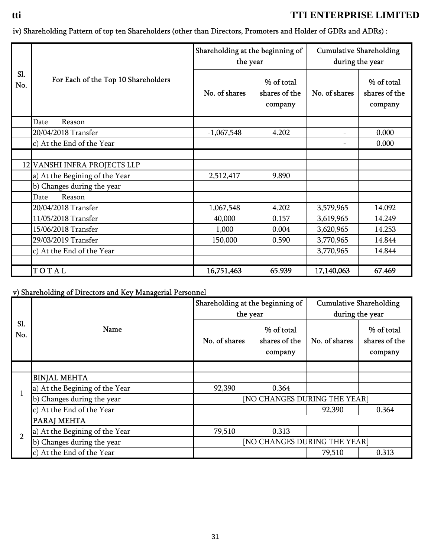iv) Shareholding Pattern of top ten Shareholders (other than Directors, Promoters and Holder of GDRs and ADRs) :

|            | For Each of the Top 10 Shareholders | Shareholding at the beginning of<br>the year |                                        | <b>Cumulative Shareholding</b><br>during the year |                                        |
|------------|-------------------------------------|----------------------------------------------|----------------------------------------|---------------------------------------------------|----------------------------------------|
| SI.<br>No. |                                     | No. of shares                                | % of total<br>shares of the<br>company | No. of shares                                     | % of total<br>shares of the<br>company |
|            | Date<br>Reason                      |                                              |                                        |                                                   |                                        |
|            | 20/04/2018 Transfer                 | $-1,067,548$                                 | 4.202                                  |                                                   | 0.000                                  |
|            | c) At the End of the Year           |                                              |                                        |                                                   | 0.000                                  |
|            |                                     |                                              |                                        |                                                   |                                        |
|            | 12 VANSHI INFRA PROJECTS LLP        |                                              |                                        |                                                   |                                        |
|            | a) At the Begining of the Year      | 2,512,417                                    | 9.890                                  |                                                   |                                        |
|            | b) Changes during the year          |                                              |                                        |                                                   |                                        |
|            | Reason<br>Date                      |                                              |                                        |                                                   |                                        |
|            | 20/04/2018 Transfer                 | 1,067,548                                    | 4.202                                  | 3,579,965                                         | 14.092                                 |
|            | 11/05/2018 Transfer                 | 40,000                                       | 0.157                                  | 3,619,965                                         | 14.249                                 |
|            | 15/06/2018 Transfer                 | 1,000                                        | 0.004                                  | 3,620,965                                         | 14.253                                 |
|            | 29/03/2019 Transfer                 | 150,000                                      | 0.590                                  | 3,770,965                                         | 14.844                                 |
|            | c) At the End of the Year           |                                              |                                        | 3,770,965                                         | 14.844                                 |
|            |                                     |                                              |                                        |                                                   |                                        |
|            | TOTAL                               | 16,751,463                                   | 65.939                                 | 17,140,063                                        | 67.469                                 |

## v) Shareholding of Directors and Key Managerial Personnel

| Sl.<br>No.     | Name                           | Shareholding at the beginning of<br>the year |                                        | <b>Cumulative Shareholding</b><br>during the year |                                        |
|----------------|--------------------------------|----------------------------------------------|----------------------------------------|---------------------------------------------------|----------------------------------------|
|                |                                | No. of shares                                | % of total<br>shares of the<br>company | No. of shares                                     | % of total<br>shares of the<br>company |
|                |                                |                                              |                                        |                                                   |                                        |
|                | <b>BINJAL MEHTA</b>            |                                              |                                        |                                                   |                                        |
| $\mathbf{1}$   | a) At the Begining of the Year | 92,390                                       | 0.364                                  |                                                   |                                        |
|                | b) Changes during the year     |                                              | [NO CHANGES DURING THE YEAR]           |                                                   |                                        |
|                | c) At the End of the Year      |                                              |                                        | 92,390                                            | 0.364                                  |
|                | PARAJ MEHTA                    |                                              |                                        |                                                   |                                        |
| $\overline{2}$ | a) At the Begining of the Year | 79,510                                       | 0.313                                  |                                                   |                                        |
|                | b) Changes during the year     | [NO CHANGES DURING THE YEAR]                 |                                        |                                                   |                                        |
|                | c) At the End of the Year      |                                              |                                        | 79,510                                            | 0.313                                  |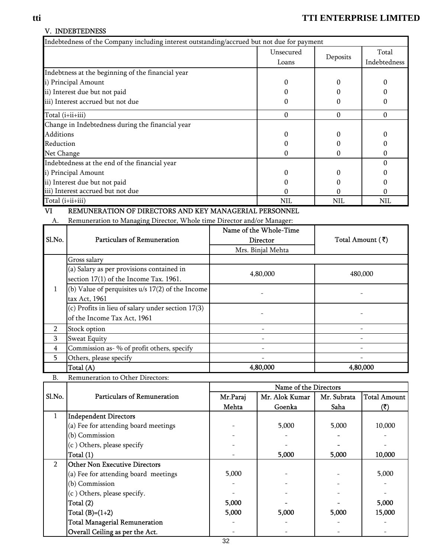#### V. INDEBTEDNESS

|                  | Indebtedness of the Company including interest outstanding/accrued but not due for payment |                               |                        |              |                                         |
|------------------|--------------------------------------------------------------------------------------------|-------------------------------|------------------------|--------------|-----------------------------------------|
|                  |                                                                                            |                               | Unsecured              |              | Total                                   |
|                  |                                                                                            |                               | Loans                  | Deposits     | Indebtedness                            |
|                  | Indebtness at the beginning of the financial year                                          |                               |                        |              |                                         |
|                  | i) Principal Amount                                                                        |                               | 0                      | $\Omega$     | 0                                       |
|                  | ii) Interest due but not paid                                                              |                               | 0                      | 0            |                                         |
|                  | iii) Interest accrued but not due                                                          |                               | 0                      | $\Omega$     | 0                                       |
| Total (i+ii+iii) |                                                                                            |                               | $\boldsymbol{0}$       | $\mathbf{0}$ | $\boldsymbol{0}$                        |
|                  | Change in Indebtedness during the financial year                                           |                               |                        |              |                                         |
| <b>Additions</b> |                                                                                            |                               | 0                      | $\Omega$     | $\Omega$                                |
| Reduction        |                                                                                            |                               | 0                      | 0            | $\Omega$                                |
| Net Change       |                                                                                            |                               | 0                      | $\Omega$     | $\Omega$                                |
|                  | Indebtedness at the end of the financial year                                              |                               |                        |              | $\Omega$                                |
|                  | i) Principal Amount                                                                        |                               | 0                      | 0            |                                         |
|                  | ii) Interest due but not paid                                                              |                               | $\Omega$               | $\Omega$     |                                         |
|                  | iii) Interest accrued but not due                                                          |                               | U                      | O            | U                                       |
| Total (i+ii+iii) |                                                                                            |                               | NIL                    | NIL          | <b>NIL</b>                              |
| VI               | REMUNERATION OF DIRECTORS AND KEY MANAGERIAL PERSONNEL                                     |                               |                        |              |                                         |
| A.               | Remuneration to Managing Director, Whole time Director and/or Manager:                     |                               |                        |              |                                         |
|                  |                                                                                            |                               | Name of the Whole-Time |              |                                         |
| Sl.No.           | <b>Particulars of Remuneration</b>                                                         | Director<br>Mrs. Binjal Mehta |                        |              | Total Amount $(\bar{\bar{\mathbf{x}}})$ |
|                  |                                                                                            |                               |                        |              |                                         |
|                  | Gross salary                                                                               |                               |                        |              |                                         |

|                |                                                    | <b>IVILD.</b> DIIIJAI IVIUILLA |          |
|----------------|----------------------------------------------------|--------------------------------|----------|
|                | Gross salary                                       |                                |          |
|                | (a) Salary as per provisions contained in          | 4,80,000                       | 480,000  |
|                | section 17(1) of the Income Tax. 1961.             |                                |          |
|                | (b) Value of perquisites $u/s$ 17(2) of the Income |                                |          |
|                | tax Act, 1961                                      |                                |          |
|                | (c) Profits in lieu of salary under section 17(3)  |                                |          |
|                | of the Income Tax Act, 1961                        |                                |          |
| $\mathfrak{p}$ | Stock option                                       |                                |          |
| 3              | <b>Sweat Equity</b>                                |                                |          |
| 4              | Commission as- % of profit others, specify         |                                |          |
| 5              | Others, please specify                             |                                |          |
|                | Total (A)                                          | 4,80,000                       | 4,80,000 |

| <b>B.</b>      | Remuneration to Other Directors:     |                       |                |             |                     |  |  |
|----------------|--------------------------------------|-----------------------|----------------|-------------|---------------------|--|--|
|                |                                      | Name of the Directors |                |             |                     |  |  |
| Sl.No.         | <b>Particulars of Remuneration</b>   | Mr.Paraj              | Mr. Alok Kumar | Mr. Subrata | <b>Total Amount</b> |  |  |
|                |                                      | Mehta                 | Goenka         | Saha        | (₹)                 |  |  |
| 1              | <b>Independent Directors</b>         |                       |                |             |                     |  |  |
|                | (a) Fee for attending board meetings |                       | 5,000          | 5,000       | 10,000              |  |  |
|                | (b) Commission                       |                       |                |             |                     |  |  |
|                | (c) Others, please specify           |                       |                |             |                     |  |  |
|                | Total (1)                            |                       | 5,000          | 5,000       | 10,000              |  |  |
| $\overline{2}$ | <b>Other Non Executive Directors</b> |                       |                |             |                     |  |  |
|                | (a) Fee for attending board meetings | 5,000                 |                |             | 5,000               |  |  |
|                | (b) Commission                       |                       |                |             |                     |  |  |
|                | (c) Others, please specify.          |                       |                |             |                     |  |  |
|                | Total (2)                            | 5,000                 |                |             | 5,000               |  |  |
|                | Total $(B)=(1+2)$                    | 5,000                 | 5,000          | 5,000       | 15,000              |  |  |
|                | <b>Total Managerial Remuneration</b> |                       |                |             |                     |  |  |
|                | Overall Ceiling as per the Act.      |                       |                |             |                     |  |  |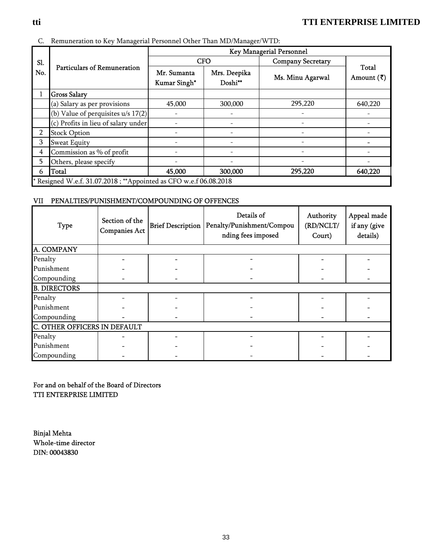#### C. Remuneration to Key Managerial Personnel Other Than MD/Manager/WTD:

|     |                                                                  | Key Managerial Personnel    |                                     |                          |                                       |  |  |
|-----|------------------------------------------------------------------|-----------------------------|-------------------------------------|--------------------------|---------------------------------------|--|--|
| Sl. | <b>Particulars of Remuneration</b>                               |                             | <b>CFO</b>                          | <b>Company Secretary</b> |                                       |  |  |
| No. |                                                                  | Mr. Sumanta<br>Kumar Singh* | Mrs. Deepika<br>Doshi <sup>**</sup> | Ms. Minu Agarwal         | <b>Total</b><br>Amount $(\bar{\tau})$ |  |  |
|     | <b>Gross Salary</b>                                              |                             |                                     |                          |                                       |  |  |
|     | (a) Salary as per provisions                                     | 45,000                      | 300,000                             | 295,220                  | 640,220                               |  |  |
|     | (b) Value of perquisites $u/s$ 17(2)                             |                             |                                     |                          |                                       |  |  |
|     | (c) Profits in lieu of salary under                              |                             |                                     |                          |                                       |  |  |
| 2   | <b>Stock Option</b>                                              |                             |                                     |                          |                                       |  |  |
| 3   | <b>Sweat Equity</b>                                              |                             |                                     |                          |                                       |  |  |
| 4   | Commission as % of profit                                        |                             |                                     |                          |                                       |  |  |
| 5   | Others, please specify                                           |                             |                                     |                          |                                       |  |  |
| 6   | <b>T</b> otal                                                    | 45,000                      | 300,000                             | 295,220                  | 640,220                               |  |  |
|     | *Resigned W.e.f. 31.07.2018; **Appointed as CFO w.e.f 06.08.2018 |                             |                                     |                          |                                       |  |  |

#### VII PENALTIES/PUNISHMENT/COMPOUNDING OF OFFENCES

| <b>Type</b>         | Section of the<br><b>Companies Act</b> |  | Details of<br>Brief Description   Penalty/Punishment/Compou<br>nding fees imposed | Authority<br>(RD/NCLT/<br>Court) | Appeal made<br>if any (give<br>details) |  |  |  |
|---------------------|----------------------------------------|--|-----------------------------------------------------------------------------------|----------------------------------|-----------------------------------------|--|--|--|
| A. COMPANY          |                                        |  |                                                                                   |                                  |                                         |  |  |  |
| Penalty             |                                        |  |                                                                                   |                                  |                                         |  |  |  |
| Punishment          |                                        |  |                                                                                   |                                  |                                         |  |  |  |
| Compounding         |                                        |  |                                                                                   |                                  |                                         |  |  |  |
| <b>B. DIRECTORS</b> |                                        |  |                                                                                   |                                  |                                         |  |  |  |
| Penalty             |                                        |  |                                                                                   |                                  |                                         |  |  |  |
| Punishment          |                                        |  |                                                                                   |                                  |                                         |  |  |  |
| Compounding         |                                        |  |                                                                                   |                                  |                                         |  |  |  |
|                     | <b>C. OTHER OFFICERS IN DEFAULT</b>    |  |                                                                                   |                                  |                                         |  |  |  |
| Penalty             |                                        |  |                                                                                   |                                  |                                         |  |  |  |
| Punishment          |                                        |  |                                                                                   |                                  |                                         |  |  |  |
| Compounding         |                                        |  |                                                                                   |                                  |                                         |  |  |  |

For and on behalf of the Board of Directors TTI ENTERPRISE LIMITED

Binjal Mehta Whole-time director DIN: 00043830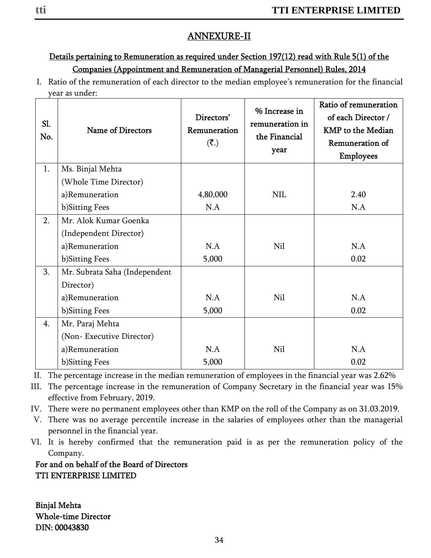# ANNEXURE-II

# Details pertaining to Remuneration as required under Section 197(12) read with Rule 5(1) of the Companies (Appointment and Remuneration of Managerial Personnel) Rules, 2014

I. Ratio of the remuneration of each director to the median employee's remuneration for the financial year as under:

| Sl.<br>No. | <b>Name of Directors</b>      | Directors'<br>Remuneration<br>$(\overline{\mathbf{z}}_n)$ | % Increase in<br>remuneration in<br>the Financial<br>year | Ratio of remuneration<br>of each Director /<br><b>KMP</b> to the Median<br>Remuneration of<br><b>Employees</b> |
|------------|-------------------------------|-----------------------------------------------------------|-----------------------------------------------------------|----------------------------------------------------------------------------------------------------------------|
| 1.         | Ms. Binjal Mehta              |                                                           |                                                           |                                                                                                                |
|            | (Whole Time Director)         |                                                           |                                                           |                                                                                                                |
|            | a)Remuneration                | 4,80,000                                                  | <b>NIL</b>                                                | 2.40                                                                                                           |
|            | b)Sitting Fees                | N.A                                                       |                                                           | N.A                                                                                                            |
| 2.         | Mr. Alok Kumar Goenka         |                                                           |                                                           |                                                                                                                |
|            | (Independent Director)        |                                                           |                                                           |                                                                                                                |
|            | a)Remuneration                | N.A                                                       | <b>Nil</b>                                                | N.A                                                                                                            |
|            | b)Sitting Fees                | 5,000                                                     |                                                           | 0.02                                                                                                           |
| 3.         | Mr. Subrata Saha (Independent |                                                           |                                                           |                                                                                                                |
|            | Director)                     |                                                           |                                                           |                                                                                                                |
|            | a)Remuneration                | N.A                                                       | Nil                                                       | N.A                                                                                                            |
|            | b)Sitting Fees                | 5,000                                                     |                                                           | 0.02                                                                                                           |
| 4.         | Mr. Paraj Mehta               |                                                           |                                                           |                                                                                                                |
|            | (Non-Executive Director)      |                                                           |                                                           |                                                                                                                |
|            | a)Remuneration                | N.A                                                       | <b>Nil</b>                                                | N.A                                                                                                            |
|            | b)Sitting Fees                | 5,000                                                     |                                                           | 0.02                                                                                                           |

II. The percentage increase in the median remuneration of employees in the financial year was 2.62%

III. The percentage increase in the remuneration of Company Secretary in the financial year was 15% effective from February, 2019.

IV. There were no permanent employees other than KMP on the roll of the Company as on 31.03.2019.

V. There was no average percentile increase in the salaries of employees other than the managerial personnel in the financial year.

VI. It is hereby confirmed that the remuneration paid is as per the remuneration policy of the Company.

## For and on behalf of the Board of Directors TTI ENTERPRISE LIMITED

Binjal Mehta Whole-time Director DIN: 00043830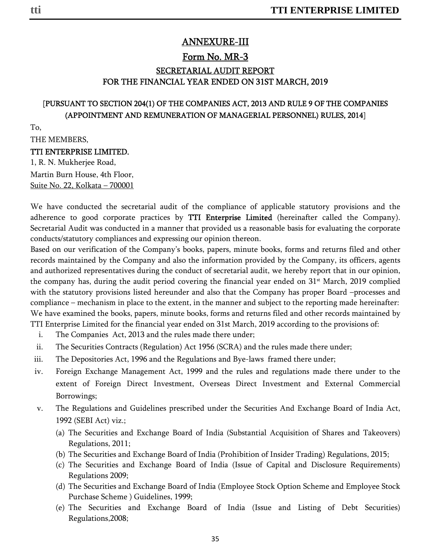## ANNEXURE-III

# Form No. MR-3 SECRETARIAL AUDIT REPORT FOR THE FINANCIAL YEAR ENDED ON 31ST MARCH, 2019

## [PURSUANT TO SECTION 204(1) OF THE COMPANIES ACT, 2013 AND RULE 9 OF THE COMPANIES (APPOINTMENT AND REMUNERATION OF MANAGERIAL PERSONNEL) RULES, 2014]

To,

THE MEMBERS,

#### TTI ENTERPRISE LIMITED.

1, R. N. Mukherjee Road, Martin Burn House, 4th Floor, Suite No. 22, Kolkata – 700001

We have conducted the secretarial audit of the compliance of applicable statutory provisions and the adherence to good corporate practices by TTI Enterprise Limited (hereinafter called the Company). Secretarial Audit was conducted in a manner that provided us a reasonable basis for evaluating the corporate conducts/statutory compliances and expressing our opinion thereon.

Based on our verification of the Company's books, papers, minute books, forms and returns filed and other records maintained by the Company and also the information provided by the Company, its officers, agents and authorized representatives during the conduct of secretarial audit, we hereby report that in our opinion, the company has, during the audit period covering the financial year ended on 31<sup>st</sup> March, 2019 complied with the statutory provisions listed hereunder and also that the Company has proper Board –processes and compliance – mechanism in place to the extent, in the manner and subject to the reporting made hereinafter: We have examined the books, papers, minute books, forms and returns filed and other records maintained by TTI Enterprise Limited for the financial year ended on 31st March, 2019 according to the provisions of:

- i. The Companies Act, 2013 and the rules made there under;
- ii. The Securities Contracts (Regulation) Act 1956 (SCRA) and the rules made there under;
- iii. The Depositories Act, 1996 and the Regulations and Bye-laws framed there under;
- iv. Foreign Exchange Management Act, 1999 and the rules and regulations made there under to the extent of Foreign Direct Investment, Overseas Direct Investment and External Commercial Borrowings;
- v. The Regulations and Guidelines prescribed under the Securities And Exchange Board of India Act, 1992 (SEBI Act) viz.;
	- (a) The Securities and Exchange Board of India (Substantial Acquisition of Shares and Takeovers) Regulations, 2011;
	- (b) The Securities and Exchange Board of India (Prohibition of Insider Trading) Regulations, 2015;
	- (c) The Securities and Exchange Board of India (Issue of Capital and Disclosure Requirements) Regulations 2009;
	- (d) The Securities and Exchange Board of India (Employee Stock Option Scheme and Employee Stock Purchase Scheme ) Guidelines, 1999;
	- (e) The Securities and Exchange Board of India (Issue and Listing of Debt Securities) Regulations,2008;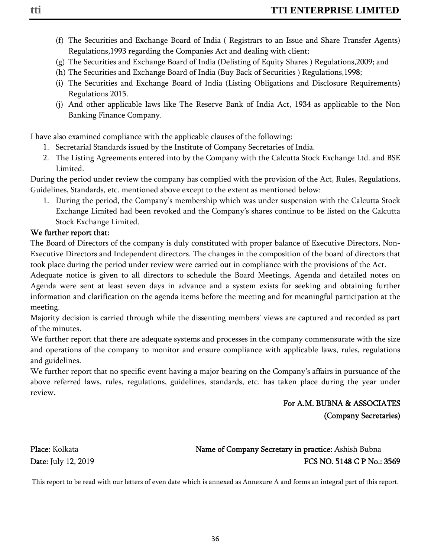- (f) The Securities and Exchange Board of India ( Registrars to an Issue and Share Transfer Agents) Regulations,1993 regarding the Companies Act and dealing with client;
- (g) The Securities and Exchange Board of India (Delisting of Equity Shares ) Regulations,2009; and
- (h) The Securities and Exchange Board of India (Buy Back of Securities ) Regulations,1998;
- (i) The Securities and Exchange Board of India (Listing Obligations and Disclosure Requirements) Regulations 2015.
- (j) And other applicable laws like The Reserve Bank of India Act, 1934 as applicable to the Non Banking Finance Company.

I have also examined compliance with the applicable clauses of the following:

- 1. Secretarial Standards issued by the Institute of Company Secretaries of India.
- 2. The Listing Agreements entered into by the Company with the Calcutta Stock Exchange Ltd. and BSE Limited.

During the period under review the company has complied with the provision of the Act, Rules, Regulations, Guidelines, Standards, etc. mentioned above except to the extent as mentioned below:

1. During the period, the Company's membership which was under suspension with the Calcutta Stock Exchange Limited had been revoked and the Company's shares continue to be listed on the Calcutta Stock Exchange Limited.

## We further report that:

The Board of Directors of the company is duly constituted with proper balance of Executive Directors, Non-Executive Directors and Independent directors. The changes in the composition of the board of directors that took place during the period under review were carried out in compliance with the provisions of the Act.

Adequate notice is given to all directors to schedule the Board Meetings, Agenda and detailed notes on Agenda were sent at least seven days in advance and a system exists for seeking and obtaining further information and clarification on the agenda items before the meeting and for meaningful participation at the meeting.

Majority decision is carried through while the dissenting members' views are captured and recorded as part of the minutes.

We further report that there are adequate systems and processes in the company commensurate with the size and operations of the company to monitor and ensure compliance with applicable laws, rules, regulations and guidelines.

We further report that no specific event having a major bearing on the Company's affairs in pursuance of the above referred laws, rules, regulations, guidelines, standards, etc. has taken place during the year under review.

## For A.M. BUBNA & ASSOCIATES (Company Secretaries)

# Place: Kolkata Name of Company Secretary in practice: Ashish Bubna Date: July 12, 2019 **FCS NO. 5148 C P No.: 3569**

This report to be read with our letters of even date which is annexed as Annexure A and forms an integral part of this report.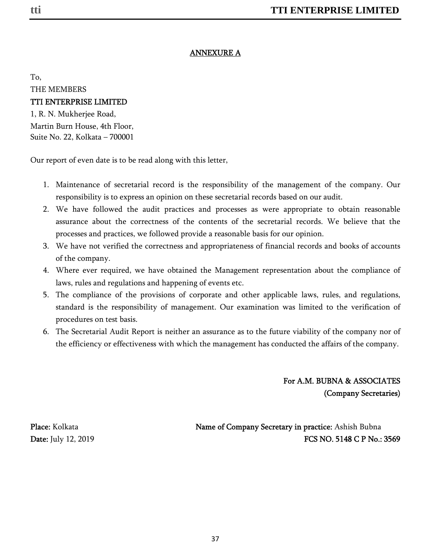## ANNEXURE A

To, THE MEMBERS

### TTI ENTERPRISE LIMITED

1, R. N. Mukherjee Road, Martin Burn House, 4th Floor, Suite No. 22, Kolkata – 700001

Our report of even date is to be read along with this letter,

- 1. Maintenance of secretarial record is the responsibility of the management of the company. Our responsibility is to express an opinion on these secretarial records based on our audit.
- 2. We have followed the audit practices and processes as were appropriate to obtain reasonable assurance about the correctness of the contents of the secretarial records. We believe that the processes and practices, we followed provide a reasonable basis for our opinion.
- 3. We have not verified the correctness and appropriateness of financial records and books of accounts of the company.
- 4. Where ever required, we have obtained the Management representation about the compliance of laws, rules and regulations and happening of events etc.
- 5. The compliance of the provisions of corporate and other applicable laws, rules, and regulations, standard is the responsibility of management. Our examination was limited to the verification of procedures on test basis.
- 6. The Secretarial Audit Report is neither an assurance as to the future viability of the company nor of the efficiency or effectiveness with which the management has conducted the affairs of the company.

For A.M. BUBNA & ASSOCIATES (Company Secretaries)

Place: Kolkata Name of Company Secretary in practice: Ashish Bubna Date: July 12, 2019 **FCS NO. 5148 C P No.: 3569**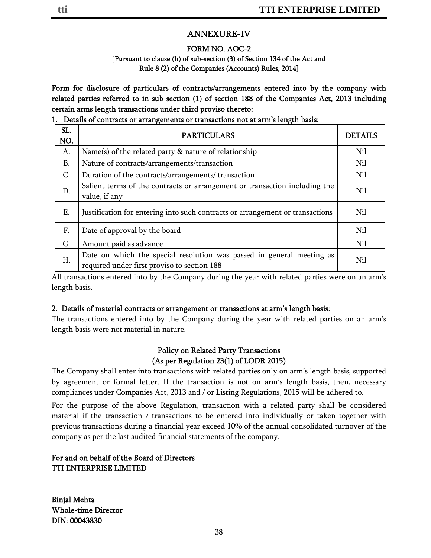## ANNEXURE-IV

## FORM NO. AOC-2

#### [Pursuant to clause (h) of sub-section (3) of Section 134 of the Act and Rule 8 (2) of the Companies (Accounts) Rules, 2014]

Form for disclosure of particulars of contracts/arrangements entered into by the company with related parties referred to in sub-section (1) of section 188 of the Companies Act, 2013 including certain arms length transactions under third proviso thereto:

### 1. Details of contracts or arrangements or transactions not at arm's length basis:

| SL.<br>NO. | <b>PARTICULARS</b>                                                                                                   | <b>DETAILS</b> |
|------------|----------------------------------------------------------------------------------------------------------------------|----------------|
| A.         | Name(s) of the related party $\&$ nature of relationship                                                             | Nil            |
| B.         | Nature of contracts/arrangements/transaction                                                                         | Nil            |
| C.         | Duration of the contracts/arrangements/ transaction                                                                  | Nil            |
| D.         | Salient terms of the contracts or arrangement or transaction including the<br>value, if any                          | Nil            |
| Ε.         | Justification for entering into such contracts or arrangement or transactions                                        | Nil            |
| F.         | Date of approval by the board                                                                                        | Nil            |
| G.         | Amount paid as advance                                                                                               | Nil            |
| H.         | Date on which the special resolution was passed in general meeting as<br>required under first proviso to section 188 | Nil            |

All transactions entered into by the Company during the year with related parties were on an arm's length basis.

## 2. Details of material contracts or arrangement or transactions at arm's length basis:

The transactions entered into by the Company during the year with related parties on an arm's length basis were not material in nature.

## Policy on Related Party Transactions (As per Regulation 23(1) of LODR 2015)

The Company shall enter into transactions with related parties only on arm's length basis, supported by agreement or formal letter. If the transaction is not on arm's length basis, then, necessary compliances under Companies Act, 2013 and / or Listing Regulations, 2015 will be adhered to.

For the purpose of the above Regulation, transaction with a related party shall be considered material if the transaction / transactions to be entered into individually or taken together with previous transactions during a financial year exceed 10% of the annual consolidated turnover of the company as per the last audited financial statements of the company.

## For and on behalf of the Board of Directors TTI ENTERPRISE LIMITED

Binjal Mehta Whole-time Director DIN: 00043830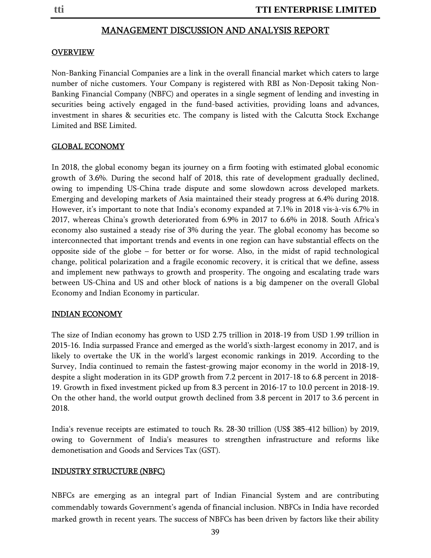#### MANAGEMENT DISCUSSION AND ANALYSIS REPORT

#### OVERVIEW

Non-Banking Financial Companies are a link in the overall financial market which caters to large number of niche customers. Your Company is registered with RBI as Non-Deposit taking Non-Banking Financial Company (NBFC) and operates in a single segment of lending and investing in securities being actively engaged in the fund-based activities, providing loans and advances, investment in shares & securities etc. The company is listed with the Calcutta Stock Exchange Limited and BSE Limited.

#### GLOBAL ECONOMY

In 2018, the global economy began its journey on a firm footing with estimated global economic growth of 3.6%. During the second half of 2018, this rate of development gradually declined, owing to impending US-China trade dispute and some slowdown across developed markets. Emerging and developing markets of Asia maintained their steady progress at 6.4% during 2018. However, it's important to note that India's economy expanded at 7.1% in 2018 vis-à-vis 6.7% in 2017, whereas China's growth deteriorated from 6.9% in 2017 to 6.6% in 2018. South Africa's economy also sustained a steady rise of 3% during the year. The global economy has become so interconnected that important trends and events in one region can have substantial effects on the opposite side of the globe – for better or for worse. Also, in the midst of rapid technological change, political polarization and a fragile economic recovery, it is critical that we define, assess and implement new pathways to growth and prosperity. The ongoing and escalating trade wars between US-China and US and other block of nations is a big dampener on the overall Global Economy and Indian Economy in particular.

#### INDIAN ECONOMY

The size of Indian economy has grown to USD 2.75 trillion in 2018-19 from USD 1.99 trillion in 2015-16. India surpassed France and emerged as the world's sixth-largest economy in 2017, and is likely to overtake the UK in the world's largest economic rankings in 2019. According to the Survey, India continued to remain the fastest-growing major economy in the world in 2018-19, despite a slight moderation in its GDP growth from 7.2 percent in 2017-18 to 6.8 percent in 2018- 19. Growth in fixed investment picked up from 8.3 percent in 2016-17 to 10.0 percent in 2018-19. On the other hand, the world output growth declined from 3.8 percent in 2017 to 3.6 percent in 2018.

India's revenue receipts are estimated to touch Rs. 28-30 trillion (US\$ 385-412 billion) by 2019, owing to Government of India's measures to strengthen infrastructure and reforms like demonetisation and Goods and Services Tax (GST).

#### INDUSTRY STRUCTURE (NBFC)

NBFCs are emerging as an integral part of Indian Financial System and are contributing commendably towards Government's agenda of financial inclusion. NBFCs in India have recorded marked growth in recent years. The success of NBFCs has been driven by factors like their ability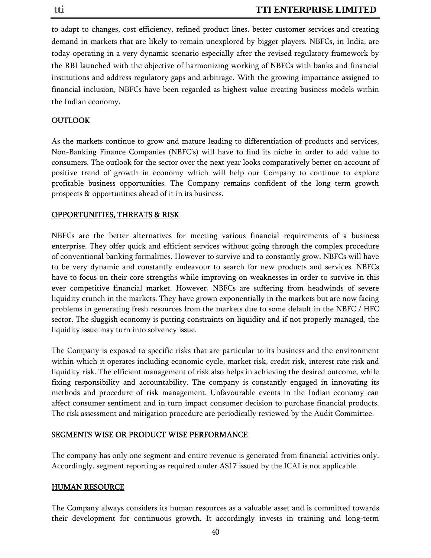to adapt to changes, cost efficiency, refined product lines, better customer services and creating demand in markets that are likely to remain unexplored by bigger players. NBFCs, in India, are today operating in a very dynamic scenario especially after the revised regulatory framework by the RBI launched with the objective of harmonizing working of NBFCs with banks and financial institutions and address regulatory gaps and arbitrage. With the growing importance assigned to financial inclusion, NBFCs have been regarded as highest value creating business models within the Indian economy.

### **OUTLOOK**

As the markets continue to grow and mature leading to differentiation of products and services, Non-Banking Finance Companies (NBFC's) will have to find its niche in order to add value to consumers. The outlook for the sector over the next year looks comparatively better on account of positive trend of growth in economy which will help our Company to continue to explore profitable business opportunities. The Company remains confident of the long term growth prospects & opportunities ahead of it in its business.

#### OPPORTUNITIES, THREATS & RISK

NBFCs are the better alternatives for meeting various financial requirements of a business enterprise. They offer quick and efficient services without going through the complex procedure of conventional banking formalities. However to survive and to constantly grow, NBFCs will have to be very dynamic and constantly endeavour to search for new products and services. NBFCs have to focus on their core strengths while improving on weaknesses in order to survive in this ever competitive financial market. However, NBFCs are suffering from headwinds of severe liquidity crunch in the markets. They have grown exponentially in the markets but are now facing problems in generating fresh resources from the markets due to some default in the NBFC / HFC sector. The sluggish economy is putting constraints on liquidity and if not properly managed, the liquidity issue may turn into solvency issue.

The Company is exposed to specific risks that are particular to its business and the environment within which it operates including economic cycle, market risk, credit risk, interest rate risk and liquidity risk. The efficient management of risk also helps in achieving the desired outcome, while fixing responsibility and accountability. The company is constantly engaged in innovating its methods and procedure of risk management. Unfavourable events in the Indian economy can affect consumer sentiment and in turn impact consumer decision to purchase financial products. The risk assessment and mitigation procedure are periodically reviewed by the Audit Committee.

#### SEGMENTS WISE OR PRODUCT WISE PERFORMANCE

The company has only one segment and entire revenue is generated from financial activities only. Accordingly, segment reporting as required under AS17 issued by the ICAI is not applicable.

#### HUMAN RESOURCE

The Company always considers its human resources as a valuable asset and is committed towards their development for continuous growth. It accordingly invests in training and long-term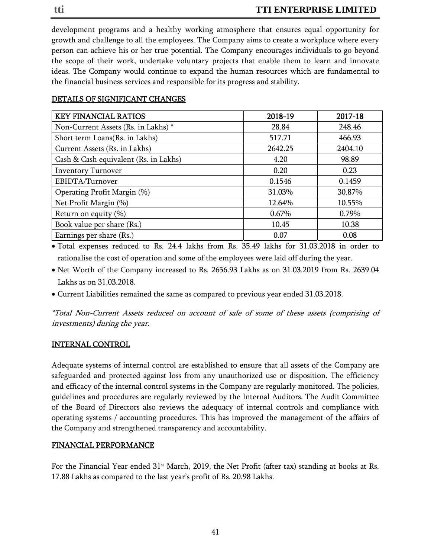development programs and a healthy working atmosphere that ensures equal opportunity for growth and challenge to all the employees. The Company aims to create a workplace where every person can achieve his or her true potential. The Company encourages individuals to go beyond the scope of their work, undertake voluntary projects that enable them to learn and innovate ideas. The Company would continue to expand the human resources which are fundamental to the financial business services and responsible for its progress and stability.

| <b>KEY FINANCIAL RATIOS</b>           | 2018-19 | 2017-18 |
|---------------------------------------|---------|---------|
| Non-Current Assets (Rs. in Lakhs) *   | 28.84   | 248.46  |
| Short term Loans(Rs. in Lakhs)        | 517.71  | 466.93  |
| Current Assets (Rs. in Lakhs)         | 2642.25 | 2404.10 |
| Cash & Cash equivalent (Rs. in Lakhs) | 4.20    | 98.89   |
| <b>Inventory Turnover</b>             | 0.20    | 0.23    |
| EBIDTA/Turnover                       | 0.1546  | 0.1459  |
| Operating Profit Margin (%)           | 31.03%  | 30.87%  |
| Net Profit Margin (%)                 | 12.64%  | 10.55%  |
| Return on equity $(\% )$              | 0.67%   | 0.79%   |
| Book value per share (Rs.)            | 10.45   | 10.38   |
| Earnings per share (Rs.)              | 0.07    | 0.08    |

## DETAILS OF SIGNIFICANT CHANGES

• Total expenses reduced to Rs. 24.4 lakhs from Rs. 35.49 lakhs for 31.03.2018 in order to rationalise the cost of operation and some of the employees were laid off during the year.

- Net Worth of the Company increased to Rs. 2656.93 Lakhs as on 31.03.2019 from Rs. 2639.04 Lakhs as on 31.03.2018.
- Current Liabilities remained the same as compared to previous year ended 31.03.2018.

\*Total Non-Current Assets reduced on account of sale of some of these assets (comprising of investments) during the year.

## INTERNAL CONTROL

Adequate systems of internal control are established to ensure that all assets of the Company are safeguarded and protected against loss from any unauthorized use or disposition. The efficiency and efficacy of the internal control systems in the Company are regularly monitored. The policies, guidelines and procedures are regularly reviewed by the Internal Auditors. The Audit Committee of the Board of Directors also reviews the adequacy of internal controls and compliance with operating systems / accounting procedures. This has improved the management of the affairs of the Company and strengthened transparency and accountability.

## FINANCIAL PERFORMANCE

For the Financial Year ended  $31<sup>st</sup>$  March, 2019, the Net Profit (after tax) standing at books at Rs. 17.88 Lakhs as compared to the last year's profit of Rs. 20.98 Lakhs.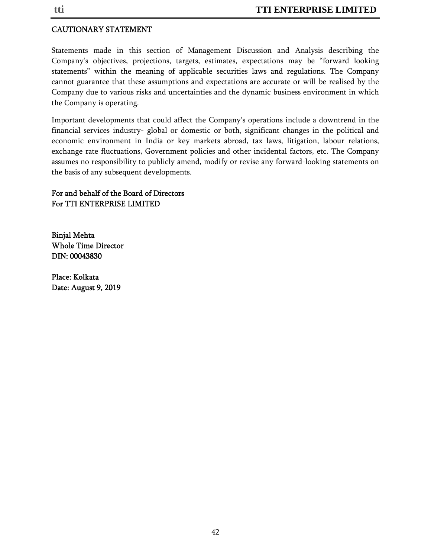## CAUTIONARY STATEMENT

Statements made in this section of Management Discussion and Analysis describing the Company's objectives, projections, targets, estimates, expectations may be "forward looking statements" within the meaning of applicable securities laws and regulations. The Company cannot guarantee that these assumptions and expectations are accurate or will be realised by the Company due to various risks and uncertainties and the dynamic business environment in which the Company is operating.

Important developments that could affect the Company's operations include a downtrend in the financial services industry- global or domestic or both, significant changes in the political and economic environment in India or key markets abroad, tax laws, litigation, labour relations, exchange rate fluctuations, Government policies and other incidental factors, etc. The Company assumes no responsibility to publicly amend, modify or revise any forward-looking statements on the basis of any subsequent developments.

#### For and behalf of the Board of Directors For TTI ENTERPRISE LIMITED

Binjal Mehta Whole Time Director DIN: 00043830

Place: Kolkata Date: August 9, 2019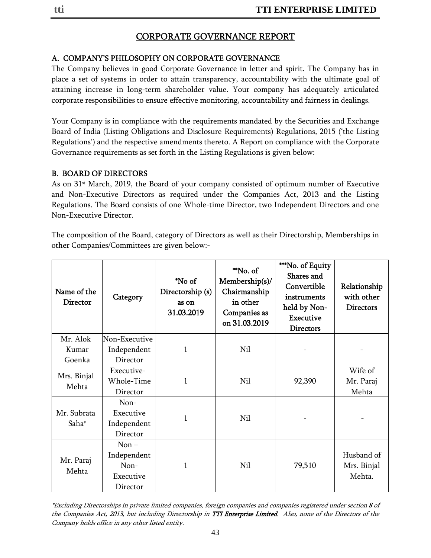## CORPORATE GOVERNANCE REPORT

## A. COMPANY'S PHILOSOPHY ON CORPORATE GOVERNANCE

The Company believes in good Corporate Governance in letter and spirit. The Company has in place a set of systems in order to attain transparency, accountability with the ultimate goal of attaining increase in long-term shareholder value. Your company has adequately articulated corporate responsibilities to ensure effective monitoring, accountability and fairness in dealings.

Your Company is in compliance with the requirements mandated by the Securities and Exchange Board of India (Listing Obligations and Disclosure Requirements) Regulations, 2015 ('the Listing Regulations') and the respective amendments thereto. A Report on compliance with the Corporate Governance requirements as set forth in the Listing Regulations is given below:

## B. BOARD OF DIRECTORS

As on 31<sup>st</sup> March, 2019, the Board of your company consisted of optimum number of Executive and Non-Executive Directors as required under the Companies Act, 2013 and the Listing Regulations. The Board consists of one Whole-time Director, two Independent Directors and one Non-Executive Director.

The composition of the Board, category of Directors as well as their Directorship, Memberships in other Companies/Committees are given below:-

| Name of the<br>Director | Category                                                  | *No of<br>Directorship (s)<br>as on<br>31.03.2019 | **No. of<br>Membership(s)/<br>Chairmanship<br>in other<br>Companies as<br>on 31.03.2019 | ***No. of Equity<br>Shares and<br>Convertible<br>instruments<br>held by Non-<br><b>Executive</b><br><b>Directors</b> | Relationship<br>with other<br><b>Directors</b> |
|-------------------------|-----------------------------------------------------------|---------------------------------------------------|-----------------------------------------------------------------------------------------|----------------------------------------------------------------------------------------------------------------------|------------------------------------------------|
| Mr. Alok                | Non-Executive                                             |                                                   |                                                                                         |                                                                                                                      |                                                |
| Kumar                   | Independent                                               | 1                                                 | Nil                                                                                     |                                                                                                                      |                                                |
| Goenka                  | Director                                                  |                                                   |                                                                                         |                                                                                                                      |                                                |
| Mrs. Binjal             | Executive-                                                |                                                   |                                                                                         |                                                                                                                      | Wife of                                        |
| Mehta                   | Whole-Time                                                | 1                                                 | Nil                                                                                     | 92,390                                                                                                               | Mr. Paraj                                      |
|                         | Director                                                  |                                                   |                                                                                         |                                                                                                                      | Mehta                                          |
| Mr. Subrata<br>Saha#    | Non-<br>Executive<br>Independent<br>Director              | 1                                                 | Nil                                                                                     |                                                                                                                      |                                                |
| Mr. Paraj<br>Mehta      | $Non -$<br>Independent<br>$Non-$<br>Executive<br>Director | 1                                                 | Nil                                                                                     | 79,510                                                                                                               | Husband of<br>Mrs. Binjal<br>Mehta.            |

\*Excluding Directorships in private limited companies, foreign companies and companies registered under section 8 of the Companies Act, 2013, but including Directorship in TTI Enterprise Limited. Also, none of the Directors of the Company holds office in any other listed entity.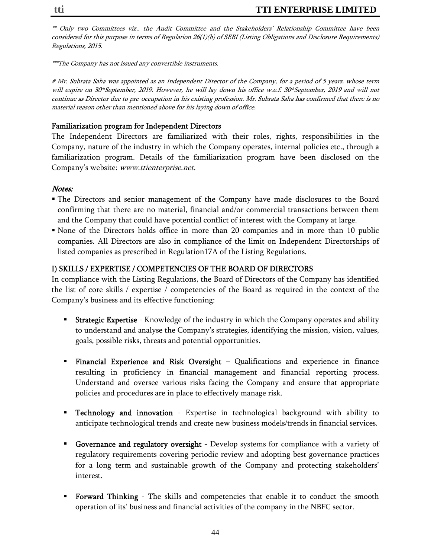\*\* Only two Committees viz., the Audit Committee and the Stakeholders' Relationship Committee have been considered for this purpose in terms of Regulation 26(1)(b) of SEBI (Listing Obligations and Disclosure Requirements) Regulations, 2015.

\*\*\*The Company has not issued any convertible instruments.

# Mr. Subrata Saha was appointed as an Independent Director of the Company, for a period of 5 years, whose term will expire on 30<sup>th</sup> September, 2019. However, he will lay down his office w.e.f. 30<sup>th</sup> September, 2019 and will not continue as Director due to pre-occupation in his existing profession. Mr. Subrata Saha has confirmed that there is no material reason other than mentioned above for his laying down of office.

### Familiarization program for Independent Directors

The Independent Directors are familiarized with their roles, rights, responsibilities in the Company, nature of the industry in which the Company operates, internal policies etc., through a familiarization program. Details of the familiarization program have been disclosed on the Company's website: www.ttienterprise.net.

#### Notes:

- The Directors and senior management of the Company have made disclosures to the Board confirming that there are no material, financial and/or commercial transactions between them and the Company that could have potential conflict of interest with the Company at large.
- None of the Directors holds office in more than 20 companies and in more than 10 public companies. All Directors are also in compliance of the limit on Independent Directorships of listed companies as prescribed in Regulation17A of the Listing Regulations.

## I) SKILLS / EXPERTISE / COMPETENCIES OF THE BOARD OF DIRECTORS

In compliance with the Listing Regulations, the Board of Directors of the Company has identified the list of core skills / expertise / competencies of the Board as required in the context of the Company's business and its effective functioning:

- **Strategic Expertise** Knowledge of the industry in which the Company operates and ability to understand and analyse the Company's strategies, identifying the mission, vision, values, goals, possible risks, threats and potential opportunities.
- Financial Experience and Risk Oversight Qualifications and experience in finance resulting in proficiency in financial management and financial reporting process. Understand and oversee various risks facing the Company and ensure that appropriate policies and procedures are in place to effectively manage risk.
- **Technology and innovation** Expertise in technological background with ability to anticipate technological trends and create new business models/trends in financial services.
- Governance and regulatory oversight Develop systems for compliance with a variety of regulatory requirements covering periodic review and adopting best governance practices for a long term and sustainable growth of the Company and protecting stakeholders' interest.
- Forward Thinking The skills and competencies that enable it to conduct the smooth operation of its' business and financial activities of the company in the NBFC sector.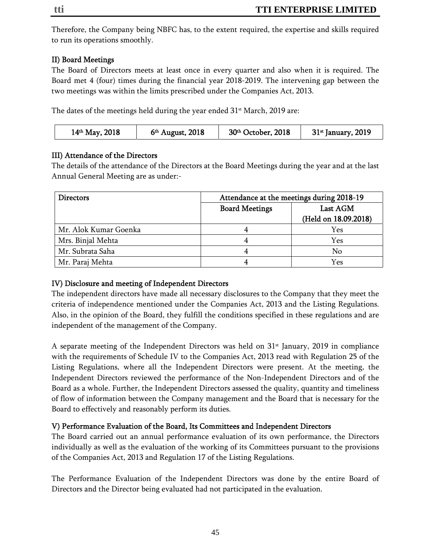Therefore, the Company being NBFC has, to the extent required, the expertise and skills required to run its operations smoothly.

## II) Board Meetings

The Board of Directors meets at least once in every quarter and also when it is required. The Board met 4 (four) times during the financial year 2018-2019. The intervening gap between the two meetings was within the limits prescribed under the Companies Act, 2013.

The dates of the meetings held during the year ended  $31<sup>st</sup>$  March, 2019 are:

| $14th$ May, 2018 | $6th$ August, 2018 | 30 <sup>th</sup> October, 2018 | 31 <sup>st</sup> January, 2019 |
|------------------|--------------------|--------------------------------|--------------------------------|
|------------------|--------------------|--------------------------------|--------------------------------|

## III) Attendance of the Directors

The details of the attendance of the Directors at the Board Meetings during the year and at the last Annual General Meeting are as under:-

| <b>Directors</b>      | Attendance at the meetings during 2018-19 |                      |
|-----------------------|-------------------------------------------|----------------------|
|                       | <b>Board Meetings</b><br>Last AGM         |                      |
|                       |                                           | (Held on 18.09.2018) |
| Mr. Alok Kumar Goenka |                                           | Yes                  |
| Mrs. Binjal Mehta     |                                           | Yes                  |
| Mr. Subrata Saha      |                                           | No                   |
| Mr. Paraj Mehta       |                                           | Yes                  |

## IV) Disclosure and meeting of Independent Directors

The independent directors have made all necessary disclosures to the Company that they meet the criteria of independence mentioned under the Companies Act, 2013 and the Listing Regulations. Also, in the opinion of the Board, they fulfill the conditions specified in these regulations and are independent of the management of the Company.

A separate meeting of the Independent Directors was held on  $31<sup>st</sup>$  January, 2019 in compliance with the requirements of Schedule IV to the Companies Act, 2013 read with Regulation 25 of the Listing Regulations, where all the Independent Directors were present. At the meeting, the Independent Directors reviewed the performance of the Non-Independent Directors and of the Board as a whole. Further, the Independent Directors assessed the quality, quantity and timeliness of flow of information between the Company management and the Board that is necessary for the Board to effectively and reasonably perform its duties.

## V) Performance Evaluation of the Board, Its Committees and Independent Directors

The Board carried out an annual performance evaluation of its own performance, the Directors individually as well as the evaluation of the working of its Committees pursuant to the provisions of the Companies Act, 2013 and Regulation 17 of the Listing Regulations.

The Performance Evaluation of the Independent Directors was done by the entire Board of Directors and the Director being evaluated had not participated in the evaluation.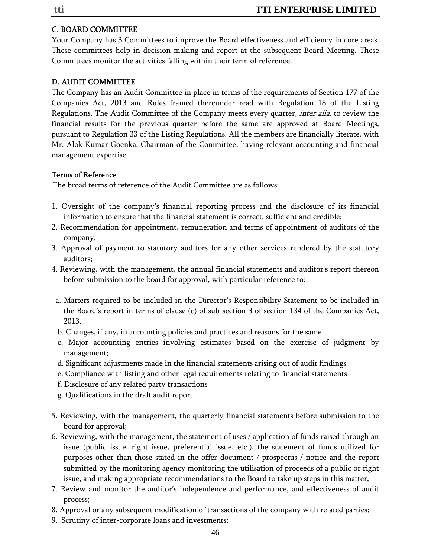#### C. BOARD COMMITTEE

Your Company has 3 Committees to improve the Board effectiveness and efficiency in core areas. These committees help in decision making and report at the subsequent Board Meeting. These Committees monitor the activities falling within their term of reference.

## D. AUDIT COMMITTEE

The Company has an Audit Committee in place in terms of the requirements of Section 177 of the Companies Act, 2013 and Rules framed thereunder read with Regulation 18 of the Listing Regulations. The Audit Committee of the Company meets every quarter, *inter alia*, to review the financial results for the previous quarter before the same are approved at Board Meetings, pursuant to Regulation 33 of the Listing Regulations. All the members are financially literate, with Mr. Alok Kumar Goenka, Chairman of the Committee, having relevant accounting and financial management expertise.

#### Terms of Reference

The broad terms of reference of the Audit Committee are as follows:

- 1. Oversight of the company's financial reporting process and the disclosure of its financial information to ensure that the financial statement is correct, sufficient and credible;
- 2. Recommendation for appointment, remuneration and terms of appointment of auditors of the company;
- 3. Approval of payment to statutory auditors for any other services rendered by the statutory auditors;
- 4. Reviewing, with the management, the annual financial statements and auditor's report thereon before submission to the board for approval, with particular reference to:
- a. Matters required to be included in the Director's Responsibility Statement to be included in the Board's report in terms of clause (c) of sub-section 3 of section 134 of the Companies Act, 2013.
- b. Changes, if any, in accounting policies and practices and reasons for the same
- c. Major accounting entries involving estimates based on the exercise of judgment by management;
- d. Significant adjustments made in the financial statements arising out of audit findings
- e. Compliance with listing and other legal requirements relating to financial statements
- f. Disclosure of any related party transactions
- g. Qualifications in the draft audit report
- 5. Reviewing, with the management, the quarterly financial statements before submission to the board for approval;
- 6. Reviewing, with the management, the statement of uses / application of funds raised through an issue (public issue, right issue, preferential issue, etc.), the statement of funds utilized for purposes other than those stated in the offer document / prospectus / notice and the report submitted by the monitoring agency monitoring the utilisation of proceeds of a public or right issue, and making appropriate recommendations to the Board to take up steps in this matter;
- 7. Review and monitor the auditor's independence and performance, and effectiveness of audit process;
- 8. Approval or any subsequent modification of transactions of the company with related parties;
- 9. Scrutiny of inter-corporate loans and investments;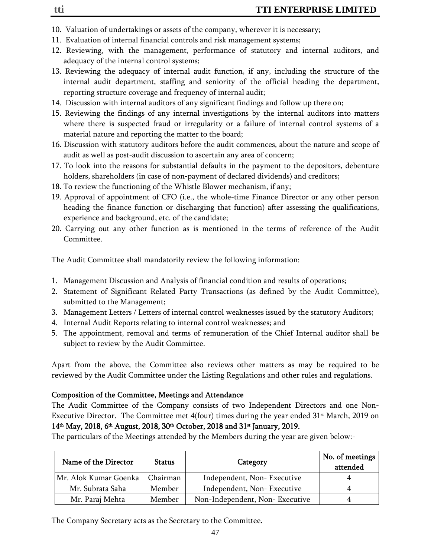- 10. Valuation of undertakings or assets of the company, wherever it is necessary;
- 11. Evaluation of internal financial controls and risk management systems;
- 12. Reviewing, with the management, performance of statutory and internal auditors, and adequacy of the internal control systems;
- 13. Reviewing the adequacy of internal audit function, if any, including the structure of the internal audit department, staffing and seniority of the official heading the department, reporting structure coverage and frequency of internal audit;
- 14. Discussion with internal auditors of any significant findings and follow up there on;
- 15. Reviewing the findings of any internal investigations by the internal auditors into matters where there is suspected fraud or irregularity or a failure of internal control systems of a material nature and reporting the matter to the board;
- 16. Discussion with statutory auditors before the audit commences, about the nature and scope of audit as well as post-audit discussion to ascertain any area of concern;
- 17. To look into the reasons for substantial defaults in the payment to the depositors, debenture holders, shareholders (in case of non-payment of declared dividends) and creditors;
- 18. To review the functioning of the Whistle Blower mechanism, if any;
- 19. Approval of appointment of CFO (i.e., the whole-time Finance Director or any other person heading the finance function or discharging that function) after assessing the qualifications, experience and background, etc. of the candidate;
- 20. Carrying out any other function as is mentioned in the terms of reference of the Audit Committee.

The Audit Committee shall mandatorily review the following information:

- 1. Management Discussion and Analysis of financial condition and results of operations;
- 2. Statement of Significant Related Party Transactions (as defined by the Audit Committee), submitted to the Management;
- 3. Management Letters / Letters of internal control weaknesses issued by the statutory Auditors;
- 4. Internal Audit Reports relating to internal control weaknesses; and
- 5. The appointment, removal and terms of remuneration of the Chief Internal auditor shall be subject to review by the Audit Committee.

Apart from the above, the Committee also reviews other matters as may be required to be reviewed by the Audit Committee under the Listing Regulations and other rules and regulations.

## Composition of the Committee, Meetings and Attendance

The Audit Committee of the Company consists of two Independent Directors and one Non-Executive Director. The Committee met  $4$ (four) times during the year ended  $31<sup>st</sup>$  March, 2019 on 14<sup>th</sup> May, 2018, 6<sup>th</sup> August, 2018, 30<sup>th</sup> October, 2018 and 31<sup>st</sup> January, 2019.

The particulars of the Meetings attended by the Members during the year are given below:-

| Name of the Director  | <b>Status</b> | Category                       | No. of meetings<br>attended |
|-----------------------|---------------|--------------------------------|-----------------------------|
| Mr. Alok Kumar Goenka | Chairman      | Independent, Non-Executive     |                             |
| Mr. Subrata Saha      | Member        | Independent, Non-Executive     | 4                           |
| Mr. Paraj Mehta       | Member        | Non-Independent, Non-Executive |                             |

The Company Secretary acts as the Secretary to the Committee.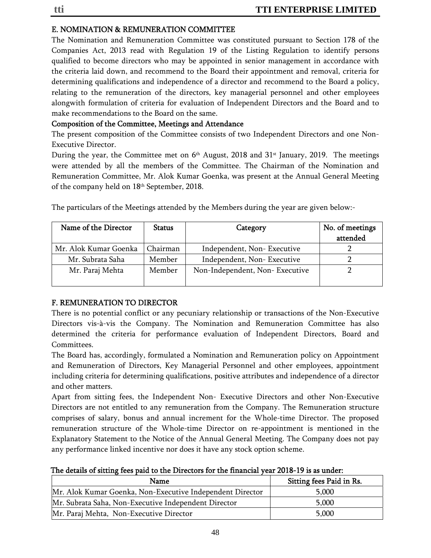## E. NOMINATION & REMUNERATION COMMITTEE

The Nomination and Remuneration Committee was constituted pursuant to Section 178 of the Companies Act, 2013 read with Regulation 19 of the Listing Regulation to identify persons qualified to become directors who may be appointed in senior management in accordance with the criteria laid down, and recommend to the Board their appointment and removal, criteria for determining qualifications and independence of a director and recommend to the Board a policy, relating to the remuneration of the directors, key managerial personnel and other employees alongwith formulation of criteria for evaluation of Independent Directors and the Board and to make recommendations to the Board on the same.

## Composition of the Committee, Meetings and Attendance

The present composition of the Committee consists of two Independent Directors and one Non-Executive Director.

During the year, the Committee met on  $6<sup>th</sup>$  August, 2018 and 31<sup>st</sup> January, 2019. The meetings were attended by all the members of the Committee. The Chairman of the Nomination and Remuneration Committee, Mr. Alok Kumar Goenka, was present at the Annual General Meeting of the company held on 18th September, 2018.

| Name of the Director  | <b>Status</b> | Category                       | No. of meetings<br>attended |
|-----------------------|---------------|--------------------------------|-----------------------------|
|                       |               |                                |                             |
| Mr. Alok Kumar Goenka | Chairman      | Independent, Non-Executive     |                             |
| Mr. Subrata Saha      | Member        | Independent, Non-Executive     |                             |
| Mr. Paraj Mehta       | Member        | Non-Independent, Non-Executive |                             |
|                       |               |                                |                             |

The particulars of the Meetings attended by the Members during the year are given below:-

## F. REMUNERATION TO DIRECTOR

There is no potential conflict or any pecuniary relationship or transactions of the Non-Executive Directors vis-à-vis the Company. The Nomination and Remuneration Committee has also determined the criteria for performance evaluation of Independent Directors, Board and Committees.

The Board has, accordingly, formulated a Nomination and Remuneration policy on Appointment and Remuneration of Directors, Key Managerial Personnel and other employees, appointment including criteria for determining qualifications, positive attributes and independence of a director and other matters.

Apart from sitting fees, the Independent Non- Executive Directors and other Non-Executive Directors are not entitled to any remuneration from the Company. The Remuneration structure comprises of salary, bonus and annual increment for the Whole-time Director. The proposed remuneration structure of the Whole-time Director on re-appointment is mentioned in the Explanatory Statement to the Notice of the Annual General Meeting. The Company does not pay any performance linked incentive nor does it have any stock option scheme.

|  | The details of sitting fees paid to the Directors for the financial year 2018-19 is as under: |  |
|--|-----------------------------------------------------------------------------------------------|--|
|--|-----------------------------------------------------------------------------------------------|--|

| Name                                                      | Sitting fees Paid in Rs. |
|-----------------------------------------------------------|--------------------------|
| Mr. Alok Kumar Goenka, Non-Executive Independent Director | 5,000                    |
| Mr. Subrata Saha, Non-Executive Independent Director      | 5,000                    |
| Mr. Paraj Mehta, Non-Executive Director                   | 5,000                    |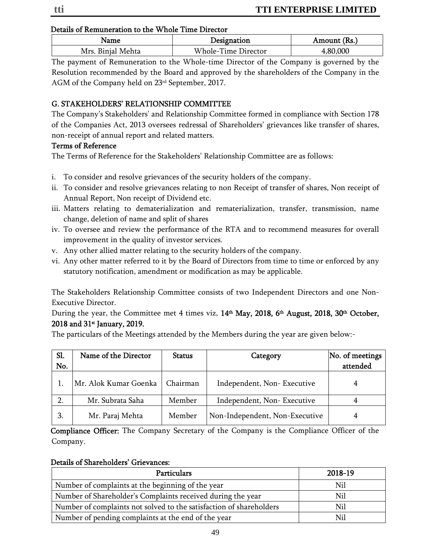#### Details of Remuneration to the Whole Time Director

| <b>Name</b>       | Designation         | Amount (Rs.) |
|-------------------|---------------------|--------------|
| Mrs. Binjal Mehta | Whole-Time Director | .,80,000     |

The payment of Remuneration to the Whole-time Director of the Company is governed by the Resolution recommended by the Board and approved by the shareholders of the Company in the AGM of the Company held on 23rd September, 2017.

## G. STAKEHOLDERS' RELATIONSHIP COMMITTEE

The Company's Stakeholders' and Relationship Committee formed in compliance with Section 178 of the Companies Act, 2013 oversees redressal of Shareholders' grievances like transfer of shares, non-receipt of annual report and related matters.

#### Terms of Reference

The Terms of Reference for the Stakeholders' Relationship Committee are as follows:

- i. To consider and resolve grievances of the security holders of the company.
- ii. To consider and resolve grievances relating to non Receipt of transfer of shares, Non receipt of Annual Report, Non receipt of Dividend etc.
- iii. Matters relating to dematerialization and rematerialization, transfer, transmission, name change, deletion of name and split of shares
- iv. To oversee and review the performance of the RTA and to recommend measures for overall improvement in the quality of investor services.
- v. Any other allied matter relating to the security holders of the company.
- vi. Any other matter referred to it by the Board of Directors from time to time or enforced by any statutory notification, amendment or modification as may be applicable.

The Stakeholders Relationship Committee consists of two Independent Directors and one Non-Executive Director.

During the year, the Committee met 4 times viz, 14<sup>th</sup> May, 2018, 6<sup>th</sup> August, 2018, 30<sup>th</sup> October, 2018 and 31st January, 2019.

The particulars of the Meetings attended by the Members during the year are given below:-

| Sl.<br>No. | Name of the Director  | <b>Status</b> | Category                       | No. of meetings<br>attended |
|------------|-----------------------|---------------|--------------------------------|-----------------------------|
|            | Mr. Alok Kumar Goenka | Chairman      | Independent, Non-Executive     |                             |
|            | Mr. Subrata Saha      | Member        | Independent, Non-Executive     |                             |
| 3.         | Mr. Paraj Mehta       | Member        | Non-Independent, Non-Executive |                             |

 Compliance Officer: The Company Secretary of the Company is the Compliance Officer of the Company.

#### Details of Shareholders' Grievances:

| <b>Particulars</b>                                                  | 2018-19 |
|---------------------------------------------------------------------|---------|
| Number of complaints at the beginning of the year                   | Nil     |
| Number of Shareholder's Complaints received during the year         | Nil     |
| Number of complaints not solved to the satisfaction of shareholders | Nil     |
| Number of pending complaints at the end of the year                 | Nil     |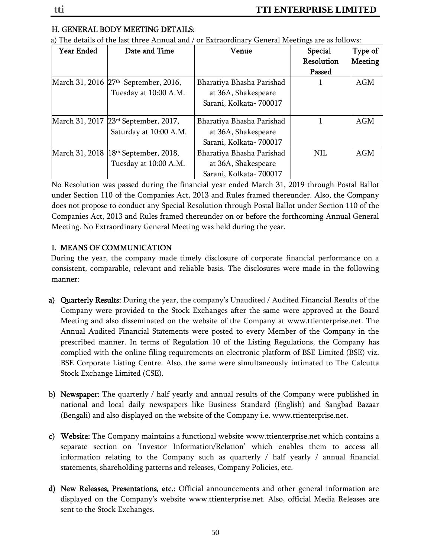## H. GENERAL BODY MEETING DETAILS:

| <b>Year Ended</b> | Date and Time                                      | Venue                     | Special    | Type of    |
|-------------------|----------------------------------------------------|---------------------------|------------|------------|
|                   |                                                    |                           | Resolution | Meeting    |
|                   |                                                    |                           | Passed     |            |
|                   | March 31, 2016 27 <sup>th</sup> September, 2016,   | Bharatiya Bhasha Parishad |            | <b>AGM</b> |
|                   | Tuesday at 10:00 A.M.                              | at 36A, Shakespeare       |            |            |
|                   |                                                    | Sarani, Kolkata-700017    |            |            |
|                   |                                                    |                           |            |            |
|                   | March 31, 2017 23 <sup>rd</sup> September, 2017,   | Bharatiya Bhasha Parishad |            | <b>AGM</b> |
|                   | Saturday at 10:00 A.M.                             | at 36A, Shakespeare       |            |            |
|                   |                                                    | Sarani, Kolkata-700017    |            |            |
|                   | March 31, 2018   18 <sup>th</sup> September, 2018, | Bharatiya Bhasha Parishad | <b>NIL</b> | <b>AGM</b> |
|                   | Tuesday at 10:00 A.M.                              | at 36A, Shakespeare       |            |            |
|                   |                                                    | Sarani, Kolkata-700017    |            |            |

a) The details of the last three Annual and / or Extraordinary General Meetings are as follows:

No Resolution was passed during the financial year ended March 31, 2019 through Postal Ballot under Section 110 of the Companies Act, 2013 and Rules framed thereunder. Also, the Company does not propose to conduct any Special Resolution through Postal Ballot under Section 110 of the Companies Act, 2013 and Rules framed thereunder on or before the forthcoming Annual General Meeting. No Extraordinary General Meeting was held during the year.

## I. MEANS OF COMMUNICATION

 During the year, the company made timely disclosure of corporate financial performance on a consistent, comparable, relevant and reliable basis. The disclosures were made in the following manner:

- a) Quarterly Results: During the year, the company's Unaudited / Audited Financial Results of the Company were provided to the Stock Exchanges after the same were approved at the Board Meeting and also disseminated on the website of the Company at www.ttienterprise.net. The Annual Audited Financial Statements were posted to every Member of the Company in the prescribed manner. In terms of Regulation 10 of the Listing Regulations, the Company has complied with the online filing requirements on electronic platform of BSE Limited (BSE) viz. BSE Corporate Listing Centre. Also, the same were simultaneously intimated to The Calcutta Stock Exchange Limited (CSE).
- b) Newspaper: The quarterly / half yearly and annual results of the Company were published in national and local daily newspapers like Business Standard (English) and Sangbad Bazaar (Bengali) and also displayed on the website of the Company i.e. www.ttienterprise.net.
- c) Website: The Company maintains a functional website www.ttienterprise.net which contains a separate section on 'Investor Information/Relation' which enables them to access all information relating to the Company such as quarterly / half yearly / annual financial statements, shareholding patterns and releases, Company Policies, etc.
- d) New Releases, Presentations, etc.: Official announcements and other general information are displayed on the Company's website www.ttienterprise.net. Also, official Media Releases are sent to the Stock Exchanges.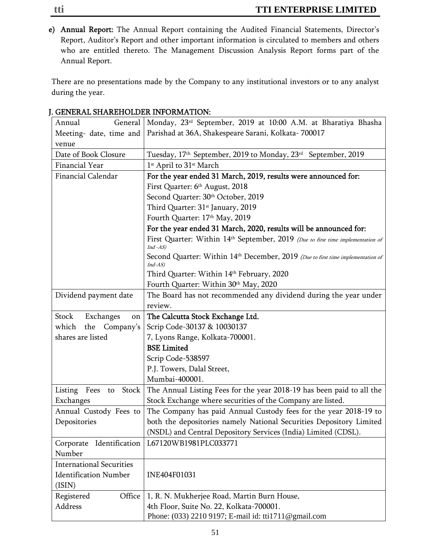e) Annual Report: The Annual Report containing the Audited Financial Statements, Director's Report, Auditor's Report and other important information is circulated to members and others who are entitled thereto. The Management Discussion Analysis Report forms part of the Annual Report.

There are no presentations made by the Company to any institutional investors or to any analyst during the year.

| General<br>Annual                | Monday, 23 <sup>rd</sup> September, 2019 at 10:00 A.M. at Bharatiya Bhasha                                 |
|----------------------------------|------------------------------------------------------------------------------------------------------------|
| Meeting- date, time and          | Parishad at 36A, Shakespeare Sarani, Kolkata-700017                                                        |
| venue                            |                                                                                                            |
| Date of Book Closure             | Tuesday, 17 <sup>th</sup> September, 2019 to Monday, 23 <sup>rd</sup> September, 2019                      |
| Financial Year                   | 1 <sup>st</sup> April to 31 <sup>st</sup> March                                                            |
| <b>Financial Calendar</b>        | For the year ended 31 March, 2019, results were announced for:                                             |
|                                  | First Quarter: 6th August, 2018                                                                            |
|                                  | Second Quarter: 30th October, 2019                                                                         |
|                                  | Third Quarter: 31 <sup>st</sup> January, 2019                                                              |
|                                  | Fourth Quarter: 17th May, 2019                                                                             |
|                                  | For the year ended 31 March, 2020, results will be announced for:                                          |
|                                  | First Quarter: Within 14 <sup>th</sup> September, 2019 (Due to first time implementation of<br>$Ind -AS$ ) |
|                                  | Second Quarter: Within 14th December, 2019 (Due to first time implementation of<br>$Ind-AS)$               |
|                                  | Third Quarter: Within 14th February, 2020                                                                  |
|                                  | Fourth Quarter: Within 30th May, 2020                                                                      |
| Dividend payment date            | The Board has not recommended any dividend during the year under                                           |
|                                  | review.                                                                                                    |
| Exchanges<br>Stock<br>on         | The Calcutta Stock Exchange Ltd.                                                                           |
| the Company's<br>which           | Scrip Code-30137 & 10030137                                                                                |
| shares are listed                | 7, Lyons Range, Kolkata-700001.                                                                            |
|                                  | <b>BSE</b> Limited                                                                                         |
|                                  | Scrip Code-538597                                                                                          |
|                                  | P.J. Towers, Dalal Street,                                                                                 |
|                                  | Mumbai-400001.                                                                                             |
| Listing<br>Fees<br>Stock  <br>to | The Annual Listing Fees for the year 2018-19 has been paid to all the                                      |
| Exchanges                        | Stock Exchange where securities of the Company are listed.                                                 |
| Annual Custody Fees to           | The Company has paid Annual Custody fees for the year 2018-19 to                                           |
| Depositories                     | both the depositories namely National Securities Depository Limited                                        |
|                                  | (NSDL) and Central Depository Services (India) Limited (CDSL).                                             |
| Identification<br>Corporate      | L67120WB1981PLC033771                                                                                      |
| Number                           |                                                                                                            |
| <b>International Securities</b>  |                                                                                                            |
| <b>Identification Number</b>     | INE404F01031                                                                                               |
| (ISIN)                           |                                                                                                            |
| Office<br>Registered             | 1, R. N. Mukherjee Road, Martin Burn House,                                                                |
| <b>Address</b>                   | 4th Floor, Suite No. 22, Kolkata-700001.                                                                   |
|                                  | Phone: (033) 2210 9197; E-mail id: tti1711@gmail.com                                                       |

## J. GENERAL SHAREHOLDER INFORMATION: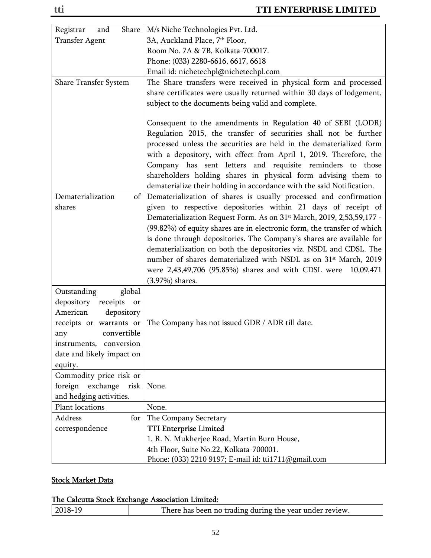| Registrar<br>Share<br>and                                                                                                                                                                           | M/s Niche Technologies Pvt. Ltd.                                                                                                                                                                                                                                                                                                                                                                                                                                                                                                                                                                                        |
|-----------------------------------------------------------------------------------------------------------------------------------------------------------------------------------------------------|-------------------------------------------------------------------------------------------------------------------------------------------------------------------------------------------------------------------------------------------------------------------------------------------------------------------------------------------------------------------------------------------------------------------------------------------------------------------------------------------------------------------------------------------------------------------------------------------------------------------------|
| Transfer Agent                                                                                                                                                                                      | 3A, Auckland Place, 7th Floor,                                                                                                                                                                                                                                                                                                                                                                                                                                                                                                                                                                                          |
|                                                                                                                                                                                                     | Room No. 7A & 7B, Kolkata-700017.                                                                                                                                                                                                                                                                                                                                                                                                                                                                                                                                                                                       |
|                                                                                                                                                                                                     | Phone: (033) 2280-6616, 6617, 6618                                                                                                                                                                                                                                                                                                                                                                                                                                                                                                                                                                                      |
|                                                                                                                                                                                                     | Email id: nichetechpl@nichetechpl.com                                                                                                                                                                                                                                                                                                                                                                                                                                                                                                                                                                                   |
| <b>Share Transfer System</b>                                                                                                                                                                        | The Share transfers were received in physical form and processed<br>share certificates were usually returned within 30 days of lodgement,<br>subject to the documents being valid and complete.                                                                                                                                                                                                                                                                                                                                                                                                                         |
|                                                                                                                                                                                                     | Consequent to the amendments in Regulation 40 of SEBI (LODR)<br>Regulation 2015, the transfer of securities shall not be further<br>processed unless the securities are held in the dematerialized form<br>with a depository, with effect from April 1, 2019. Therefore, the<br>Company has sent letters and requisite reminders to those<br>shareholders holding shares in physical form advising them to<br>dematerialize their holding in accordance with the said Notification.                                                                                                                                     |
| Dematerialization<br>shares                                                                                                                                                                         | of Dematerialization of shares is usually processed and confirmation<br>given to respective depositories within 21 days of receipt of<br>Dematerialization Request Form. As on 31 <sup>st</sup> March, 2019, 2,53,59,177 -<br>(99.82%) of equity shares are in electronic form, the transfer of which<br>is done through depositories. The Company's shares are available for<br>dematerialization on both the depositories viz. NSDL and CDSL. The<br>number of shares dematerialized with NSDL as on 31 <sup>st</sup> March, 2019<br>were 2,43,49,706 (95.85%) shares and with CDSL were 10,09,471<br>(3.97%) shares. |
| Outstanding<br>global<br>receipts<br>depository<br>or<br>American<br>depository<br>receipts or warrants or<br>convertible<br>any<br>instruments, conversion<br>date and likely impact on<br>equity. | The Company has not issued GDR / ADR till date.                                                                                                                                                                                                                                                                                                                                                                                                                                                                                                                                                                         |
| Commodity price risk or<br>foreign exchange<br>risk<br>and hedging activities.                                                                                                                      | None.                                                                                                                                                                                                                                                                                                                                                                                                                                                                                                                                                                                                                   |
| Plant locations                                                                                                                                                                                     | None.                                                                                                                                                                                                                                                                                                                                                                                                                                                                                                                                                                                                                   |
| Address<br>for                                                                                                                                                                                      | The Company Secretary                                                                                                                                                                                                                                                                                                                                                                                                                                                                                                                                                                                                   |
| correspondence                                                                                                                                                                                      | <b>TTI Enterprise Limited</b>                                                                                                                                                                                                                                                                                                                                                                                                                                                                                                                                                                                           |
|                                                                                                                                                                                                     | 1, R. N. Mukherjee Road, Martin Burn House,                                                                                                                                                                                                                                                                                                                                                                                                                                                                                                                                                                             |
|                                                                                                                                                                                                     | 4th Floor, Suite No.22, Kolkata-700001.                                                                                                                                                                                                                                                                                                                                                                                                                                                                                                                                                                                 |
|                                                                                                                                                                                                     | Phone: (033) 2210 9197; E-mail id: tti1711@gmail.com                                                                                                                                                                                                                                                                                                                                                                                                                                                                                                                                                                    |

## **Stock Market Data**

## The Calcutta Stock Exchange Association Limited:

|  | 2018-19 | There has been no trading during the year under review. |
|--|---------|---------------------------------------------------------|
|--|---------|---------------------------------------------------------|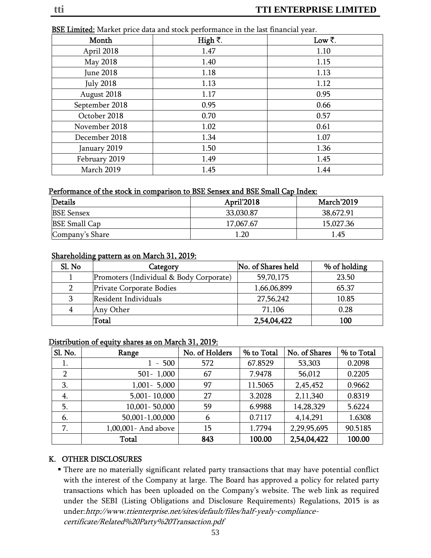| Month            | High ₹. | Low ₹. |
|------------------|---------|--------|
| April 2018       | 1.47    | 1.10   |
| May 2018         | 1.40    | 1.15   |
| June 2018        | 1.18    | 1.13   |
| <b>July 2018</b> | 1.13    | 1.12   |
| August 2018      | 1.17    | 0.95   |
| September 2018   | 0.95    | 0.66   |
| October 2018     | 0.70    | 0.57   |
| November 2018    | 1.02    | 0.61   |
| December 2018    | 1.34    | 1.07   |
| January 2019     | 1.50    | 1.36   |
| February 2019    | 1.49    | 1.45   |
| March 2019       | 1.45    | 1.44   |

BSE Limited: Market price data and stock performance in the last financial year.

#### Performance of the stock in comparison to BSE Sensex and BSE Small Cap Index:

| Details              | April'2018 | March'2019 |
|----------------------|------------|------------|
| <b>BSE Sensex</b>    | 33,030.87  | 38,672.91  |
| <b>BSE Small Cap</b> | 17,067.67  | 15,027.36  |
| Company's Share      | 1.20       | 1.45       |

#### Shareholding pattern as on March 31, 2019:

| Sl. No | Category                                | No. of Shares held | % of holding |
|--------|-----------------------------------------|--------------------|--------------|
|        | Promoters (Individual & Body Corporate) | 59,70,175          | 23.50        |
| 2      | Private Corporate Bodies                | 1,66,06,899        | 65.37        |
| 3      | Resident Individuals                    | 27,56,242          | 10.85        |
| 4      | Any Other                               | 71,106             | 0.28         |
|        | Total                                   | 2,54,04,422        | 100          |

#### Distribution of equity shares as on March 31, 2019:

| Sl. No.        | Range                | No. of Holders | % to Total | No. of Shares | % to Total |
|----------------|----------------------|----------------|------------|---------------|------------|
| 1.             | 500<br>$\sim$        | 572            | 67.8529    | 53,303        | 0.2098     |
| $\overline{2}$ | $501 - 1,000$        | 67             | 7.9478     | 56,012        | 0.2205     |
| 3.             | $1,001 - 5,000$      | 97             | 11.5065    | 2,45,452      | 0.9662     |
| 4.             | 5,001 - 10,000       | 27             | 3.2028     | 2,11,340      | 0.8319     |
| 5.             | 10,001 - 50,000      | 59             | 6.9988     | 14,28,329     | 5.6224     |
| 6.             | 50,001-1,00,000      | 6              | 0.7117     | 4,14,291      | 1.6308     |
| 7.             | 1,00,001 - And above | 15             | 1.7794     | 2,29,95,695   | 90.5185    |
|                | <b>Total</b>         | 843            | 100.00     | 2,54,04,422   | 100.00     |

## K. OTHER DISCLOSURES

 There are no materially significant related party transactions that may have potential conflict with the interest of the Company at large. The Board has approved a policy for related party transactions which has been uploaded on the Company's website. The web link as required under the SEBI (Listing Obligations and Disclosure Requirements) Regulations, 2015 is as under:http://www.ttienterprise.net/sites/default/files/half-yealy-compliancecertificate/Related%20Party%20Transaction.pdf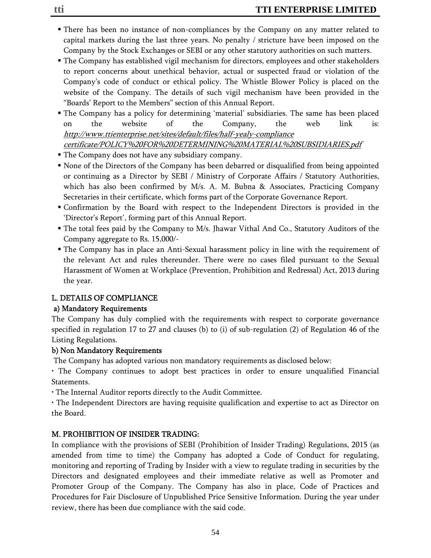- There has been no instance of non-compliances by the Company on any matter related to capital markets during the last three years. No penalty / stricture have been imposed on the Company by the Stock Exchanges or SEBI or any other statutory authorities on such matters.
- The Company has established vigil mechanism for directors, employees and other stakeholders to report concerns about unethical behavior, actual or suspected fraud or violation of the Company's code of conduct or ethical policy. The Whistle Blower Policy is placed on the website of the Company. The details of such vigil mechanism have been provided in the "Boards' Report to the Members" section of this Annual Report.
- The Company has a policy for determining 'material' subsidiaries. The same has been placed on the website of the Company, the web link is: http://www.ttienterprise.net/sites/default/files/half-yealy-compliance

certificate/POLICY%20FOR%20DETERMINING%20MATERIAL%20SUBSIDIARIES.pdf

- The Company does not have any subsidiary company.
- None of the Directors of the Company has been debarred or disqualified from being appointed or continuing as a Director by SEBI / Ministry of Corporate Affairs / Statutory Authorities, which has also been confirmed by M/s. A. M. Bubna & Associates, Practicing Company Secretaries in their certificate, which forms part of the Corporate Governance Report.
- Confirmation by the Board with respect to the Independent Directors is provided in the 'Director's Report', forming part of this Annual Report.
- The total fees paid by the Company to M/s. Jhawar Vithal And Co., Statutory Auditors of the Company aggregate to Rs. 15,000/-
- The Company has in place an Anti-Sexual harassment policy in line with the requirement of the relevant Act and rules thereunder. There were no cases filed pursuant to the Sexual Harassment of Women at Workplace (Prevention, Prohibition and Redressal) Act, 2013 during the year.

## L. DETAILS OF COMPLIANCE

## a) Mandatory Requirements

The Company has duly complied with the requirements with respect to corporate governance specified in regulation 17 to 27 and clauses (b) to (i) of sub-regulation (2) of Regulation 46 of the Listing Regulations.

## b) Non Mandatory Requirements

The Company has adopted various non mandatory requirements as disclosed below:

• The Company continues to adopt best practices in order to ensure unqualified Financial Statements.

• The Internal Auditor reports directly to the Audit Committee.

• The Independent Directors are having requisite qualification and expertise to act as Director on the Board.

## M. PROHIBITION OF INSIDER TRADING:

In compliance with the provisions of SEBI (Prohibition of Insider Trading) Regulations, 2015 (as amended from time to time) the Company has adopted a Code of Conduct for regulating, monitoring and reporting of Trading by Insider with a view to regulate trading in securities by the Directors and designated employees and their immediate relative as well as Promoter and Promoter Group of the Company. The Company has also in place, Code of Practices and Procedures for Fair Disclosure of Unpublished Price Sensitive Information. During the year under review, there has been due compliance with the said code.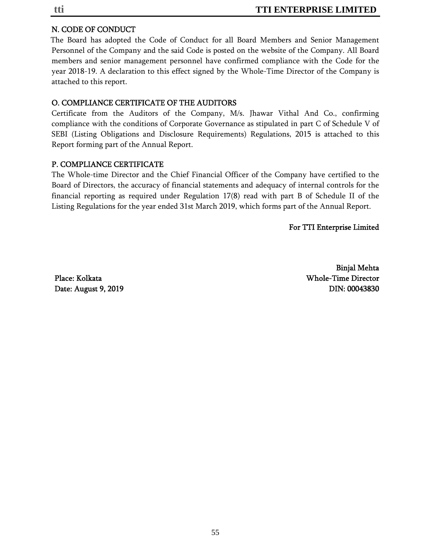## N. CODE OF CONDUCT

 The Board has adopted the Code of Conduct for all Board Members and Senior Management Personnel of the Company and the said Code is posted on the website of the Company. All Board members and senior management personnel have confirmed compliance with the Code for the year 2018-19. A declaration to this effect signed by the Whole-Time Director of the Company is attached to this report.

## O. COMPLIANCE CERTIFICATE OF THE AUDITORS

Certificate from the Auditors of the Company, M/s. Jhawar Vithal And Co., confirming compliance with the conditions of Corporate Governance as stipulated in part C of Schedule V of SEBI (Listing Obligations and Disclosure Requirements) Regulations, 2015 is attached to this Report forming part of the Annual Report.

## P. COMPLIANCE CERTIFICATE

The Whole-time Director and the Chief Financial Officer of the Company have certified to the Board of Directors, the accuracy of financial statements and adequacy of internal controls for the financial reporting as required under Regulation 17(8) read with part B of Schedule II of the Listing Regulations for the year ended 31st March 2019, which forms part of the Annual Report.

#### For TTI Enterprise Limited

Binjal Mehta Place: Kolkata Whole-Time Director Date: August 9, 2019 **DIN: 00043830**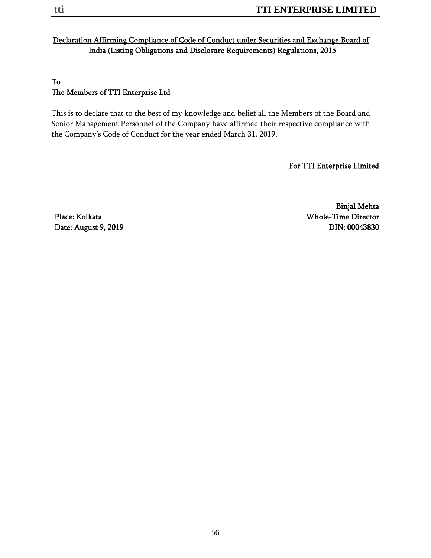## Declaration Affirming Compliance of Code of Conduct under Securities and Exchange Board of India (Listing Obligations and Disclosure Requirements) Regulations, 2015

## To The Members of TTI Enterprise Ltd

This is to declare that to the best of my knowledge and belief all the Members of the Board and Senior Management Personnel of the Company have affirmed their respective compliance with the Company's Code of Conduct for the year ended March 31, 2019.

For TTI Enterprise Limited

Binjal Mehta Place: Kolkata Whole-Time Director Date: August 9, 2019 **DIN: 00043830**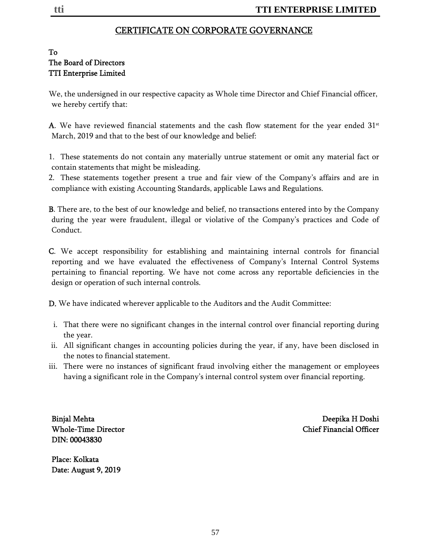## CERTIFICATE ON CORPORATE GOVERNANCE

### To The Board of Directors TTI Enterprise Limited

We, the undersigned in our respective capacity as Whole time Director and Chief Financial officer, we hereby certify that:

A. We have reviewed financial statements and the cash flow statement for the year ended  $31<sup>st</sup>$ March, 2019 and that to the best of our knowledge and belief:

- 1. These statements do not contain any materially untrue statement or omit any material fact or contain statements that might be misleading.
- 2. These statements together present a true and fair view of the Company's affairs and are in compliance with existing Accounting Standards, applicable Laws and Regulations.

B. There are, to the best of our knowledge and belief, no transactions entered into by the Company during the year were fraudulent, illegal or violative of the Company's practices and Code of Conduct.

C. We accept responsibility for establishing and maintaining internal controls for financial reporting and we have evaluated the effectiveness of Company's Internal Control Systems pertaining to financial reporting. We have not come across any reportable deficiencies in the design or operation of such internal controls.

D. We have indicated wherever applicable to the Auditors and the Audit Committee:

- i. That there were no significant changes in the internal control over financial reporting during the year.
- ii. All significant changes in accounting policies during the year, if any, have been disclosed in the notes to financial statement.
- iii. There were no instances of significant fraud involving either the management or employees having a significant role in the Company's internal control system over financial reporting.

DIN: 00043830

Binjal Mehta Deepika H Doshi Whole-Time Director Chief Financial Officer

Place: Kolkata Date: August 9, 2019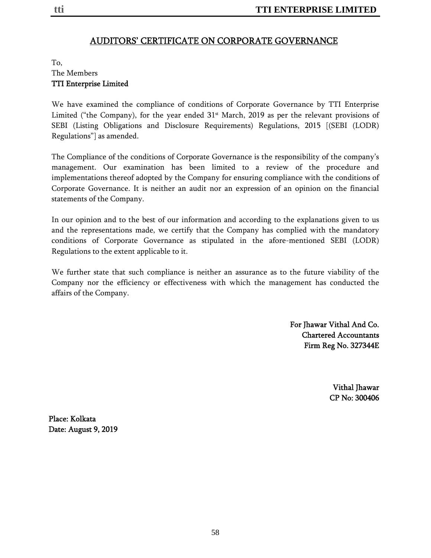## AUDITORS' CERTIFICATE ON CORPORATE GOVERNANCE

## To, The Members TTI Enterprise Limited

We have examined the compliance of conditions of Corporate Governance by TTI Enterprise Limited ("the Company), for the year ended  $31<sup>st</sup>$  March, 2019 as per the relevant provisions of SEBI (Listing Obligations and Disclosure Requirements) Regulations, 2015 [(SEBI (LODR) Regulations"] as amended.

The Compliance of the conditions of Corporate Governance is the responsibility of the company's management. Our examination has been limited to a review of the procedure and implementations thereof adopted by the Company for ensuring compliance with the conditions of Corporate Governance. It is neither an audit nor an expression of an opinion on the financial statements of the Company.

In our opinion and to the best of our information and according to the explanations given to us and the representations made, we certify that the Company has complied with the mandatory conditions of Corporate Governance as stipulated in the afore-mentioned SEBI (LODR) Regulations to the extent applicable to it.

We further state that such compliance is neither an assurance as to the future viability of the Company nor the efficiency or effectiveness with which the management has conducted the affairs of the Company.

> For Jhawar Vithal And Co. Chartered Accountants Firm Reg No. 327344E

> > Vithal Jhawar CP No: 300406

Place: Kolkata Date: August 9, 2019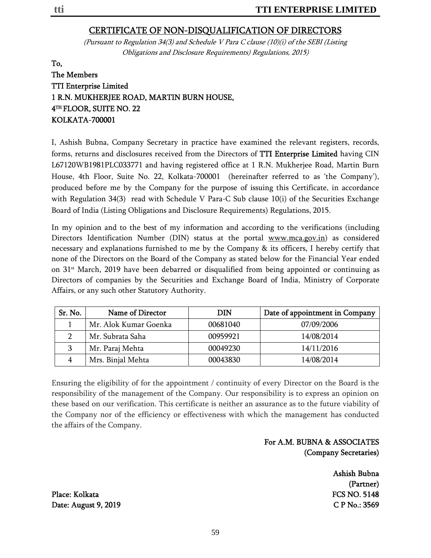## CERTIFICATE OF NON-DISQUALIFICATION OF DIRECTORS

(Pursuant to Regulation 34(3) and Schedule V Para C clause (10)(i) of the SEBI (Listing Obligations and Disclosure Requirements) Regulations, 2015)

To, The Members TTI Enterprise Limited 1 R.N. MUKHERJEE ROAD, MARTIN BURN HOUSE, 4TH FLOOR, SUITE NO. 22 KOLKATA-700001

I, Ashish Bubna, Company Secretary in practice have examined the relevant registers, records, forms, returns and disclosures received from the Directors of TTI Enterprise Limited having CIN L67120WB1981PLC033771 and having registered office at 1 R.N. Mukherjee Road, Martin Burn House, 4th Floor, Suite No. 22, Kolkata-700001 (hereinafter referred to as 'the Company'), produced before me by the Company for the purpose of issuing this Certificate, in accordance with Regulation 34(3) read with Schedule V Para-C Sub clause  $10(i)$  of the Securities Exchange Board of India (Listing Obligations and Disclosure Requirements) Regulations, 2015.

In my opinion and to the best of my information and according to the verifications (including Directors Identification Number (DIN) status at the portal www.mca.gov.in) as considered necessary and explanations furnished to me by the Company & its officers, I hereby certify that none of the Directors on the Board of the Company as stated below for the Financial Year ended on  $31$ <sup>st</sup> March, 2019 have been debarred or disqualified from being appointed or continuing as Directors of companies by the Securities and Exchange Board of India, Ministry of Corporate Affairs, or any such other Statutory Authority.

| Sr. No. | Name of Director      | <b>DIN</b> | Date of appointment in Company |
|---------|-----------------------|------------|--------------------------------|
|         | Mr. Alok Kumar Goenka | 00681040   | 07/09/2006                     |
| ר       | Mr. Subrata Saha      | 00959921   | 14/08/2014                     |
| 3       | Mr. Paraj Mehta       | 00049230   | 14/11/2016                     |
|         | Mrs. Binjal Mehta     | 00043830   | 14/08/2014                     |

Ensuring the eligibility of for the appointment / continuity of every Director on the Board is the responsibility of the management of the Company. Our responsibility is to express an opinion on these based on our verification. This certificate is neither an assurance as to the future viability of the Company nor of the efficiency or effectiveness with which the management has conducted the affairs of the Company.

## For A.M. BUBNA & ASSOCIATES (Company Secretaries)

Ashish Bubna (Partner)

Place: Kolkata FCS NO. 5148 Date: August 9, 2019 **C P No.: 3569**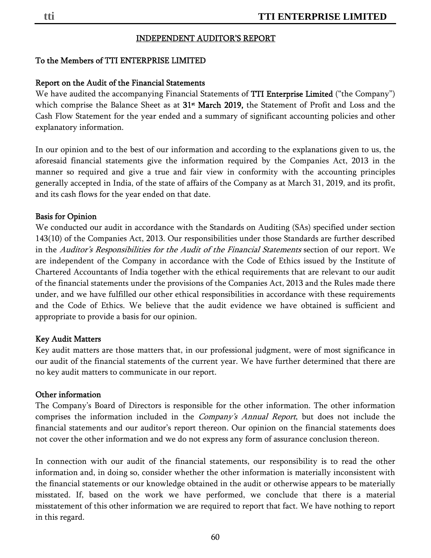### INDEPENDENT AUDITOR'S REPORT

## To the Members of TTI ENTERPRISE LIMITED

#### Report on the Audit of the Financial Statements

We have audited the accompanying Financial Statements of **TTI Enterprise Limited** ("the Company") which comprise the Balance Sheet as at 31<sup>st</sup> March 2019, the Statement of Profit and Loss and the Cash Flow Statement for the year ended and a summary of significant accounting policies and other explanatory information.

In our opinion and to the best of our information and according to the explanations given to us, the aforesaid financial statements give the information required by the Companies Act, 2013 in the manner so required and give a true and fair view in conformity with the accounting principles generally accepted in India, of the state of affairs of the Company as at March 31, 2019, and its profit, and its cash flows for the year ended on that date.

#### Basis for Opinion

We conducted our audit in accordance with the Standards on Auditing (SAs) specified under section 143(10) of the Companies Act, 2013. Our responsibilities under those Standards are further described in the *Auditor's Responsibilities for the Audit of the Financial Statements* section of our report. We are independent of the Company in accordance with the Code of Ethics issued by the Institute of Chartered Accountants of India together with the ethical requirements that are relevant to our audit of the financial statements under the provisions of the Companies Act, 2013 and the Rules made there under, and we have fulfilled our other ethical responsibilities in accordance with these requirements and the Code of Ethics. We believe that the audit evidence we have obtained is sufficient and appropriate to provide a basis for our opinion.

#### Key Audit Matters

Key audit matters are those matters that, in our professional judgment, were of most significance in our audit of the financial statements of the current year. We have further determined that there are no key audit matters to communicate in our report.

#### Other information

The Company's Board of Directors is responsible for the other information. The other information comprises the information included in the *Company's Annual Report*, but does not include the financial statements and our auditor's report thereon. Our opinion on the financial statements does not cover the other information and we do not express any form of assurance conclusion thereon.

In connection with our audit of the financial statements, our responsibility is to read the other information and, in doing so, consider whether the other information is materially inconsistent with the financial statements or our knowledge obtained in the audit or otherwise appears to be materially misstated. If, based on the work we have performed, we conclude that there is a material misstatement of this other information we are required to report that fact. We have nothing to report in this regard.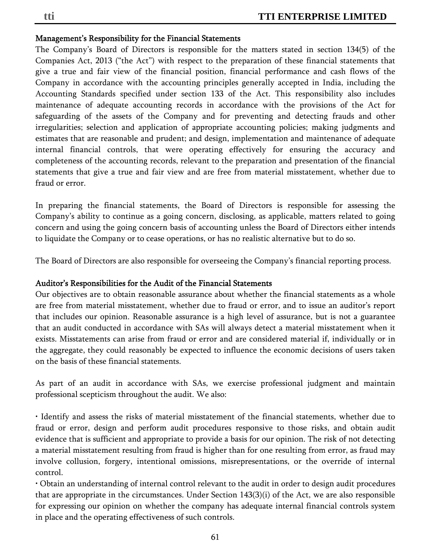#### Management's Responsibility for the Financial Statements

The Company's Board of Directors is responsible for the matters stated in section 134(5) of the Companies Act, 2013 ("the Act") with respect to the preparation of these financial statements that give a true and fair view of the financial position, financial performance and cash flows of the Company in accordance with the accounting principles generally accepted in India, including the Accounting Standards specified under section 133 of the Act. This responsibility also includes maintenance of adequate accounting records in accordance with the provisions of the Act for safeguarding of the assets of the Company and for preventing and detecting frauds and other irregularities; selection and application of appropriate accounting policies; making judgments and estimates that are reasonable and prudent; and design, implementation and maintenance of adequate internal financial controls, that were operating effectively for ensuring the accuracy and completeness of the accounting records, relevant to the preparation and presentation of the financial statements that give a true and fair view and are free from material misstatement, whether due to fraud or error.

In preparing the financial statements, the Board of Directors is responsible for assessing the Company's ability to continue as a going concern, disclosing, as applicable, matters related to going concern and using the going concern basis of accounting unless the Board of Directors either intends to liquidate the Company or to cease operations, or has no realistic alternative but to do so.

The Board of Directors are also responsible for overseeing the Company's financial reporting process.

### Auditor's Responsibilities for the Audit of the Financial Statements

Our objectives are to obtain reasonable assurance about whether the financial statements as a whole are free from material misstatement, whether due to fraud or error, and to issue an auditor's report that includes our opinion. Reasonable assurance is a high level of assurance, but is not a guarantee that an audit conducted in accordance with SAs will always detect a material misstatement when it exists. Misstatements can arise from fraud or error and are considered material if, individually or in the aggregate, they could reasonably be expected to influence the economic decisions of users taken on the basis of these financial statements.

As part of an audit in accordance with SAs, we exercise professional judgment and maintain professional scepticism throughout the audit. We also:

• Identify and assess the risks of material misstatement of the financial statements, whether due to fraud or error, design and perform audit procedures responsive to those risks, and obtain audit evidence that is sufficient and appropriate to provide a basis for our opinion. The risk of not detecting a material misstatement resulting from fraud is higher than for one resulting from error, as fraud may involve collusion, forgery, intentional omissions, misrepresentations, or the override of internal control.

• Obtain an understanding of internal control relevant to the audit in order to design audit procedures that are appropriate in the circumstances. Under Section 143(3)(i) of the Act, we are also responsible for expressing our opinion on whether the company has adequate internal financial controls system in place and the operating effectiveness of such controls.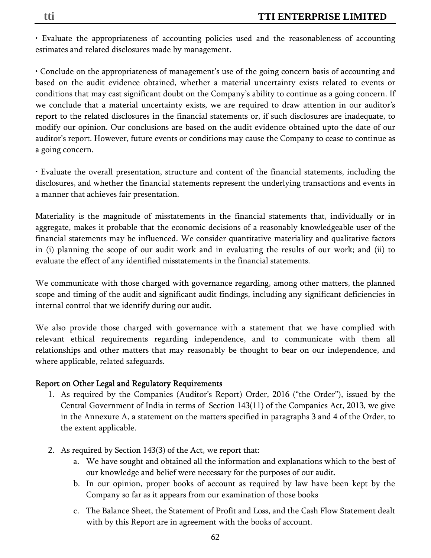• Evaluate the appropriateness of accounting policies used and the reasonableness of accounting estimates and related disclosures made by management.

• Conclude on the appropriateness of management's use of the going concern basis of accounting and based on the audit evidence obtained, whether a material uncertainty exists related to events or conditions that may cast significant doubt on the Company's ability to continue as a going concern. If we conclude that a material uncertainty exists, we are required to draw attention in our auditor's report to the related disclosures in the financial statements or, if such disclosures are inadequate, to modify our opinion. Our conclusions are based on the audit evidence obtained upto the date of our auditor's report. However, future events or conditions may cause the Company to cease to continue as a going concern.

• Evaluate the overall presentation, structure and content of the financial statements, including the disclosures, and whether the financial statements represent the underlying transactions and events in a manner that achieves fair presentation.

Materiality is the magnitude of misstatements in the financial statements that, individually or in aggregate, makes it probable that the economic decisions of a reasonably knowledgeable user of the financial statements may be influenced. We consider quantitative materiality and qualitative factors in (i) planning the scope of our audit work and in evaluating the results of our work; and (ii) to evaluate the effect of any identified misstatements in the financial statements.

We communicate with those charged with governance regarding, among other matters, the planned scope and timing of the audit and significant audit findings, including any significant deficiencies in internal control that we identify during our audit.

We also provide those charged with governance with a statement that we have complied with relevant ethical requirements regarding independence, and to communicate with them all relationships and other matters that may reasonably be thought to bear on our independence, and where applicable, related safeguards.

## Report on Other Legal and Regulatory Requirements

- 1. As required by the Companies (Auditor's Report) Order, 2016 ("the Order"), issued by the Central Government of India in terms of Section 143(11) of the Companies Act, 2013, we give in the Annexure A, a statement on the matters specified in paragraphs 3 and 4 of the Order, to the extent applicable.
- 2. As required by Section 143(3) of the Act, we report that:
	- a. We have sought and obtained all the information and explanations which to the best of our knowledge and belief were necessary for the purposes of our audit.
	- b. In our opinion, proper books of account as required by law have been kept by the Company so far as it appears from our examination of those books
	- c. The Balance Sheet, the Statement of Profit and Loss, and the Cash Flow Statement dealt with by this Report are in agreement with the books of account.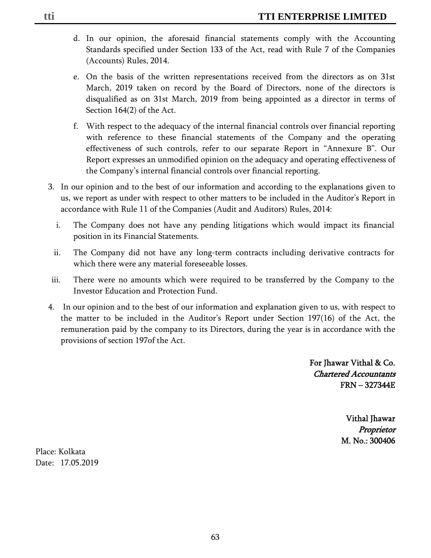- d. In our opinion, the aforesaid financial statements comply with the Accounting Standards specified under Section 133 of the Act, read with Rule 7 of the Companies (Accounts) Rules, 2014.
- e. On the basis of the written representations received from the directors as on 31st March, 2019 taken on record by the Board of Directors, none of the directors is disqualified as on 31st March, 2019 from being appointed as a director in terms of Section 164(2) of the Act.
- f. With respect to the adequacy of the internal financial controls over financial reporting with reference to these financial statements of the Company and the operating effectiveness of such controls, refer to our separate Report in "Annexure B". Our Report expresses an unmodified opinion on the adequacy and operating effectiveness of the Company's internal financial controls over financial reporting.
- 3. In our opinion and to the best of our information and according to the explanations given to us, we report as under with respect to other matters to be included in the Auditor's Report in accordance with Rule 11 of the Companies (Audit and Auditors) Rules, 2014:
	- i. The Company does not have any pending litigations which would impact its financial position in its Financial Statements.
	- ii. The Company did not have any long-term contracts including derivative contracts for which there were any material foreseeable losses.
- iii. There were no amounts which were required to be transferred by the Company to the Investor Education and Protection Fund.
- 4. In our opinion and to the best of our information and explanation given to us, with respect to the matter to be included in the Auditor's Report under Section 197(16) of the Act, the remuneration paid by the company to its Directors, during the year is in accordance with the provisions of section 197of the Act.

For Jhawar Vithal & Co. Chartered Accountants FRN – 327344E

> Vithal Jhawar Proprietor M. No.: 300406

Place: Kolkata Date: 17.05.2019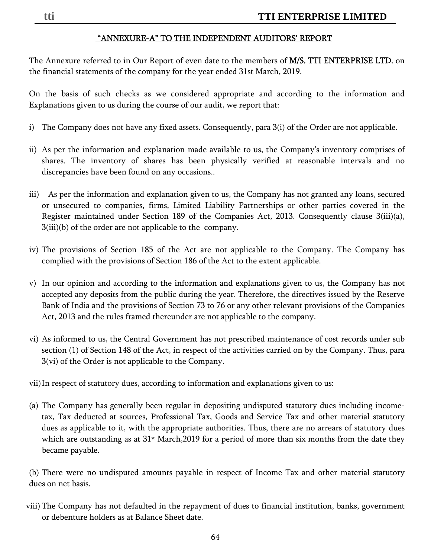## "ANNEXURE-A" TO THE INDEPENDENT AUDITORS' REPORT

The Annexure referred to in Our Report of even date to the members of M/S. TTI ENTERPRISE LTD. on the financial statements of the company for the year ended 31st March, 2019.

On the basis of such checks as we considered appropriate and according to the information and Explanations given to us during the course of our audit, we report that:

- i) The Company does not have any fixed assets. Consequently, para 3(i) of the Order are not applicable.
- ii) As per the information and explanation made available to us, the Company's inventory comprises of shares. The inventory of shares has been physically verified at reasonable intervals and no discrepancies have been found on any occasions..
- iii) As per the information and explanation given to us, the Company has not granted any loans, secured or unsecured to companies, firms, Limited Liability Partnerships or other parties covered in the Register maintained under Section 189 of the Companies Act, 2013. Consequently clause 3(iii)(a), 3(iii)(b) of the order are not applicable to the company.
- iv) The provisions of Section 185 of the Act are not applicable to the Company. The Company has complied with the provisions of Section 186 of the Act to the extent applicable.
- v) In our opinion and according to the information and explanations given to us, the Company has not accepted any deposits from the public during the year. Therefore, the directives issued by the Reserve Bank of India and the provisions of Section 73 to 76 or any other relevant provisions of the Companies Act, 2013 and the rules framed thereunder are not applicable to the company.
- vi) As informed to us, the Central Government has not prescribed maintenance of cost records under sub section (1) of Section 148 of the Act, in respect of the activities carried on by the Company. Thus, para 3(vi) of the Order is not applicable to the Company.
- vii)In respect of statutory dues, according to information and explanations given to us:
- (a) The Company has generally been regular in depositing undisputed statutory dues including incometax, Tax deducted at sources, Professional Tax, Goods and Service Tax and other material statutory dues as applicable to it, with the appropriate authorities. Thus, there are no arrears of statutory dues which are outstanding as at  $31<sup>st</sup>$  March, 2019 for a period of more than six months from the date they became payable.

(b) There were no undisputed amounts payable in respect of Income Tax and other material statutory dues on net basis.

viii) The Company has not defaulted in the repayment of dues to financial institution, banks, government or debenture holders as at Balance Sheet date.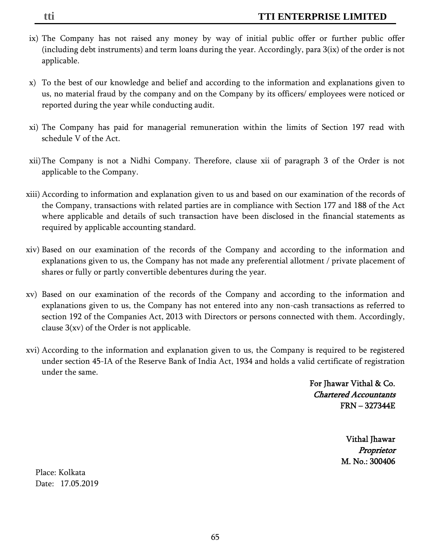- ix) The Company has not raised any money by way of initial public offer or further public offer (including debt instruments) and term loans during the year. Accordingly, para 3(ix) of the order is not applicable.
- x) To the best of our knowledge and belief and according to the information and explanations given to us, no material fraud by the company and on the Company by its officers/ employees were noticed or reported during the year while conducting audit.
- xi) The Company has paid for managerial remuneration within the limits of Section 197 read with schedule V of the Act.
- xii)The Company is not a Nidhi Company. Therefore, clause xii of paragraph 3 of the Order is not applicable to the Company.
- xiii) According to information and explanation given to us and based on our examination of the records of the Company, transactions with related parties are in compliance with Section 177 and 188 of the Act where applicable and details of such transaction have been disclosed in the financial statements as required by applicable accounting standard.
- xiv) Based on our examination of the records of the Company and according to the information and explanations given to us, the Company has not made any preferential allotment / private placement of shares or fully or partly convertible debentures during the year.
- xv) Based on our examination of the records of the Company and according to the information and explanations given to us, the Company has not entered into any non-cash transactions as referred to section 192 of the Companies Act, 2013 with Directors or persons connected with them. Accordingly, clause  $3(xv)$  of the Order is not applicable.
- xvi) According to the information and explanation given to us, the Company is required to be registered under section 45-IA of the Reserve Bank of India Act, 1934 and holds a valid certificate of registration under the same.

 For Jhawar Vithal & Co. Chartered Accountants FRN – 327344E

> Vithal Jhawar Proprietor M. No.: 300406

Place: Kolkata Date: 17.05.2019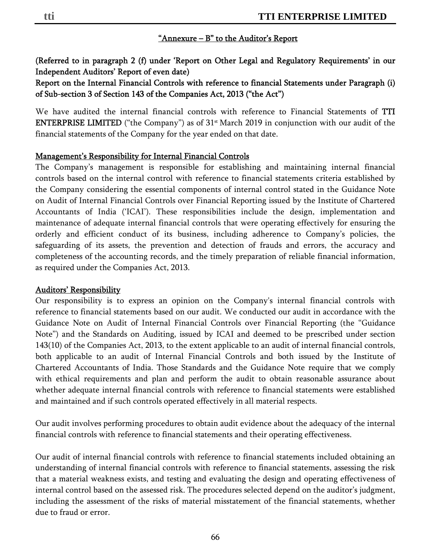### "Annexure – B" to the Auditor's Report

(Referred to in paragraph 2 (f) under 'Report on Other Legal and Regulatory Requirements' in our Independent Auditors' Report of even date)

Report on the Internal Financial Controls with reference to financial Statements under Paragraph (i) of Sub-section 3 of Section 143 of the Companies Act, 2013 ("the Act")

We have audited the internal financial controls with reference to Financial Statements of TTI **ENTERPRISE LIMITED** ("the Company") as of  $31$ <sup>st</sup> March 2019 in conjunction with our audit of the financial statements of the Company for the year ended on that date.

#### Management's Responsibility for Internal Financial Controls

The Company's management is responsible for establishing and maintaining internal financial controls based on the internal control with reference to financial statements criteria established by the Company considering the essential components of internal control stated in the Guidance Note on Audit of Internal Financial Controls over Financial Reporting issued by the Institute of Chartered Accountants of India ('ICAI'). These responsibilities include the design, implementation and maintenance of adequate internal financial controls that were operating effectively for ensuring the orderly and efficient conduct of its business, including adherence to Company's policies, the safeguarding of its assets, the prevention and detection of frauds and errors, the accuracy and completeness of the accounting records, and the timely preparation of reliable financial information, as required under the Companies Act, 2013.

#### Auditors' Responsibility

Our responsibility is to express an opinion on the Company's internal financial controls with reference to financial statements based on our audit. We conducted our audit in accordance with the Guidance Note on Audit of Internal Financial Controls over Financial Reporting (the "Guidance Note") and the Standards on Auditing, issued by ICAI and deemed to be prescribed under section 143(10) of the Companies Act, 2013, to the extent applicable to an audit of internal financial controls, both applicable to an audit of Internal Financial Controls and both issued by the Institute of Chartered Accountants of India. Those Standards and the Guidance Note require that we comply with ethical requirements and plan and perform the audit to obtain reasonable assurance about whether adequate internal financial controls with reference to financial statements were established and maintained and if such controls operated effectively in all material respects.

Our audit involves performing procedures to obtain audit evidence about the adequacy of the internal financial controls with reference to financial statements and their operating effectiveness.

Our audit of internal financial controls with reference to financial statements included obtaining an understanding of internal financial controls with reference to financial statements, assessing the risk that a material weakness exists, and testing and evaluating the design and operating effectiveness of internal control based on the assessed risk. The procedures selected depend on the auditor's judgment, including the assessment of the risks of material misstatement of the financial statements, whether due to fraud or error.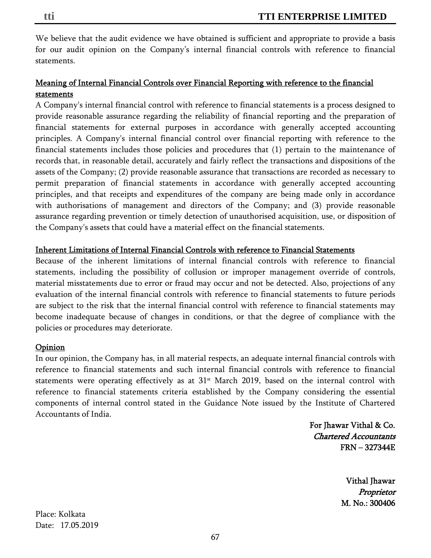## Meaning of Internal Financial Controls over Financial Reporting with reference to the financial statements

A Company's internal financial control with reference to financial statements is a process designed to provide reasonable assurance regarding the reliability of financial reporting and the preparation of financial statements for external purposes in accordance with generally accepted accounting principles. A Company's internal financial control over financial reporting with reference to the financial statements includes those policies and procedures that (1) pertain to the maintenance of records that, in reasonable detail, accurately and fairly reflect the transactions and dispositions of the assets of the Company; (2) provide reasonable assurance that transactions are recorded as necessary to permit preparation of financial statements in accordance with generally accepted accounting principles, and that receipts and expenditures of the company are being made only in accordance with authorisations of management and directors of the Company; and (3) provide reasonable assurance regarding prevention or timely detection of unauthorised acquisition, use, or disposition of the Company's assets that could have a material effect on the financial statements.

## Inherent Limitations of Internal Financial Controls with reference to Financial Statements

Because of the inherent limitations of internal financial controls with reference to financial statements, including the possibility of collusion or improper management override of controls, material misstatements due to error or fraud may occur and not be detected. Also, projections of any evaluation of the internal financial controls with reference to financial statements to future periods are subject to the risk that the internal financial control with reference to financial statements may become inadequate because of changes in conditions, or that the degree of compliance with the policies or procedures may deteriorate.

## **Opinion**

In our opinion, the Company has, in all material respects, an adequate internal financial controls with reference to financial statements and such internal financial controls with reference to financial statements were operating effectively as at 31<sup>st</sup> March 2019, based on the internal control with reference to financial statements criteria established by the Company considering the essential components of internal control stated in the Guidance Note issued by the Institute of Chartered Accountants of India.

> For Jhawar Vithal & Co. Chartered Accountants FRN – 327344E

> > Vithal Jhawar Proprietor M. No.: 300406

Place: Kolkata Date: 17.05.2019

statements.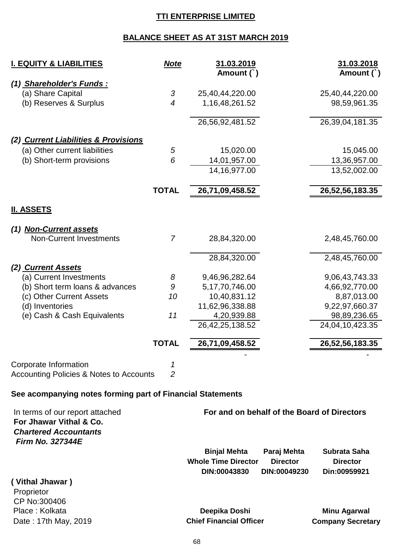## **TTI ENTERPRISE LIMITED**

## **BALANCE SHEET AS AT 31ST MARCH 2019**

| <b>I. EQUITY &amp; LIABILITIES</b>                                                                                    | <b>Note</b>         | 31.03.2019<br>Amount (`)                   | 31.03.2018<br>Amount (`)                                           |
|-----------------------------------------------------------------------------------------------------------------------|---------------------|--------------------------------------------|--------------------------------------------------------------------|
| (1) Shareholder's Funds:<br>(a) Share Capital<br>(b) Reserves & Surplus                                               | 3<br>$\overline{4}$ | 25,40,44,220.00<br>1, 16, 48, 261. 52      | 25,40,44,220.00<br>98,59,961.35                                    |
|                                                                                                                       |                     | 26,56,92,481.52                            | 26,39,04,181.35                                                    |
| (2) Current Liabilities & Provisions                                                                                  |                     |                                            |                                                                    |
| (a) Other current liabilities                                                                                         | 5                   | 15,020.00                                  | 15,045.00                                                          |
| (b) Short-term provisions                                                                                             | 6                   | 14,01,957.00                               | 13,36,957.00                                                       |
|                                                                                                                       |                     | 14, 16, 977.00                             | 13,52,002.00                                                       |
|                                                                                                                       | <b>TOTAL</b>        | 26,71,09,458.52                            | 26,52,56,183.35                                                    |
| <u>II. ASSETS</u>                                                                                                     |                     |                                            |                                                                    |
| (1) Non-Current assets                                                                                                |                     |                                            |                                                                    |
| <b>Non-Current Investments</b>                                                                                        | $\overline{7}$      | 28,84,320.00                               | 2,48,45,760.00                                                     |
|                                                                                                                       |                     | 28,84,320.00                               | 2,48,45,760.00                                                     |
| (2) Current Assets                                                                                                    |                     |                                            |                                                                    |
| (a) Current Investments                                                                                               | 8                   | 9,46,96,282.64                             | 9,06,43,743.33                                                     |
| (b) Short term loans & advances                                                                                       | 9                   | 5, 17, 70, 746.00                          | 4,66,92,770.00                                                     |
| (c) Other Current Assets                                                                                              | 10                  | 10,40,831.12                               | 8,87,013.00                                                        |
| (d) Inventories                                                                                                       |                     | 11,62,96,338.88                            | 9,22,97,660.37                                                     |
| (e) Cash & Cash Equivalents                                                                                           | 11                  | 4,20,939.88                                | 98,89,236.65                                                       |
|                                                                                                                       |                     | 26, 42, 25, 138.52                         | 24,04,10,423.35                                                    |
|                                                                                                                       | <b>TOTAL</b>        | 26,71,09,458.52                            | 26,52,56,183.35                                                    |
|                                                                                                                       |                     |                                            |                                                                    |
| Corporate Information                                                                                                 |                     |                                            |                                                                    |
| Accounting Policies & Notes to Accounts                                                                               | 2                   |                                            |                                                                    |
| See acompanying notes forming part of Financial Statements                                                            |                     |                                            |                                                                    |
| In terms of our report attached<br>For Jhawar Vithal & Co.<br><b>Chartered Accountants</b><br><b>Firm No. 327344E</b> |                     |                                            | For and on behalf of the Board of Directors                        |
|                                                                                                                       |                     | <b>Binjal Mehta</b>                        | Paraj Mehta<br>Subrata Saha                                        |
|                                                                                                                       |                     | <b>Whole Time Director</b><br>DIN:00043830 | <b>Director</b><br><b>Director</b><br>DIN:00049230<br>Din:00959921 |

**( Vithal Jhawar )**

Proprietor CP No:300406 Place : Kolkata **Deepika Doshi Minu Agarwal** 

Date : 17th May, 2019 **Chief Financial Officer Company Secretary**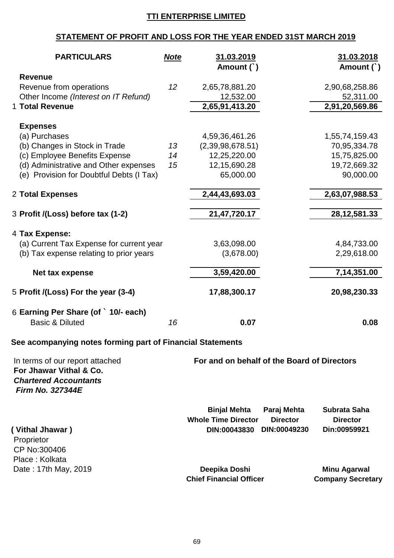## **TTI ENTERPRISE LIMITED**

# **STATEMENT OF PROFIT AND LOSS FOR THE YEAR ENDED 31ST MARCH 2019**

|                                                                                                                       | <b>PARTICULARS</b>                                                                  | <b>Note</b>    | 31.03.2019<br>Amount (`)                                                        |                                                | 31.03.2018<br>Amount (`)                                                    |
|-----------------------------------------------------------------------------------------------------------------------|-------------------------------------------------------------------------------------|----------------|---------------------------------------------------------------------------------|------------------------------------------------|-----------------------------------------------------------------------------|
| <b>Revenue</b><br>Revenue from operations<br>1 Total Revenue                                                          | Other Income (Interest on IT Refund)                                                | 12             | 2,65,78,881.20<br>12,532.00<br>2,65,91,413.20                                   |                                                | 2,90,68,258.86<br>52,311.00<br>2,91,20,569.86                               |
| <b>Expenses</b><br>(a) Purchases<br>(b) Changes in Stock in Trade<br>(c) Employee Benefits Expense                    | (d) Administrative and Other expenses<br>(e) Provision for Doubtful Debts (I Tax)   | 13<br>14<br>15 | 4,59,36,461.26<br>(2,39,98,678.51)<br>12,25,220.00<br>12,15,690.28<br>65,000.00 |                                                | 1,55,74,159.43<br>70,95,334.78<br>15,75,825.00<br>19,72,669.32<br>90,000.00 |
| 2 Total Expenses                                                                                                      |                                                                                     |                | 2,44,43,693.03                                                                  |                                                | 2,63,07,988.53                                                              |
| 3 Profit /(Loss) before tax (1-2)                                                                                     |                                                                                     |                | 21,47,720.17                                                                    |                                                | 28, 12, 581. 33                                                             |
| 4 Tax Expense:                                                                                                        | (a) Current Tax Expense for current year<br>(b) Tax expense relating to prior years |                | 3,63,098.00<br>(3,678.00)                                                       |                                                | 4,84,733.00<br>2,29,618.00                                                  |
| Net tax expense                                                                                                       |                                                                                     |                | 3,59,420.00                                                                     |                                                | 7,14,351.00                                                                 |
| 5 Profit /(Loss) For the year (3-4)                                                                                   |                                                                                     |                | 17,88,300.17                                                                    |                                                | 20,98,230.33                                                                |
| 6 Earning Per Share (of ` 10/- each)<br><b>Basic &amp; Diluted</b>                                                    |                                                                                     | 16             | 0.07                                                                            |                                                | 0.08                                                                        |
|                                                                                                                       | See acompanying notes forming part of Financial Statements                          |                |                                                                                 |                                                |                                                                             |
| In terms of our report attached<br>For Jhawar Vithal & Co.<br><b>Chartered Accountants</b><br><b>Firm No. 327344E</b> |                                                                                     |                | For and on behalf of the Board of Directors                                     |                                                |                                                                             |
| (Vithal Jhawar)<br>Proprietor<br>CP No:300406<br>Place: Kolkata                                                       |                                                                                     |                | <b>Binjal Mehta</b><br><b>Whole Time Director</b><br>DIN:00043830               | Paraj Mehta<br><b>Director</b><br>DIN:00049230 | Subrata Saha<br><b>Director</b><br>Din:00959921                             |
| Date: 17th May, 2019                                                                                                  |                                                                                     |                | Deepika Doshi<br><b>Chief Financial Officer</b>                                 |                                                | <b>Minu Agarwal</b><br><b>Company Secretary</b>                             |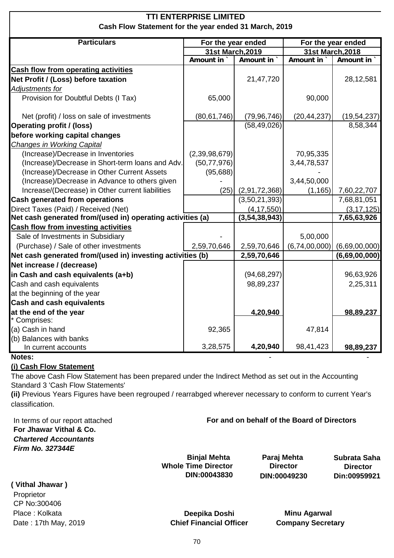| <b>TTI ENTERPRISE LIMITED</b>                              |                    |                  |                    |               |  |
|------------------------------------------------------------|--------------------|------------------|--------------------|---------------|--|
| Cash Flow Statement for the year ended 31 March, 2019      |                    |                  |                    |               |  |
| <b>Particulars</b>                                         | For the year ended |                  | For the year ended |               |  |
|                                                            | 31st March, 2019   |                  | 31st March, 2018   |               |  |
|                                                            | Amount in          | Amount in        | Amount in          | Amount in     |  |
| <b>Cash flow from operating activities</b>                 |                    |                  |                    |               |  |
| Net Profit / (Loss) before taxation                        |                    | 21,47,720        |                    | 28,12,581     |  |
| Adjustments for                                            |                    |                  |                    |               |  |
| Provision for Doubtful Debts (I Tax)                       | 65,000             |                  | 90,000             |               |  |
| Net (profit) / loss on sale of investments                 | (80, 61, 746)      | (79, 96, 746)    | (20, 44, 237)      | (19, 54, 237) |  |
| <b>Operating profit / (loss)</b>                           |                    | (58, 49, 026)    |                    | 8,58,344      |  |
| before working capital changes                             |                    |                  |                    |               |  |
| Changes in Working Capital                                 |                    |                  |                    |               |  |
| (Increase)/Decrease in Inventories                         | (2, 39, 98, 679)   |                  | 70,95,335          |               |  |
| (Increase)/Decrease in Short-term loans and Adv.           | (50, 77, 976)      |                  | 3,44,78,537        |               |  |
| (Increase)/Decrease in Other Current Assets                | (95,688)           |                  |                    |               |  |
| (Increase)/Decrease in Advance to others given             |                    |                  | 3,44,50,000        |               |  |
| Increase/(Decrease) in Other current liabilities           | (25)               | (2,91,72,368)    | (1, 165)           | 7,60,22,707   |  |
| <b>Cash generated from operations</b>                      |                    | (3,50,21,393)    |                    | 7,68,81,051   |  |
| Direct Taxes (Paid) / Received (Net)                       |                    | (4, 17, 550)     |                    | (3, 17, 125)  |  |
| Net cash generated from/(used in) operating activities (a) |                    | (3, 54, 38, 943) |                    | 7,65,63,926   |  |
| <b>Cash flow from investing activities</b>                 |                    |                  |                    |               |  |
| Sale of Investments in Subsidiary                          |                    |                  | 5,00,000           |               |  |
| (Purchase) / Sale of other investments                     | 2,59,70,646        | 2,59,70,646      | (6,74,00,000)      | (6,69,00,000) |  |
| Net cash generated from/(used in) investing activities (b) |                    | 2,59,70,646      |                    | (6,69,00,000) |  |
| Net increase / (decrease)                                  |                    |                  |                    |               |  |
| in Cash and cash equivalents (a+b)                         |                    | (94, 68, 297)    |                    | 96,63,926     |  |
| Cash and cash equivalents                                  |                    | 98,89,237        |                    | 2,25,311      |  |
| at the beginning of the year                               |                    |                  |                    |               |  |
| <b>Cash and cash equivalents</b>                           |                    |                  |                    |               |  |
| at the end of the year                                     |                    | 4,20,940         |                    | 98,89,237     |  |
| Comprises:                                                 |                    |                  |                    |               |  |
| (a) Cash in hand<br>(b) Balances with banks                | 92,365             |                  | 47,814             |               |  |
| In current accounts                                        | 3,28,575           | 4,20,940         | 98,41,423          | 98,89,237     |  |

#### **Notes:** - -

#### **(i) Cash Flow Statement**

The above Cash Flow Statement has been prepared under the Indirect Method as set out in the Accounting Standard 3 'Cash Flow Statements'

**(ii)** Previous Years Figures have been regrouped / rearrabged wherever necessary to conform to current Year's classification.

In terms of our report attached **For Jhawar Vithal & Co.** *Chartered Accountants Firm No. 327344E*

| <b>Binjal Mehta</b>        | Paraj Mehta     | Subrata Saha    |
|----------------------------|-----------------|-----------------|
| <b>Whole Time Director</b> | <b>Director</b> | <b>Director</b> |
| <b>DIN:00043830</b>        | DIN:00049230    | Din:00959921    |

**For and on behalf of the Board of Directors** 

**( Vithal Jhawar )** Proprietor CP No:300406

Place : Kolkata **Deepika Doshi Minu Agarwal** Date : 17th May, 2019 **Chief Financial Officer** Company Secretary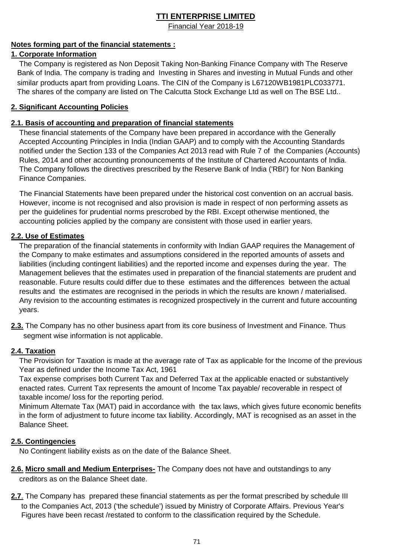Financial Year 2018-19

#### **Notes forming part of the financial statements :**

#### **1. Corporate Information**

 The Company is registered as Non Deposit Taking Non-Banking Finance Company with The Reserve Bank of India. The company is trading and Investing in Shares and investing in Mutual Funds and other similar products apart from providing Loans. The CIN of the Company is L67120WB1981PLC033771. The shares of the company are listed on The Calcutta Stock Exchange Ltd as well on The BSE Ltd..

#### **2. Significant Accounting Policies**

#### **2.1. Basis of accounting and preparation of financial statements**

 These financial statements of the Company have been prepared in accordance with the Generally Accepted Accounting Principles in India (Indian GAAP) and to comply with the Accounting Standards notified under the Section 133 of the Companies Act 2013 read with Rule 7 of the Companies (Accounts) Rules, 2014 and other accounting pronouncements of the Institute of Chartered Accountants of India. The Company follows the directives prescribed by the Reserve Bank of India ('RBI') for Non Banking Finance Companies.

The Financial Statements have been prepared under the historical cost convention on an accrual basis. However, income is not recognised and also provision is made in respect of non performing assets as per the guidelines for prudential norms prescrobed by the RBI. Except otherwise mentioned, the accounting policies applied by the company are consistent with those used in earlier years.

#### **2.2. Use of Estimates**

 The preparation of the financial statements in conformity with Indian GAAP requires the Management of the Company to make estimates and assumptions considered in the reported amounts of assets and liabilities (including contingent liabilities) and the reported income and expenses during the year. The Management believes that the estimates used in preparation of the financial statements are prudent and reasonable. Future results could differ due to these estimates and the differences between the actual results and the estimates are recognised in the periods in which the results are known / materialised. Any revision to the accounting estimates is recognized prospectively in the current and future accounting years.

**2.3.** The Company has no other business apart from its core business of Investment and Finance. Thus segment wise information is not applicable.

#### **2.4. Taxation**

 The Provision for Taxation is made at the average rate of Tax as applicable for the Income of the previous Year as defined under the Income Tax Act, 1961

 Tax expense comprises both Current Tax and Deferred Tax at the applicable enacted or substantively enacted rates. Current Tax represents the amount of Income Tax payable/ recoverable in respect of taxable income/ loss for the reporting period.

 Minimum Alternate Tax (MAT) paid in accordance with the tax laws, which gives future economic benefits in the form of adjustment to future income tax liability. Accordingly, MAT is recognised as an asset in the Balance Sheet.

#### **2.5. Contingencies**

No Contingent liability exists as on the date of the Balance Sheet.

- **2.6. Micro small and Medium Enterprises-** The Company does not have and outstandings to any creditors as on the Balance Sheet date.
- **2.7**. The Company has prepared these financial statements as per the format prescribed by schedule III to the Companies Act, 2013 ('the schedule') issued by Ministry of Corporate Affairs. Previous Year's Figures have been recast /restated to conform to the classification required by the Schedule.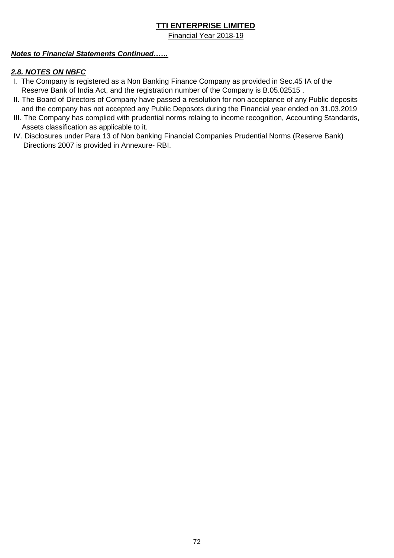Financial Year 2018-19

#### *Notes to Financial Statements Continued……*

#### *2.8. NOTES ON NBFC*

- I. The Company is registered as a Non Banking Finance Company as provided in Sec.45 IA of the Reserve Bank of India Act, and the registration number of the Company is B.05.02515 .
- II. The Board of Directors of Company have passed a resolution for non acceptance of any Public deposits and the company has not accepted any Public Deposots during the Financial year ended on 31.03.2019
- III. The Company has complied with prudential norms relaing to income recognition, Accounting Standards, Assets classification as applicable to it.
- IV. Disclosures under Para 13 of Non banking Financial Companies Prudential Norms (Reserve Bank) Directions 2007 is provided in Annexure- RBI.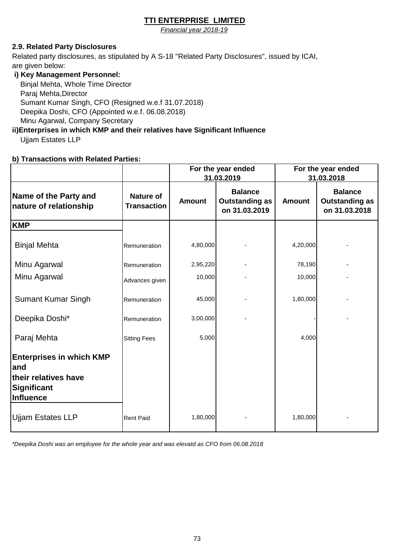*Financial year 2018-19*

#### **2.9. Related Party Disclosures**

Related party disclosures, as stipulated by A S-18 "Related Party Disclosures", issued by ICAI, are given below:

#### **i) Key Management Personnel:**

 Binjal Mehta, Whole Time Director Paraj Mehta,Director Sumant Kumar Singh, CFO (Resigned w.e.f 31.07.2018) Deepika Doshi, CFO (Appointed w.e.f. 06.08.2018) Minu Agarwal, Company Secretary

# **ii)Enterprises in which KMP and their relatives have Significant Influence**

Ujjam Estates LLP

#### **b) Transactions with Related Parties:**

|                                                                                                    |                                        | For the year ended<br>31.03.2019 |                                                          |               | For the year ended<br>31.03.2018                         |
|----------------------------------------------------------------------------------------------------|----------------------------------------|----------------------------------|----------------------------------------------------------|---------------|----------------------------------------------------------|
| Name of the Party and<br>nature of relationship                                                    | <b>Nature of</b><br><b>Transaction</b> | <b>Amount</b>                    | <b>Balance</b><br><b>Outstanding as</b><br>on 31.03.2019 | <b>Amount</b> | <b>Balance</b><br><b>Outstanding as</b><br>on 31.03.2018 |
| <b>KMP</b>                                                                                         |                                        |                                  |                                                          |               |                                                          |
| <b>Binjal Mehta</b>                                                                                | Remuneration                           | 4,80,000                         |                                                          | 4,20,000      |                                                          |
| Minu Agarwal                                                                                       | Remuneration                           | 2,95,220                         |                                                          | 78,190        |                                                          |
| Minu Agarwal                                                                                       | Advances given                         | 10,000                           |                                                          | 10,000        |                                                          |
| <b>Sumant Kumar Singh</b>                                                                          | Remuneration                           | 45,000                           |                                                          | 1,80,000      |                                                          |
| Deepika Doshi*                                                                                     | Remuneration                           | 3,00,000                         |                                                          |               |                                                          |
| Paraj Mehta                                                                                        | <b>Sitting Fees</b>                    | 5,000                            |                                                          | 4,000         |                                                          |
| <b>Enterprises in which KMP</b><br>land<br>their relatives have<br>Significant<br><b>Influence</b> |                                        |                                  |                                                          |               |                                                          |
| <b>Ujjam Estates LLP</b>                                                                           | <b>Rent Paid</b>                       | 1,80,000                         |                                                          | 1,80,000      |                                                          |

*\*Deepika Doshi was an employee for the whole year and was elevatd as CFO from 06.08.2018*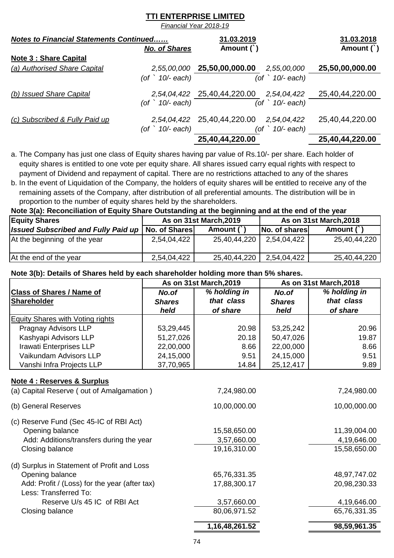*Financial Year 2018-19*

| <b>Notes to Financial Statements Continued</b> |                          | 31.03.2019                  |                          | 31.03.2018      |
|------------------------------------------------|--------------------------|-----------------------------|--------------------------|-----------------|
|                                                | <b>No. of Shares</b>     | Amount (`)                  |                          | Amount $( )$    |
| <b>Note 3: Share Capital</b>                   |                          |                             |                          |                 |
| (a) Authorised Share Capital                   |                          | 2,55,00,000 25,50,00,000.00 | 2,55,00,000              | 25,50,00,000.00 |
|                                                | (of $\degree$ 10/- each) | (of                         | $\cdot$ 10/- each)       |                 |
| (b) Issued Share Capital                       |                          | 2,54,04,422 25,40,44,220.00 | 2,54,04,422              | 25,40,44,220.00 |
|                                                | (of $\degree$ 10/- each) |                             | (of $\degree$ 10/- each) |                 |
| (c) Subscribed & Fully Paid up                 |                          | 2,54,04,422 25,40,44,220.00 | 2,54,04,422              | 25,40,44,220.00 |
|                                                | (of $\hat{10}$ each)     | (of                         | 10/- each)               |                 |
|                                                |                          | 25,40,44,220.00             |                          | 25,40,44,220.00 |

a. The Company has just one class of Equity shares having par value of Rs.10/- per share. Each holder of equity shares is entitled to one vote per equity share. All shares issued carry equal rights with respect to payment of Dividend and repayment of capital. There are no restrictions attached to any of the shares

b. In the event of Liquidation of the Company, the holders of equity shares will be entitled to receive any of the remaining assets of the Company, after distribution of all preferential amounts. The distribution will be in proportion to the number of equity shares held by the shareholders.

#### **Note 3(a): Reconciliation of Equity Share Outstanding at the beginning and at the end of the year**

| <b>Equity Shares</b>                       | As on 31st March, 2019 |              | As on 31st March, 2018 |              |
|--------------------------------------------|------------------------|--------------|------------------------|--------------|
| <b>Issued Subscribed and Fully Paid up</b> | No. of Shares          | Amount (`)   | No. of shares          | Amount (     |
| At the beginning of the year               | 2,54,04,422            | 25,40,44,220 | 2,54,04,422            | 25,40,44,220 |
| At the end of the year                     | 2,54,04,422            | 25,40,44,220 | 2,54,04,422            | 25,40,44,220 |

#### **Note 3(b): Details of Shares held by each shareholder holding more than 5% shares.**

|                                  | As on 31st March, 2019 |              |               | As on 31st March, 2018 |  |
|----------------------------------|------------------------|--------------|---------------|------------------------|--|
| <b>Class of Shares / Name of</b> | No.of                  | % holding in | No.of         | % holding in           |  |
| Shareholder                      | <b>Shares</b>          | that class   | <b>Shares</b> | that class             |  |
|                                  | held                   | of share     | held          | of share               |  |
| Equity Shares with Voting rights |                        |              |               |                        |  |
| Pragnay Advisors LLP             | 53,29,445              | 20.98        | 53,25,242     | 20.96                  |  |
| Kashyapi Advisors LLP            | 51,27,026              | 20.18        | 50,47,026     | 19.87                  |  |
| Irawati Enterprises LLP          | 22,00,000              | 8.66         | 22,00,000     | 8.66                   |  |
| Vaikundam Advisors LLP           | 24,15,000              | 9.51         | 24,15,000     | 9.51                   |  |
| Vanshi Infra Projects LLP        | 37,70,965              | 14.84        | 25, 12, 417   | 9.89                   |  |

#### **Note 4 : Reserves & Surplus**

|                                               | 1,16,48,261.52 | 98,59,961.35 |
|-----------------------------------------------|----------------|--------------|
| Closing balance                               | 80,06,971.52   | 65,76,331.35 |
| Reserve U/s 45 IC of RBI Act                  | 3,57,660.00    | 4,19,646.00  |
| Less: Transferred To:                         |                |              |
| Add: Profit / (Loss) for the year (after tax) | 17,88,300.17   | 20,98,230.33 |
| Opening balance                               | 65,76,331.35   | 48,97,747.02 |
| (d) Surplus in Statement of Profit and Loss   |                |              |
| Closing balance                               | 19,16,310.00   | 15,58,650.00 |
| Add: Additions/transfers during the year      | 3,57,660.00    | 4,19,646.00  |
| Opening balance                               | 15,58,650.00   | 11,39,004.00 |
| (c) Reserve Fund (Sec 45-IC of RBI Act)       |                |              |
| (b) General Reserves                          | 10,00,000.00   | 10,00,000.00 |
| (a) Capital Reserve (out of Amalgamation)     | 7,24,980.00    | 7,24,980.00  |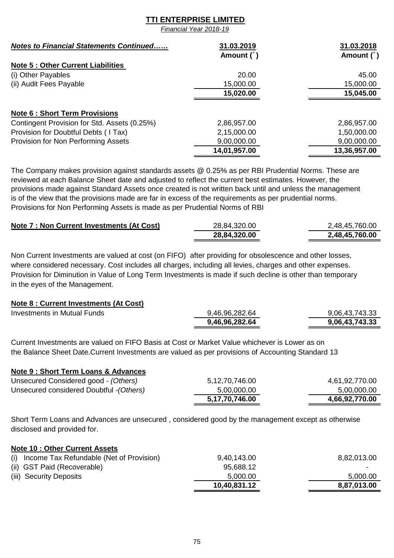*Financial Year 2018-19*

| <b>Notes to Financial Statements Continued</b> | 31.03.2019   | 31.03.2018   |
|------------------------------------------------|--------------|--------------|
|                                                | Amount (`)   | Amount $( )$ |
| <b>Note 5: Other Current Liabilities</b>       |              |              |
| (i) Other Payables                             | 20.00        | 45.00        |
| (ii) Audit Fees Payable                        | 15,000.00    | 15,000.00    |
|                                                | 15,020.00    | 15,045.00    |
| <b>Note 6: Short Term Provisions</b>           |              |              |
| Contingent Provision for Std. Assets (0.25%)   | 2,86,957.00  | 2,86,957.00  |
| Provision for Doubtful Debts (I Tax)           | 2,15,000.00  | 1,50,000.00  |
| Provision for Non Performing Assets            | 9,00,000.00  | 9,00,000.00  |
|                                                | 14,01,957.00 | 13,36,957.00 |

The Company makes provision against standards assets @ 0.25% as per RBI Prudential Norms. These are reviewed at each Balance Sheet date and adjusted to reflect the current best estimates. However, the provisions made against Standard Assets once created is not written back until and unless the management is of the view that the provisions made are far in excess of the requirements as per prudential norms. Provisions for Non Performing Assets is made as per Prudential Norms of RBI

| Note 7 : Non Current Investments (At Cost) | 28,84,320.00 | 2,48,45,760.00 |
|--------------------------------------------|--------------|----------------|
|                                            | 28,84,320.00 | 2,48,45,760.00 |

Non Current Investments are valued at cost (on FIFO) after providing for obsolescence and other losses, where considered necessary. Cost includes all charges, including all levies, charges and other expenses. Provision for Diminution in Value of Long Term Investments is made if such decline is other than temporary in the eyes of the Management.

#### **Note 8 : Current Investments (At Cost)**

| Investments in Mutual Funds | 9,46,96,282.64 | 9,06,43,743.33 |
|-----------------------------|----------------|----------------|
|                             | 9,46,96,282.64 | 9,06,43,743.33 |

Current Investments are valued on FIFO Basis at Cost or Market Value whichever is Lower as on the Balance Sheet Date.Current Investments are valued as per provisions of Accounting Standard 13

#### **Note 9 : Short Term Loans & Advances**

| Unsecured Considered good - (Others)     | 5,12,70,746.00 | 4,61,92,770.00 |
|------------------------------------------|----------------|----------------|
| Unsecured considered Doubtful - (Others) | 5,00,000.00    | 5,00,000.00    |
|                                          | 5,17,70,746.00 | 4,66,92,770.00 |

Short Term Loans and Advances are unsecured , considered good by the management except as otherwise disclosed and provided for.

#### **Note 10 : Other Current Assets**

| (i) Income Tax Refundable (Net of Provision) | 9,40,143.00  | 8,82,013.00 |
|----------------------------------------------|--------------|-------------|
| (ii) GST Paid (Recoverable)                  | 95,688.12    |             |
| (iii) Security Deposits                      | 5,000.00     | 5,000.00    |
|                                              | 10,40,831.12 | 8,87,013.00 |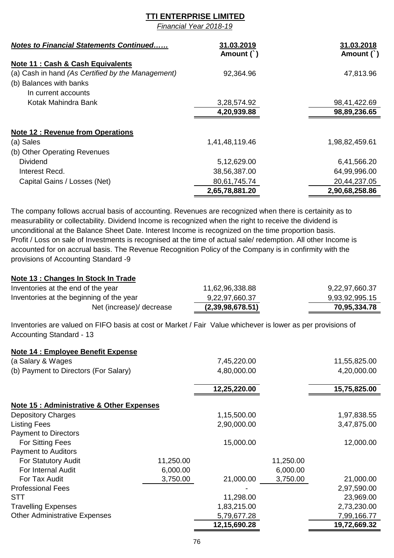*Financial Year 2018-19*

| <b>Notes to Financial Statements Continued</b>    | 31.03.2019     | 31.03.2018     |
|---------------------------------------------------|----------------|----------------|
|                                                   | Amount (`)     | Amount (`)     |
| Note 11 : Cash & Cash Equivalents                 |                |                |
| (a) Cash in hand (As Certified by the Management) | 92,364.96      | 47,813.96      |
| (b) Balances with banks                           |                |                |
| In current accounts                               |                |                |
| Kotak Mahindra Bank                               | 3,28,574.92    | 98,41,422.69   |
|                                                   | 4,20,939.88    | 98,89,236.65   |
|                                                   |                |                |
| <b>Note 12: Revenue from Operations</b>           |                |                |
| (a) Sales                                         | 1,41,48,119.46 | 1,98,82,459.61 |
| (b) Other Operating Revenues                      |                |                |
| <b>Dividend</b>                                   | 5,12,629.00    | 6,41,566.20    |
| Interest Recd.                                    | 38,56,387.00   | 64,99,996.00   |
| Capital Gains / Losses (Net)                      | 80,61,745.74   | 20,44,237.05   |
|                                                   | 2,65,78,881.20 | 2,90,68,258.86 |

The company follows accrual basis of accounting. Revenues are recognized when there is certainity as to measurability or collectability. Dividend Income is recognized when the right to receive the dividend is unconditional at the Balance Sheet Date. Interest Income is recognized on the time proportion basis. Profit / Loss on sale of Investments is recognised at the time of actual sale/ redemption. All other Income is accounted for on accrual basis. The Revenue Recognition Policy of the Company is in confirmity with the provisions of Accounting Standard -9

#### **Note 13 : Changes In Stock In Trade**

| Inventories at the end of the year       | 11,62,96,338.88  | 9,22,97,660.37 |
|------------------------------------------|------------------|----------------|
| Inventories at the beginning of the year | 9,22,97,660.37   | 9,93,92,995.15 |
| Net (increase)/ decrease                 | (2,39,98,678.51) | 70,95,334.78   |

Inventories are valued on FIFO basis at cost or Market / Fair Value whichever is lower as per provisions of Accounting Standard - 13

#### **Note 14 : Employee Benefit Expense**

| (a Salary & Wages                         |           | 7,45,220.00  |           | 11,55,825.00 |
|-------------------------------------------|-----------|--------------|-----------|--------------|
| (b) Payment to Directors (For Salary)     |           | 4,80,000.00  |           | 4,20,000.00  |
|                                           |           | 12,25,220.00 |           | 15,75,825.00 |
| Note 15 : Administrative & Other Expenses |           |              |           |              |
| <b>Depository Charges</b>                 |           | 1,15,500.00  |           | 1,97,838.55  |
| <b>Listing Fees</b>                       |           | 2,90,000.00  |           | 3,47,875.00  |
| <b>Payment to Directors</b>               |           |              |           |              |
| <b>For Sitting Fees</b>                   |           | 15,000.00    |           | 12,000.00    |
| <b>Payment to Auditors</b>                |           |              |           |              |
| For Statutory Audit                       | 11,250.00 |              | 11,250.00 |              |
| For Internal Audit                        | 6,000.00  |              | 6,000.00  |              |
| For Tax Audit                             | 3,750.00  | 21,000.00    | 3,750.00  | 21,000.00    |
| <b>Professional Fees</b>                  |           |              |           | 2,97,590.00  |
| <b>STT</b>                                |           | 11,298.00    |           | 23,969.00    |
| <b>Travelling Expenses</b>                |           | 1,83,215.00  |           | 2,73,230.00  |
| <b>Other Administrative Expenses</b>      |           | 5,79,677.28  |           | 7,99,166.77  |
|                                           |           | 12,15,690.28 |           | 19,72,669.32 |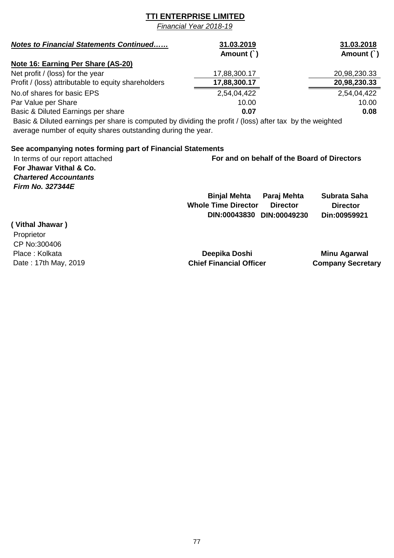*Financial Year 2018-19*

| <b>Notes to Financial Statements Continued</b>      | 31.03.2019   | 31.03.2018   |
|-----------------------------------------------------|--------------|--------------|
|                                                     | Amount $( )$ | Amount (`)   |
| Note 16: Earning Per Share (AS-20)                  |              |              |
| Net profit / (loss) for the year                    | 17,88,300.17 | 20,98,230.33 |
| Profit / (loss) attributable to equity shareholders | 17,88,300.17 | 20,98,230.33 |
| No.of shares for basic EPS                          | 2,54,04,422  | 2,54,04,422  |
| Par Value per Share                                 | 10.00        | 10.00        |
| Basic & Diluted Earnings per share                  | 0.07         | 0.08         |

 Basic & Diluted earnings per share is computed by dividing the profit / (loss) after tax by the weighted average number of equity shares outstanding during the year.

#### **See acompanying notes forming part of Financial Statements**

| In terms of our report attached | For and on behalf of the Board of Directors                      |
|---------------------------------|------------------------------------------------------------------|
| For Jhawar Vithal & Co.         |                                                                  |
| <b>Chartered Accountants</b>    |                                                                  |
| <b>Firm No. 327344E</b>         |                                                                  |
|                                 | <b>Binjal Mehta</b><br>Paraj Mehta<br>Subrata Saha               |
|                                 | <b>Whole Time Director</b><br><b>Director</b><br><b>Director</b> |
|                                 | DIN:00049230<br>Din:00959921<br>DIN:00043830                     |
| (Vithal Ihawar)                 |                                                                  |

| , <i>,</i>           |
|----------------------|
| Proprietor           |
| CP No:300406         |
| Place: Kolkata       |
| Date: 17th May, 2019 |

**Deepika Doshi Minu Agarwal** ay, 2019 **Chief Financial Officer** Company Secretary Company Secretary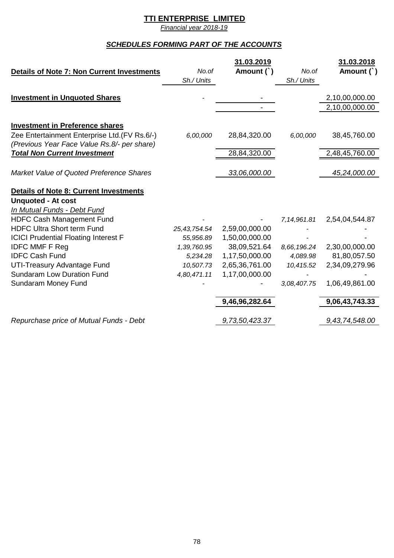*Financial year 2018-19*

# *SCHEDULES FORMING PART OF THE ACCOUNTS*

|                                                                                         |              | 31.03.2019     |             | 31.03.2018     |
|-----------------------------------------------------------------------------------------|--------------|----------------|-------------|----------------|
| Details of Note 7: Non Current Investments                                              | No.of        | Amount (`)     | No.of       | Amount (`)     |
|                                                                                         | Sh./ Units   |                | Sh./ Units  |                |
| <b>Investment in Unquoted Shares</b>                                                    |              |                |             | 2,10,00,000.00 |
|                                                                                         |              |                |             | 2,10,00,000.00 |
|                                                                                         |              |                |             |                |
| <b>Investment in Preference shares</b><br>Zee Entertainment Enterprise Ltd. (FV Rs.6/-) | 6,00,000     | 28,84,320.00   | 6,00,000    | 38,45,760.00   |
| (Previous Year Face Value Rs.8/- per share)<br><b>Total Non Current Investment</b>      |              | 28,84,320.00   |             | 2,48,45,760.00 |
| Market Value of Quoted Preference Shares                                                |              | 33,06,000.00   |             | 45,24,000.00   |
| <b>Details of Note 8: Current Investments</b>                                           |              |                |             |                |
| <b>Unquoted - At cost</b>                                                               |              |                |             |                |
| In Mutual Funds - Debt Fund                                                             |              |                |             |                |
| <b>HDFC Cash Management Fund</b>                                                        |              |                | 7,14,961.81 | 2,54,04,544.87 |
| <b>HDFC Ultra Short term Fund</b>                                                       | 25,43,754.54 | 2,59,00,000.00 |             |                |
| <b>ICICI Prudential Floating Interest F</b>                                             | 55,956.89    | 1,50,00,000.00 |             |                |
| <b>IDFC MMF F Reg</b>                                                                   | 1,39,760.95  | 38,09,521.64   | 8,66,196.24 | 2,30,00,000.00 |
| <b>IDFC Cash Fund</b>                                                                   | 5,234.28     | 1,17,50,000.00 | 4,089.98    | 81,80,057.50   |
| UTI-Treasury Advantage Fund                                                             | 10,507.73    | 2,65,36,761.00 | 10,415.52   | 2,34,09,279.96 |
| <b>Sundaram Low Duration Fund</b>                                                       | 4,80,471.11  | 1,17,00,000.00 |             |                |
| Sundaram Money Fund                                                                     |              |                | 3,08,407.75 | 1,06,49,861.00 |
|                                                                                         |              | 9,46,96,282.64 |             | 9,06,43,743.33 |
| Repurchase price of Mutual Funds - Debt                                                 |              | 9,73,50,423.37 |             | 9,43,74,548.00 |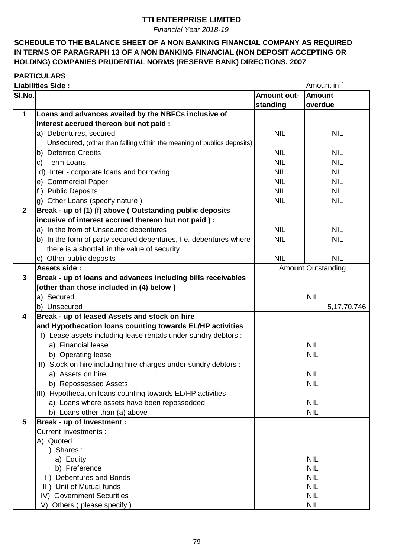*Financial Year 2018-19*

## **SCHEDULE TO THE BALANCE SHEET OF A NON BANKING FINANCIAL COMPANY AS REQUIRED IN TERMS OF PARAGRAPH 13 OF A NON BANKING FINANCIAL (NON DEPOSIT ACCEPTING OR HOLDING) COMPANIES PRUDENTIAL NORMS (RESERVE BANK) DIRECTIONS, 2007**

# **PARTICULARS**

|              | <b>Liabilities Side:</b>                                               |             | Amount in                 |
|--------------|------------------------------------------------------------------------|-------------|---------------------------|
| SI.No.       |                                                                        | Amount out- | <b>Amount</b>             |
|              |                                                                        | standing    | overdue                   |
| $\mathbf 1$  | Loans and advances availed by the NBFCs inclusive of                   |             |                           |
|              | Interest accrued thereon but not paid :                                |             |                           |
|              | a) Debentures, secured                                                 | <b>NIL</b>  | <b>NIL</b>                |
|              | Unsecured, (other than falling within the meaning of publics deposits) |             |                           |
|              | b) Deferred Credits                                                    | <b>NIL</b>  | <b>NIL</b>                |
|              | c) Term Loans                                                          | <b>NIL</b>  | <b>NIL</b>                |
|              | d) Inter - corporate loans and borrowing                               | <b>NIL</b>  | <b>NIL</b>                |
|              | e) Commercial Paper                                                    | <b>NIL</b>  | <b>NIL</b>                |
|              | f) Public Deposits                                                     | <b>NIL</b>  | <b>NIL</b>                |
|              | g) Other Loans (specify nature)                                        | <b>NIL</b>  | <b>NIL</b>                |
| $\mathbf{2}$ | Break - up of (1) (f) above (Outstanding public deposits               |             |                           |
|              | incusive of interest accrued thereon but not paid) :                   |             |                           |
|              | a) In the from of Unsecured debentures                                 | <b>NIL</b>  | <b>NIL</b>                |
|              | b) In the form of party secured debentures, I.e. debentures where      | <b>NIL</b>  | <b>NIL</b>                |
|              | there is a shortfall in the value of security                          |             |                           |
|              | c) Other public deposits                                               | <b>NIL</b>  | <b>NIL</b>                |
|              | Assets side:                                                           |             | <b>Amount Outstanding</b> |
| $\mathbf{3}$ | Break - up of loans and advances including bills receivables           |             |                           |
|              | [other than those included in (4) below ]                              |             |                           |
|              | a) Secured                                                             |             | <b>NIL</b>                |
|              | b) Unsecured                                                           |             | 5, 17, 70, 746            |
| 4            | Break - up of leased Assets and stock on hire                          |             |                           |
|              | and Hypothecation loans counting towards EL/HP activities              |             |                           |
|              | I) Lease assets including lease rentals under sundry debtors :         |             |                           |
|              | a) Financial lease                                                     |             | <b>NIL</b>                |
|              | b) Operating lease                                                     |             | <b>NIL</b>                |
|              | II) Stock on hire including hire charges under sundry debtors :        |             |                           |
|              | a) Assets on hire                                                      |             | <b>NIL</b>                |
|              | b) Repossessed Assets                                                  |             | <b>NIL</b>                |
|              | III) Hypothecation loans counting towards EL/HP activities             |             |                           |
|              | a) Loans where assets have been repossedded                            |             | <b>NIL</b>                |
|              | b) Loans other than (a) above                                          |             | <b>NIL</b>                |
| 5            | <b>Break - up of Investment:</b>                                       |             |                           |
|              | <b>Current Investments:</b>                                            |             |                           |
|              | A) Quoted:                                                             |             |                           |
|              | I) Shares:                                                             |             |                           |
|              | a) Equity                                                              |             | <b>NIL</b>                |
|              | b) Preference                                                          |             | <b>NIL</b>                |
|              | II) Debentures and Bonds                                               |             | <b>NIL</b>                |
|              | III) Unit of Mutual funds                                              |             | <b>NIL</b>                |
|              | IV) Government Securities                                              |             | <b>NIL</b>                |
|              | V) Others (please specify)                                             |             | <b>NIL</b>                |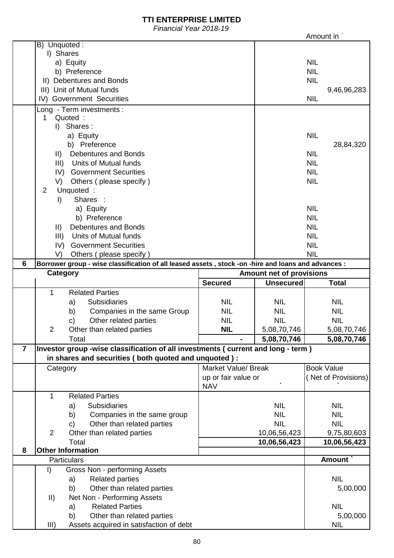*Financial Year 2018-19*

|                | i iliahulah Itali Lulu-Tu                                                                           |                            |                                 | Amount in                |
|----------------|-----------------------------------------------------------------------------------------------------|----------------------------|---------------------------------|--------------------------|
|                | B) Unquoted:                                                                                        |                            |                                 |                          |
|                | I) Shares                                                                                           |                            |                                 |                          |
|                | a) Equity                                                                                           |                            |                                 | <b>NIL</b>               |
|                | b) Preference                                                                                       |                            |                                 | <b>NIL</b>               |
|                | II) Debentures and Bonds                                                                            |                            |                                 | <b>NIL</b>               |
|                | III) Unit of Mutual funds                                                                           |                            |                                 | 9,46,96,283              |
|                | IV) Government Securities                                                                           |                            |                                 | <b>NIL</b>               |
|                | Long - Term investments :                                                                           |                            |                                 |                          |
|                | Quoted:                                                                                             |                            |                                 |                          |
|                | Shares:<br>$\mathbf{D}$                                                                             |                            |                                 |                          |
|                | a) Equity                                                                                           |                            |                                 | <b>NIL</b>               |
|                | b) Preference                                                                                       |                            |                                 | 28,84,320                |
|                | <b>Debentures and Bonds</b><br>$\parallel$ )<br>Units of Mutual funds                               |                            |                                 | <b>NIL</b><br><b>NIL</b> |
|                | III)<br>IV) Government Securities                                                                   |                            |                                 | <b>NIL</b>               |
|                | V)                                                                                                  |                            |                                 | <b>NIL</b>               |
|                | Others (please specify)<br>Unquoted:<br>$\overline{2}$                                              |                            |                                 |                          |
|                | Shares :<br>I)                                                                                      |                            |                                 |                          |
|                | a) Equity                                                                                           |                            |                                 | <b>NIL</b>               |
|                | b) Preference                                                                                       |                            |                                 | <b>NIL</b>               |
|                | <b>Debentures and Bonds</b><br>$\vert \vert \vert$                                                  |                            |                                 | <b>NIL</b>               |
|                | Units of Mutual funds<br>III)                                                                       |                            |                                 | <b>NIL</b>               |
|                | IV) Government Securities                                                                           |                            |                                 | <b>NIL</b>               |
|                | V)<br>Others (please specify)                                                                       |                            |                                 | <b>NIL</b>               |
| $6\phantom{1}$ | Borrower group - wise classification of all leased assets, stock -on -hire and loans and advances : |                            |                                 |                          |
|                | Category                                                                                            |                            | <b>Amount net of provisions</b> |                          |
|                |                                                                                                     | <b>Secured</b>             | <b>Unsecured</b>                | <b>Total</b>             |
|                | $\mathbf{1}$<br><b>Related Parties</b>                                                              |                            |                                 |                          |
|                | <b>Subsidiaries</b><br>a)                                                                           | <b>NIL</b>                 | <b>NIL</b>                      | <b>NIL</b>               |
|                | Companies in the same Group<br>b)                                                                   | <b>NIL</b>                 | <b>NIL</b>                      | <b>NIL</b>               |
|                | Other related parties<br>c)                                                                         | <b>NIL</b>                 | <b>NIL</b>                      | <b>NIL</b>               |
|                | 2<br>Other than related parties                                                                     | <b>NIL</b>                 | 5,08,70,746                     | 5,08,70,746              |
|                | Total                                                                                               |                            | 5,08,70,746                     | 5,08,70,746              |
| $\overline{7}$ | Investor group -wise classification of all investments ( current and long - term )                  |                            |                                 |                          |
|                | in shares and securities (both quoted and unquoted):                                                |                            |                                 |                          |
|                | Category                                                                                            | <b>Market Value/ Break</b> |                                 | <b>Book Value</b>        |
|                |                                                                                                     | up or fair value or        |                                 | (Net of Provisions)      |
|                |                                                                                                     | <b>NAV</b>                 |                                 |                          |
|                | $\mathbf{1}$<br><b>Related Parties</b>                                                              |                            |                                 |                          |
|                | Subsidiaries<br>a)                                                                                  |                            | <b>NIL</b>                      | <b>NIL</b>               |
|                | Companies in the same group<br>b)                                                                   |                            | <b>NIL</b>                      | <b>NIL</b>               |
|                | Other than related parties<br>c)                                                                    |                            | <b>NIL</b>                      | <b>NIL</b>               |
|                | $\overline{2}$<br>Other than related parties                                                        |                            | 10,06,56,423                    | 9,75,80,603              |
|                | Total                                                                                               |                            | 10,06,56,423                    | 10,06,56,423             |
| 8              | <b>Other Information</b>                                                                            |                            |                                 |                          |
|                | Particulars                                                                                         |                            |                                 | Amount `                 |
|                | Gross Non - performing Assets<br>$\vert$                                                            |                            |                                 |                          |
|                | <b>Related parties</b><br>a)                                                                        |                            |                                 | <b>NIL</b>               |
|                | Other than related parties<br>b)                                                                    |                            |                                 | 5,00,000                 |
|                | Net Non - Performing Assets<br>$\parallel$                                                          |                            |                                 |                          |
|                | <b>Related Parties</b><br>a)                                                                        |                            |                                 | <b>NIL</b>               |
|                | Other than related parties<br>b)                                                                    |                            |                                 | 5,00,000                 |
|                | III)<br>Assets acquired in satisfaction of debt                                                     |                            |                                 | <b>NIL</b>               |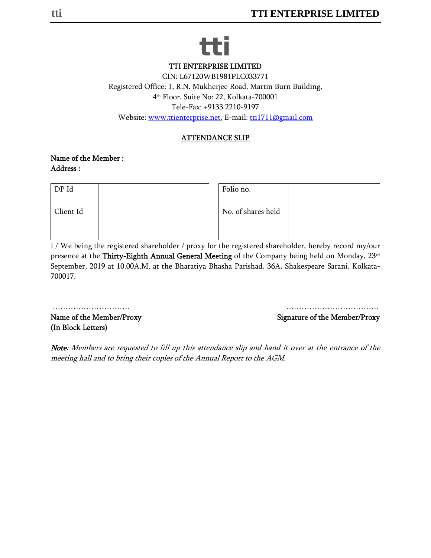# **tti**

TTI ENTERPRISE LIMITED

CIN: L67120WB1981PLC033771 Registered Office: 1, R.N. Mukherjee Road, Martin Burn Building, 4th Floor, Suite No: 22, Kolkata-700001 Tele-Fax: +9133 2210-9197 Website: www.ttienterprise.net, E-mail: tti1711@gmail.com

# ATTENDANCE SLIP

#### Name of the Member : Address :

| DP Id     |  | Folio no.          |  |
|-----------|--|--------------------|--|
| Client Id |  | No. of shares held |  |
|           |  |                    |  |

I / We being the registered shareholder / proxy for the registered shareholder, hereby record my/our presence at the Thirty-Eighth Annual General Meeting of the Company being held on Monday, 23rd September, 2019 at 10.00A.M. at the Bharatiya Bhasha Parishad, 36A, Shakespeare Sarani, Kolkata-700017.

Name of the Member/Proxy and Signature of the Member/Proxy (In Block Letters)

………………………… ………………………………

Note: Members are requested to fill up this attendance slip and hand it over at the entrance of the meeting hall and to bring their copies of the Annual Report to the AGM.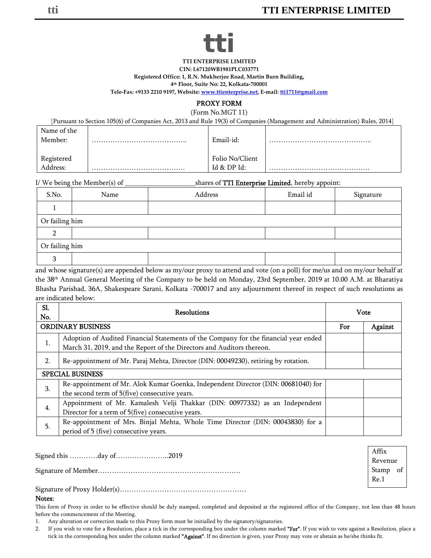# **tti**

**TTI ENTERPRISE LIMITED**

**CIN: L67120WB1981PLC033771**

**Registered Office: 1, R.N. Mukherjee Road, Martin Burn Building,**

**4th Floor, Suite No: 22, Kolkata‐700001**

**Tele‐Fax: +9133 2210 9197, Website: www.ttienterprise.net, E‐mail: tti1711@gmail.com**

#### PROXY FORM

(Form No.MGT 11)

| [Pursuant to Section 105(6) of Companies Act, 2013 and Rule 19(3) of Companies (Management and Administration) Rules, 2014] |  |                  |  |  |  |
|-----------------------------------------------------------------------------------------------------------------------------|--|------------------|--|--|--|
| Name of the                                                                                                                 |  |                  |  |  |  |
| Member:                                                                                                                     |  | Email-id:        |  |  |  |
|                                                                                                                             |  |                  |  |  |  |
| Registered                                                                                                                  |  | Folio No/Client  |  |  |  |
| Address:                                                                                                                    |  | $Id & D$ P $Id:$ |  |  |  |

I/ We being the Member(s) of \_\_\_\_\_\_\_\_\_\_\_\_\_\_\_\_\_\_\_\_shares of TTI Enterprise Limited, hereby appoint:

| S.No.          | Name           | Address | Email id | Signature |  |  |
|----------------|----------------|---------|----------|-----------|--|--|
|                |                |         |          |           |  |  |
|                | Or failing him |         |          |           |  |  |
|                |                |         |          |           |  |  |
| Or failing him |                |         |          |           |  |  |
| n.<br>رس       |                |         |          |           |  |  |

and whose signature(s) are appended below as my/our proxy to attend and vote (on a poll) for me/us and on my/our behalf at the 38th Annual General Meeting of the Company to be held on Monday, 23rd September, 2019 at 10.00 A.M. at Bharatiya Bhasha Parishad, 36A, Shakespeare Sarani, Kolkata -700017 and any adjournment thereof in respect of such resolutions as are indicated below:

| Sl.<br>No.               | <b>Resolutions</b>                                                                                                                                            | <b>Vote</b> |         |  |
|--------------------------|---------------------------------------------------------------------------------------------------------------------------------------------------------------|-------------|---------|--|
| <b>ORDINARY BUSINESS</b> |                                                                                                                                                               | For         | Against |  |
| 1.                       | Adoption of Audited Financial Statements of the Company for the financial year ended<br>March 31, 2019, and the Report of the Directors and Auditors thereon. |             |         |  |
| 2.                       | Re-appointment of Mr. Paraj Mehta, Director (DIN: 00049230), retiring by rotation.                                                                            |             |         |  |
| <b>SPECIAL BUSINESS</b>  |                                                                                                                                                               |             |         |  |
| 3.                       | Re-appointment of Mr. Alok Kumar Goenka, Independent Director (DIN: 00681040) for<br>the second term of 5(five) consecutive years.                            |             |         |  |
| 4.                       | Appointment of Mr. Kamalesh Velji Thakkar (DIN: 00977332) as an Independent<br>Director for a term of 5(five) consecutive years.                              |             |         |  |
| 5.                       | Re-appointment of Mrs. Binjal Mehta, Whole Time Director (DIN: 00043830) for a<br>period of 5 (five) consecutive years.                                       |             |         |  |

| Signed this day of2019 |                             |
|------------------------|-----------------------------|
|                        | Revenue<br>Stamp of<br>Re.1 |
|                        |                             |

#### Notes:

This form of Proxy in order to be effective should be duly stamped, completed and deposited at the registered office of the Company, not less than 48 hours before the commencement of the Meeting.

1. Any alteration or correction made to this Proxy form must be initialled by the signatory/signatories.

2. If you wish to vote for a Resolution, place a tick in the corresponding box under the column marked "For". If you wish to vote against a Resolution, place a tick in the corresponding box under the column marked "Against". If no direction is given, your Proxy may vote or abstain as he/she thinks fit.